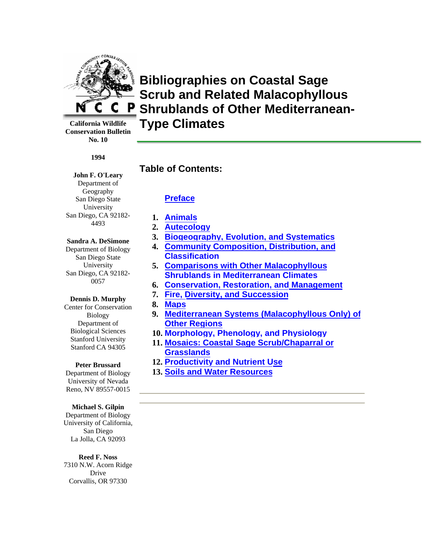

**Bibliographies on Coastal Sage Scrub and Related Malacophyllous Shrublands of Other Mediterranean-Type Climates**

**California Wildlife Conservation Bulletin No. 10** 

#### **1994**

### **John F. O'Leary**

Department of Geography San Diego State University San Diego, CA 92182- 4493

### **Sandra A. DeSimone**

Department of Biology San Diego State University San Diego, CA 92182- 0057

### **Dennis D. Murphy**

Center for Conservation Biology Department of Biological Sciences Stanford University Stanford CA 94305

### **Peter Brussard**

Department of Biology University of Nevada Reno, NV 89557-0015

#### **Michael S. Gilpin**

Department of Biology University of California, San Diego La Jolla, CA 92093

#### **Reed F. Noss**

7310 N.W. Acorn Ridge Drive Corvallis, OR 97330

### **Table of Contents:**

### **[Preface](#page-1-0)**

- **1. [Animals](#page-3-0)**
- **2. [Autecology](#page-16-0)**
- **3. [Biogeography, Evolution, and Systematics](#page-26-0)**
- **4. [Community Composition, Distribution, and](#page-28-0) Classification**
- **5. [Comparisons with Other Malacophyllous](#page-32-0) Shrublands in Mediterranean Climates**
- **6. [Conservation, Restoration, and Management](#page-33-0)**
- **7. [Fire, Diversity, and Succession](#page-47-0)**
- **8. [Maps](#page-50-0)**
- **9. Mediterranean Systems (Malacophyllous Only) of Other Regions**
- **10. [Morphology, Phenology, and Physiology](#page-61-0)**
- **11. [Mosaics: Coastal Sage Scrub/Chaparral or](#page--1-0)  Grasslands**
- **12. [Productivity and Nutrient Use](#page-68-0)**
- **13. [Soils and Water Resources](#page-69-0)**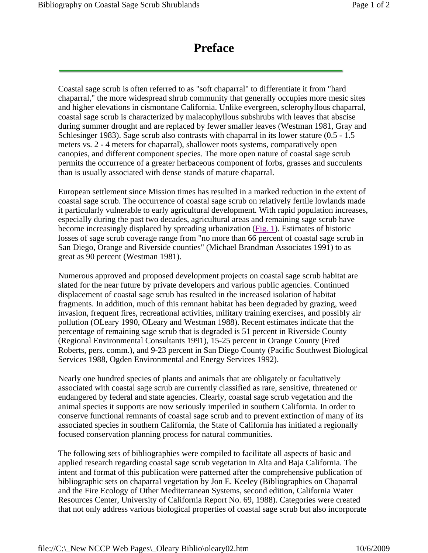## **Preface**

<span id="page-1-0"></span>Coastal sage scrub is often referred to as "soft chaparral" to differentiate it from "hard chaparral," the more widespread shrub community that generally occupies more mesic sites and higher elevations in cismontane California. Unlike evergreen, sclerophyllous chaparral, coastal sage scrub is characterized by malacophyllous subshrubs with leaves that abscise during summer drought and are replaced by fewer smaller leaves (Westman 1981, Gray and Schlesinger 1983). Sage scrub also contrasts with chaparral in its lower stature (0.5 - 1.5 meters vs. 2 - 4 meters for chaparral), shallower roots systems, comparatively open canopies, and different component species. The more open nature of coastal sage scrub permits the occurrence of a greater herbaceous component of forbs, grasses and succulents than is usually associated with dense stands of mature chaparral.

European settlement since Mission times has resulted in a marked reduction in the extent of coastal sage scrub. The occurrence of coastal sage scrub on relatively fertile lowlands made it particularly vulnerable to early agricultural development. With rapid population increases, especially during the past two decades, agricultural areas and remaining sage scrub have become increasingly displaced by spreading urbanization (Fig. 1). Estimates of historic losses of sage scrub coverage range from "no more than 66 percent of coastal sage scrub in San Diego, Orange and Riverside counties" (Michael Brandman Associates 1991) to as great as 90 percent (Westman 1981).

Numerous approved and proposed development projects on coastal sage scrub habitat are slated for the near future by private developers and various public agencies. Continued displacement of coastal sage scrub has resulted in the increased isolation of habitat fragments. In addition, much of this remnant habitat has been degraded by grazing, weed invasion, frequent fires, recreational activities, military training exercises, and possibly air pollution (OLeary 1990, OLeary and Westman 1988). Recent estimates indicate that the percentage of remaining sage scrub that is degraded is 51 percent in Riverside County (Regional Environmental Consultants 1991), 15-25 percent in Orange County (Fred Roberts, pers. comm.), and 9-23 percent in San Diego County (Pacific Southwest Biological Services 1988, Ogden Environmental and Energy Services 1992).

Nearly one hundred species of plants and animals that are obligately or facultatively associated with coastal sage scrub are currently classified as rare, sensitive, threatened or endangered by federal and state agencies. Clearly, coastal sage scrub vegetation and the animal species it supports are now seriously imperiled in southern California. In order to conserve functional remnants of coastal sage scrub and to prevent extinction of many of its associated species in southern California, the State of California has initiated a regionally focused conservation planning process for natural communities.

The following sets of bibliographies were compiled to facilitate all aspects of basic and applied research regarding coastal sage scrub vegetation in Alta and Baja California. The intent and format of this publication were patterned after the comprehensive publication of bibliographic sets on chaparral vegetation by Jon E. Keeley (Bibliographies on Chaparral and the Fire Ecology of Other Mediterranean Systems, second edition, California Water Resources Center, University of California Report No. 69, 1988). Categories were created that not only address various biological properties of coastal sage scrub but also incorporate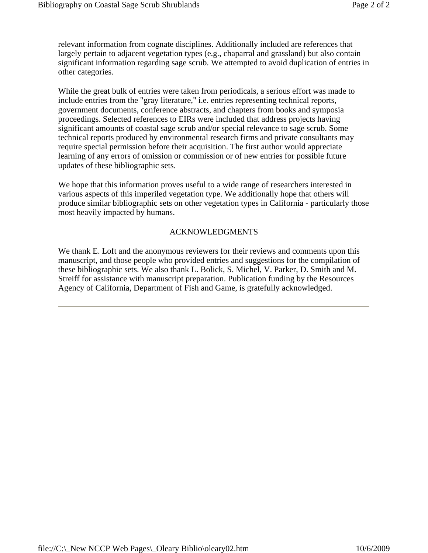relevant information from cognate disciplines. Additionally included are references that largely pertain to adjacent vegetation types (e.g., chaparral and grassland) but also contain significant information regarding sage scrub. We attempted to avoid duplication of entries in other categories.

While the great bulk of entries were taken from periodicals, a serious effort was made to include entries from the "gray literature," i.e. entries representing technical reports, government documents, conference abstracts, and chapters from books and symposia proceedings. Selected references to EIRs were included that address projects having significant amounts of coastal sage scrub and/or special relevance to sage scrub. Some technical reports produced by environmental research firms and private consultants may require special permission before their acquisition. The first author would appreciate learning of any errors of omission or commission or of new entries for possible future updates of these bibliographic sets.

We hope that this information proves useful to a wide range of researchers interested in various aspects of this imperiled vegetation type. We additionally hope that others will produce similar bibliographic sets on other vegetation types in California - particularly those most heavily impacted by humans.

### ACKNOWLEDGMENTS

We thank E. Loft and the anonymous reviewers for their reviews and comments upon this manuscript, and those people who provided entries and suggestions for the compilation of these bibliographic sets. We also thank L. Bolick, S. Michel, V. Parker, D. Smith and M. Streiff for assistance with manuscript preparation. Publication funding by the Resources Agency of California, Department of Fish and Game, is gratefully acknowledged.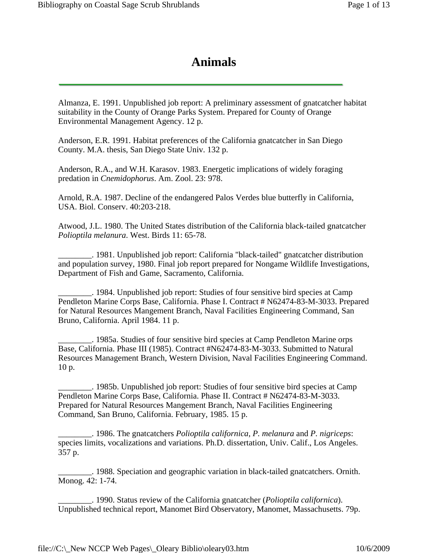# **Animals**

<span id="page-3-0"></span>Almanza, E. 1991. Unpublished job report: A preliminary assessment of gnatcatcher habitat suitability in the County of Orange Parks System. Prepared for County of Orange Environmental Management Agency. 12 p.

Anderson, E.R. 1991. Habitat preferences of the California gnatcatcher in San Diego County. M.A. thesis, San Diego State Univ. 132 p.

Anderson, R.A., and W.H. Karasov. 1983. Energetic implications of widely foraging predation in *Cnemidophorus*. Am. Zool. 23: 978.

Arnold, R.A. 1987. Decline of the endangered Palos Verdes blue butterfly in California, USA. Biol. Conserv. 40:203-218.

Atwood, J.L. 1980. The United States distribution of the California black-tailed gnatcatcher *Polioptila melanura*. West. Birds 11: 65-78.

\_\_\_\_\_\_\_\_. 1981. Unpublished job report: California "black-tailed" gnatcatcher distribution and population survey, 1980. Final job report prepared for Nongame Wildlife Investigations, Department of Fish and Game, Sacramento, California.

\_\_\_\_\_\_\_\_. 1984. Unpublished job report: Studies of four sensitive bird species at Camp Pendleton Marine Corps Base, California. Phase I. Contract # N62474-83-M-3033. Prepared for Natural Resources Mangement Branch, Naval Facilities Engineering Command, San Bruno, California. April 1984. 11 p.

\_\_\_\_\_\_\_\_. 1985a. Studies of four sensitive bird species at Camp Pendleton Marine orps Base, California. Phase III (1985). Contract #N62474-83-M-3033. Submitted to Natural Resources Management Branch, Western Division, Naval Facilities Engineering Command. 10 p.

\_\_\_\_\_\_\_\_. 1985b. Unpublished job report: Studies of four sensitive bird species at Camp Pendleton Marine Corps Base, California. Phase II. Contract # N62474-83-M-3033. Prepared for Natural Resources Mangement Branch, Naval Facilities Engineering Command, San Bruno, California. February, 1985. 15 p.

\_\_\_\_\_\_\_\_. 1986. The gnatcatchers *Polioptila californica*, *P. melanura* and *P. nigriceps*: species limits, vocalizations and variations. Ph.D. dissertation, Univ. Calif., Los Angeles. 357 p.

\_\_\_\_\_\_\_\_. 1988. Speciation and geographic variation in black-tailed gnatcatchers. Ornith. Monog. 42: 1-74.

\_\_\_\_\_\_\_\_. 1990. Status review of the California gnatcatcher (*Polioptila californica*). Unpublished technical report, Manomet Bird Observatory, Manomet, Massachusetts. 79p.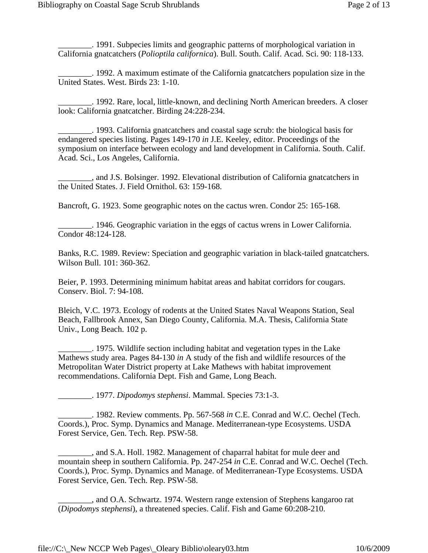\_\_\_\_\_\_\_\_. 1991. Subpecies limits and geographic patterns of morphological variation in California gnatcatchers (*Polioptila californica*). Bull. South. Calif. Acad. Sci. 90: 118-133.

\_\_\_\_\_\_\_\_. 1992. A maximum estimate of the California gnatcatchers population size in the United States. West. Birds 23: 1-10.

\_\_\_\_\_\_\_\_. 1992. Rare, local, little-known, and declining North American breeders. A closer look: California gnatcatcher. Birding 24:228-234.

\_\_\_\_\_\_\_\_. 1993. California gnatcatchers and coastal sage scrub: the biological basis for endangered species listing. Pages 149-170 *in* J.E. Keeley, editor. Proceedings of the symposium on interface between ecology and land development in California. South. Calif. Acad. Sci., Los Angeles, California.

\_\_\_\_\_\_\_\_, and J.S. Bolsinger. 1992. Elevational distribution of California gnatcatchers in the United States. J. Field Ornithol. 63: 159-168.

Bancroft, G. 1923. Some geographic notes on the cactus wren. Condor 25: 165-168.

\_\_\_\_\_\_\_\_. 1946. Geographic variation in the eggs of cactus wrens in Lower California. Condor 48:124-128.

Banks, R.C. 1989. Review: Speciation and geographic variation in black-tailed gnatcatchers. Wilson Bull. 101: 360-362.

Beier, P. 1993. Determining minimum habitat areas and habitat corridors for cougars. Conserv. Biol. 7: 94-108.

Bleich, V.C. 1973. Ecology of rodents at the United States Naval Weapons Station, Seal Beach, Fallbrook Annex, San Diego County, California. M.A. Thesis, California State Univ., Long Beach. 102 p.

\_\_\_\_\_\_\_\_. 1975. Wildlife section including habitat and vegetation types in the Lake Mathews study area. Pages 84-130 *in* A study of the fish and wildlife resources of the Metropolitan Water District property at Lake Mathews with habitat improvement recommendations. California Dept. Fish and Game, Long Beach.

\_\_\_\_\_\_\_\_. 1977. *Dipodomys stephensi*. Mammal. Species 73:1-3.

\_\_\_\_\_\_\_\_. 1982. Review comments. Pp. 567-568 *in* C.E. Conrad and W.C. Oechel (Tech. Coords.), Proc. Symp. Dynamics and Manage. Mediterranean-type Ecosystems. USDA Forest Service, Gen. Tech. Rep. PSW-58.

\_\_\_\_\_\_\_\_, and S.A. Holl. 1982. Management of chaparral habitat for mule deer and mountain sheep in southern California. Pp. 247-254 *in* C.E. Conrad and W.C. Oechel (Tech. Coords.), Proc. Symp. Dynamics and Manage. of Mediterranean-Type Ecosystems. USDA Forest Service, Gen. Tech. Rep. PSW-58.

\_\_\_\_\_\_\_\_, and O.A. Schwartz. 1974. Western range extension of Stephens kangaroo rat (*Dipodomys stephensi*), a threatened species. Calif. Fish and Game 60:208-210.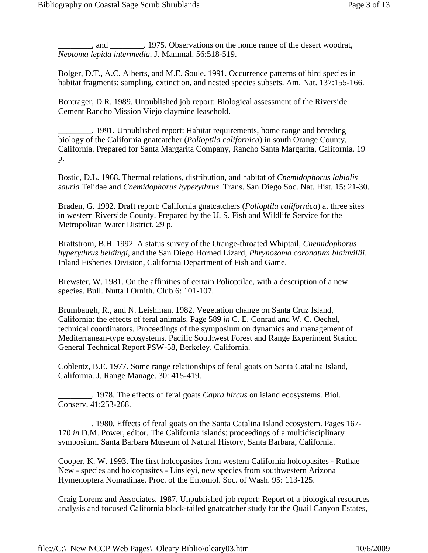\_\_\_\_\_\_\_\_, and \_\_\_\_\_\_\_\_. 1975. Observations on the home range of the desert woodrat, *Neotoma lepida intermedia*. J. Mammal. 56:518-519.

Bolger, D.T., A.C. Alberts, and M.E. Soule. 1991. Occurrence patterns of bird species in habitat fragments: sampling, extinction, and nested species subsets. Am. Nat. 137:155-166.

Bontrager, D.R. 1989. Unpublished job report: Biological assessment of the Riverside Cement Rancho Mission Viejo claymine leasehold.

\_\_\_\_\_\_\_\_. 1991. Unpublished report: Habitat requirements, home range and breeding biology of the California gnatcatcher (*Polioptila californica*) in south Orange County, California. Prepared for Santa Margarita Company, Rancho Santa Margarita, California. 19 p.

Bostic, D.L. 1968. Thermal relations, distribution, and habitat of *Cnemidophorus labialis sauria* Teiidae and *Cnemidophorus hyperythrus*. Trans. San Diego Soc. Nat. Hist. 15: 21-30.

Braden, G. 1992. Draft report: California gnatcatchers (*Polioptila californica*) at three sites in western Riverside County. Prepared by the U. S. Fish and Wildlife Service for the Metropolitan Water District. 29 p.

Brattstrom, B.H. 1992. A status survey of the Orange-throated Whiptail, *Cnemidophorus hyperythrus beldingi*, and the San Diego Horned Lizard, *Phrynosoma coronatum blainvillii*. Inland Fisheries Division, California Department of Fish and Game.

Brewster, W. 1981. On the affinities of certain Polioptilae, with a description of a new species. Bull. Nuttall Ornith. Club 6: 101-107.

Brumbaugh, R., and N. Leishman. 1982. Vegetation change on Santa Cruz Island, California: the effects of feral animals. Page 589 *in* C. E. Conrad and W. C. Oechel, technical coordinators. Proceedings of the symposium on dynamics and management of Mediterranean-type ecosystems. Pacific Southwest Forest and Range Experiment Station General Technical Report PSW-58, Berkeley, California.

Coblentz, B.E. 1977. Some range relationships of feral goats on Santa Catalina Island, California. J. Range Manage. 30: 415-419.

\_\_\_\_\_\_\_\_. 1978. The effects of feral goats *Capra hircus* on island ecosystems. Biol. Conserv. 41:253-268.

\_\_\_\_\_\_\_\_. 1980. Effects of feral goats on the Santa Catalina Island ecosystem. Pages 167- 170 *in* D.M. Power, editor. The California islands: proceedings of a multidisciplinary symposium. Santa Barbara Museum of Natural History, Santa Barbara, California.

Cooper, K. W. 1993. The first holcopasites from western California holcopasites - Ruthae New - species and holcopasites - Linsleyi, new species from southwestern Arizona Hymenoptera Nomadinae. Proc. of the Entomol. Soc. of Wash. 95: 113-125.

Craig Lorenz and Associates. 1987. Unpublished job report: Report of a biological resources analysis and focused California black-tailed gnatcatcher study for the Quail Canyon Estates,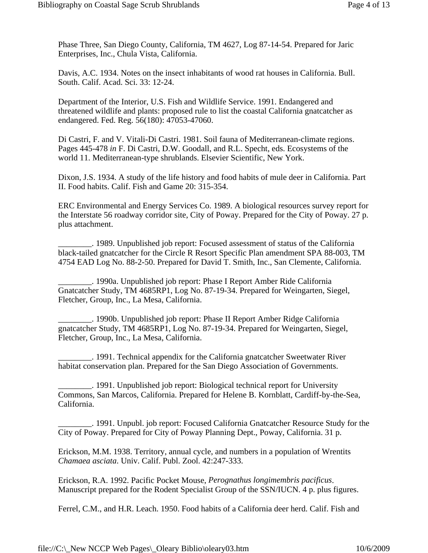Phase Three, San Diego County, California, TM 4627, Log 87-14-54. Prepared for Jaric Enterprises, Inc., Chula Vista, California.

Davis, A.C. 1934. Notes on the insect inhabitants of wood rat houses in California. Bull. South. Calif. Acad. Sci. 33: 12-24.

Department of the Interior, U.S. Fish and Wildlife Service. 1991. Endangered and threatened wildlife and plants: proposed rule to list the coastal California gnatcatcher as endangered. Fed. Reg. 56(180): 47053-47060.

Di Castri, F. and V. Vitali-Di Castri. 1981. Soil fauna of Mediterranean-climate regions. Pages 445-478 *in* F. Di Castri, D.W. Goodall, and R.L. Specht, eds. Ecosystems of the world 11. Mediterranean-type shrublands. Elsevier Scientific, New York.

Dixon, J.S. 1934. A study of the life history and food habits of mule deer in California. Part II. Food habits. Calif. Fish and Game 20: 315-354.

ERC Environmental and Energy Services Co. 1989. A biological resources survey report for the Interstate 56 roadway corridor site, City of Poway. Prepared for the City of Poway. 27 p. plus attachment.

\_\_\_\_\_\_\_\_. 1989. Unpublished job report: Focused assessment of status of the California black-tailed gnatcatcher for the Circle R Resort Specific Plan amendment SPA 88-003, TM 4754 EAD Log No. 88-2-50. Prepared for David T. Smith, Inc., San Clemente, California.

\_\_\_\_\_\_\_\_. 1990a. Unpublished job report: Phase I Report Amber Ride California Gnatcatcher Study, TM 4685RP1, Log No. 87-19-34. Prepared for Weingarten, Siegel, Fletcher, Group, Inc., La Mesa, California.

\_\_\_\_\_\_\_\_. 1990b. Unpublished job report: Phase II Report Amber Ridge California gnatcatcher Study, TM 4685RP1, Log No. 87-19-34. Prepared for Weingarten, Siegel, Fletcher, Group, Inc., La Mesa, California.

\_\_\_\_\_\_\_\_. 1991. Technical appendix for the California gnatcatcher Sweetwater River habitat conservation plan. Prepared for the San Diego Association of Governments.

\_\_\_\_\_\_\_\_. 1991. Unpublished job report: Biological technical report for University Commons, San Marcos, California. Prepared for Helene B. Kornblatt, Cardiff-by-the-Sea, California.

\_\_\_\_\_\_\_\_. 1991. Unpubl. job report: Focused California Gnatcatcher Resource Study for the City of Poway. Prepared for City of Poway Planning Dept., Poway, California. 31 p.

Erickson, M.M. 1938. Territory, annual cycle, and numbers in a population of Wrentits *Chamaea asciata*. Univ. Calif. Publ. Zool. 42:247-333.

Erickson, R.A. 1992. Pacific Pocket Mouse, *Perognathus longimembris pacificus*. Manuscript prepared for the Rodent Specialist Group of the SSN/IUCN. 4 p. plus figures.

Ferrel, C.M., and H.R. Leach. 1950. Food habits of a California deer herd. Calif. Fish and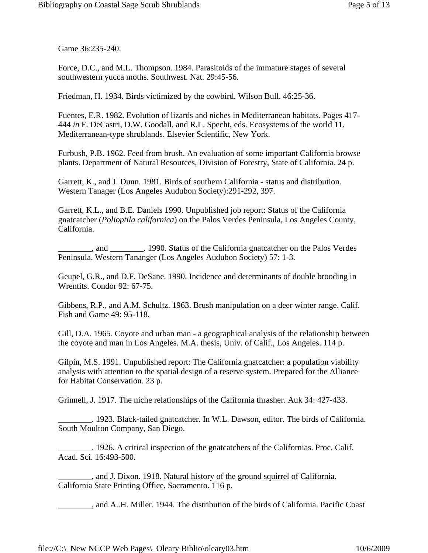Game 36:235-240.

Force, D.C., and M.L. Thompson. 1984. Parasitoids of the immature stages of several southwestern yucca moths. Southwest. Nat. 29:45-56.

Friedman, H. 1934. Birds victimized by the cowbird. Wilson Bull. 46:25-36.

Fuentes, E.R. 1982. Evolution of lizards and niches in Mediterranean habitats. Pages 417- 444 *in* F. DeCastri, D.W. Goodall, and R.L. Specht, eds. Ecosystems of the world 11. Mediterranean-type shrublands. Elsevier Scientific, New York.

Furbush, P.B. 1962. Feed from brush. An evaluation of some important California browse plants. Department of Natural Resources, Division of Forestry, State of California. 24 p.

Garrett, K., and J. Dunn. 1981. Birds of southern California - status and distribution. Western Tanager (Los Angeles Audubon Society):291-292, 397.

Garrett, K.L., and B.E. Daniels 1990. Unpublished job report: Status of the California gnatcatcher (*Polioptila californica*) on the Palos Verdes Peninsula, Los Angeles County, California.

\_\_\_\_\_\_\_\_, and \_\_\_\_\_\_\_\_. 1990. Status of the California gnatcatcher on the Palos Verdes Peninsula. Western Tananger (Los Angeles Audubon Society) 57: 1-3.

Geupel, G.R., and D.F. DeSane. 1990. Incidence and determinants of double brooding in Wrentits. Condor 92: 67-75.

Gibbens, R.P., and A.M. Schultz. 1963. Brush manipulation on a deer winter range. Calif. Fish and Game 49: 95-118.

Gill, D.A. 1965. Coyote and urban man - a geographical analysis of the relationship between the coyote and man in Los Angeles. M.A. thesis, Univ. of Calif., Los Angeles. 114 p.

Gilpin, M.S. 1991. Unpublished report: The California gnatcatcher: a population viability analysis with attention to the spatial design of a reserve system. Prepared for the Alliance for Habitat Conservation. 23 p.

Grinnell, J. 1917. The niche relationships of the California thrasher. Auk 34: 427-433.

\_\_\_\_\_\_\_\_. 1923. Black-tailed gnatcatcher. In W.L. Dawson, editor. The birds of California. South Moulton Company, San Diego.

\_\_\_\_\_\_\_\_. 1926. A critical inspection of the gnatcatchers of the Californias. Proc. Calif. Acad. Sci. 16:493-500.

\_\_\_\_\_\_\_\_, and J. Dixon. 1918. Natural history of the ground squirrel of California. California State Printing Office, Sacramento. 116 p.

\_\_\_\_\_\_\_\_, and A..H. Miller. 1944. The distribution of the birds of California. Pacific Coast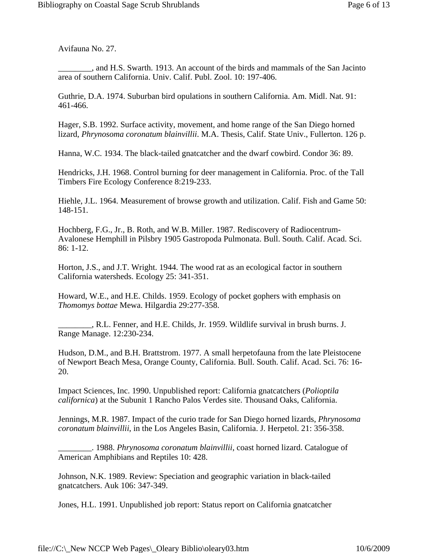Avifauna No. 27.

\_\_\_\_\_\_\_\_, and H.S. Swarth. 1913. An account of the birds and mammals of the San Jacinto area of southern California. Univ. Calif. Publ. Zool. 10: 197-406.

Guthrie, D.A. 1974. Suburban bird opulations in southern California. Am. Midl. Nat. 91: 461-466.

Hager, S.B. 1992. Surface activity, movement, and home range of the San Diego horned lizard, *Phrynosoma coronatum blainvillii*. M.A. Thesis, Calif. State Univ., Fullerton. 126 p.

Hanna, W.C. 1934. The black-tailed gnatcatcher and the dwarf cowbird. Condor 36: 89.

Hendricks, J.H. 1968. Control burning for deer management in California. Proc. of the Tall Timbers Fire Ecology Conference 8:219-233.

Hiehle, J.L. 1964. Measurement of browse growth and utilization. Calif. Fish and Game 50: 148-151.

Hochberg, F.G., Jr., B. Roth, and W.B. Miller. 1987. Rediscovery of Radiocentrum-Avalonese Hemphill in Pilsbry 1905 Gastropoda Pulmonata. Bull. South. Calif. Acad. Sci. 86: 1-12.

Horton, J.S., and J.T. Wright. 1944. The wood rat as an ecological factor in southern California watersheds. Ecology 25: 341-351.

Howard, W.E., and H.E. Childs. 1959. Ecology of pocket gophers with emphasis on *Thomomys bottae* Mewa. Hilgardia 29:277-358.

\_\_\_\_\_\_\_\_, R.L. Fenner, and H.E. Childs, Jr. 1959. Wildlife survival in brush burns. J. Range Manage. 12:230-234.

Hudson, D.M., and B.H. Brattstrom. 1977. A small herpetofauna from the late Pleistocene of Newport Beach Mesa, Orange County, California. Bull. South. Calif. Acad. Sci. 76: 16- 20.

Impact Sciences, Inc. 1990. Unpublished report: California gnatcatchers (*Polioptila californica*) at the Subunit 1 Rancho Palos Verdes site. Thousand Oaks, California.

Jennings, M.R. 1987. Impact of the curio trade for San Diego horned lizards, *Phrynosoma coronatum blainvillii*, in the Los Angeles Basin, California. J. Herpetol. 21: 356-358.

\_\_\_\_\_\_\_\_. 1988. *Phrynosoma coronatum blainvillii*, coast horned lizard. Catalogue of American Amphibians and Reptiles 10: 428.

Johnson, N.K. 1989. Review: Speciation and geographic variation in black-tailed gnatcatchers. Auk 106: 347-349.

Jones, H.L. 1991. Unpublished job report: Status report on California gnatcatcher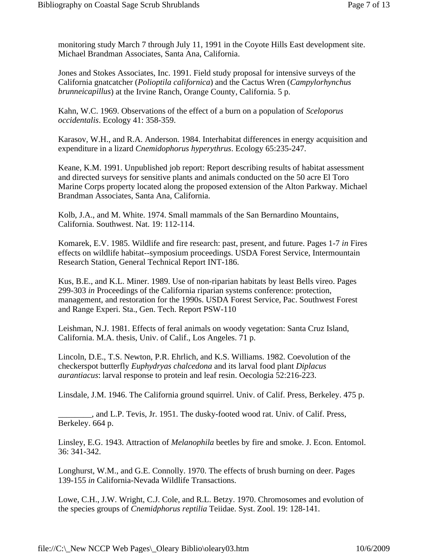monitoring study March 7 through July 11, 1991 in the Coyote Hills East development site. Michael Brandman Associates, Santa Ana, California.

Jones and Stokes Associates, Inc. 1991. Field study proposal for intensive surveys of the California gnatcatcher (*Polioptila californica*) and the Cactus Wren (*Campylorhynchus brunneicapillus*) at the Irvine Ranch, Orange County, California. 5 p.

Kahn, W.C. 1969. Observations of the effect of a burn on a population of *Sceloporus occidentalis*. Ecology 41: 358-359.

Karasov, W.H., and R.A. Anderson. 1984. Interhabitat differences in energy acquisition and expenditure in a lizard *Cnemidophorus hyperythrus*. Ecology 65:235-247.

Keane, K.M. 1991. Unpublished job report: Report describing results of habitat assessment and directed surveys for sensitive plants and animals conducted on the 50 acre El Toro Marine Corps property located along the proposed extension of the Alton Parkway. Michael Brandman Associates, Santa Ana, California.

Kolb, J.A., and M. White. 1974. Small mammals of the San Bernardino Mountains, California. Southwest. Nat. 19: 112-114.

Komarek, E.V. 1985. Wildlife and fire research: past, present, and future. Pages 1-7 *in* Fires effects on wildlife habitat--symposium proceedings. USDA Forest Service, Intermountain Research Station, General Technical Report INT-186.

Kus, B.E., and K.L. Miner. 1989. Use of non-riparian habitats by least Bells vireo. Pages 299-303 *in* Proceedings of the California riparian systems conference: protection, management, and restoration for the 1990s. USDA Forest Service, Pac. Southwest Forest and Range Experi. Sta., Gen. Tech. Report PSW-110

Leishman, N.J. 1981. Effects of feral animals on woody vegetation: Santa Cruz Island, California. M.A. thesis, Univ. of Calif., Los Angeles. 71 p.

Lincoln, D.E., T.S. Newton, P.R. Ehrlich, and K.S. Williams. 1982. Coevolution of the checkerspot butterfly *Euphydryas chalcedona* and its larval food plant *Diplacus aurantiacus*: larval response to protein and leaf resin. Oecologia 52:216-223.

Linsdale, J.M. 1946. The California ground squirrel. Univ. of Calif. Press, Berkeley. 475 p.

\_\_\_\_\_\_\_\_, and L.P. Tevis, Jr. 1951. The dusky-footed wood rat. Univ. of Calif. Press, Berkeley. 664 p.

Linsley, E.G. 1943. Attraction of *Melanophila* beetles by fire and smoke. J. Econ. Entomol. 36: 341-342.

Longhurst, W.M., and G.E. Connolly. 1970. The effects of brush burning on deer. Pages 139-155 *in* California-Nevada Wildlife Transactions.

Lowe, C.H., J.W. Wright, C.J. Cole, and R.L. Betzy. 1970. Chromosomes and evolution of the species groups of *Cnemidphorus reptilia* Teiidae. Syst. Zool. 19: 128-141.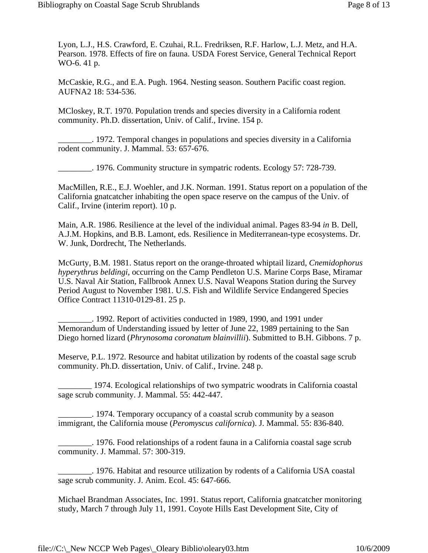Lyon, L.J., H.S. Crawford, E. Czuhai, R.L. Fredriksen, R.F. Harlow, L.J. Metz, and H.A. Pearson. 1978. Effects of fire on fauna. USDA Forest Service, General Technical Report WO-6. 41 p.

McCaskie, R.G., and E.A. Pugh. 1964. Nesting season. Southern Pacific coast region. AUFNA2 18: 534-536.

MCloskey, R.T. 1970. Population trends and species diversity in a California rodent community. Ph.D. dissertation, Univ. of Calif., Irvine. 154 p.

\_\_\_\_\_\_\_\_. 1972. Temporal changes in populations and species diversity in a California rodent community. J. Mammal. 53: 657-676.

\_\_\_\_\_\_\_\_. 1976. Community structure in sympatric rodents. Ecology 57: 728-739.

MacMillen, R.E., E.J. Woehler, and J.K. Norman. 1991. Status report on a population of the California gnatcatcher inhabiting the open space reserve on the campus of the Univ. of Calif., Irvine (interim report). 10 p.

Main, A.R. 1986. Resilience at the level of the individual animal. Pages 83-94 *in* B. Dell, A.J.M. Hopkins, and B.B. Lamont, eds. Resilience in Mediterranean-type ecosystems. Dr. W. Junk, Dordrecht, The Netherlands.

McGurty, B.M. 1981. Status report on the orange-throated whiptail lizard, *Cnemidophorus hyperythrus beldingi*, occurring on the Camp Pendleton U.S. Marine Corps Base, Miramar U.S. Naval Air Station, Fallbrook Annex U.S. Naval Weapons Station during the Survey Period August to November 1981. U.S. Fish and Wildlife Service Endangered Species Office Contract 11310-0129-81. 25 p.

\_\_\_\_\_\_\_\_. 1992. Report of activities conducted in 1989, 1990, and 1991 under Memorandum of Understanding issued by letter of June 22, 1989 pertaining to the San Diego horned lizard (*Phrynosoma coronatum blainvillii*). Submitted to B.H. Gibbons. 7 p.

Meserve, P.L. 1972. Resource and habitat utilization by rodents of the coastal sage scrub community. Ph.D. dissertation, Univ. of Calif., Irvine. 248 p.

\_\_\_\_\_\_\_\_ 1974. Ecological relationships of two sympatric woodrats in California coastal sage scrub community. J. Mammal. 55: 442-447.

\_\_\_\_\_\_\_\_. 1974. Temporary occupancy of a coastal scrub community by a season immigrant, the California mouse (*Peromyscus californica*). J. Mammal. 55: 836-840.

\_\_\_\_\_\_\_\_. 1976. Food relationships of a rodent fauna in a California coastal sage scrub community. J. Mammal. 57: 300-319.

\_\_\_\_\_\_\_\_. 1976. Habitat and resource utilization by rodents of a California USA coastal sage scrub community. J. Anim. Ecol. 45: 647-666.

Michael Brandman Associates, Inc. 1991. Status report, California gnatcatcher monitoring study, March 7 through July 11, 1991. Coyote Hills East Development Site, City of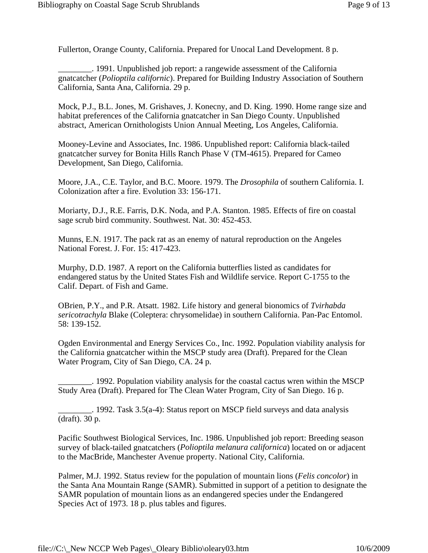Fullerton, Orange County, California. Prepared for Unocal Land Development. 8 p.

\_\_\_\_\_\_\_\_. 1991. Unpublished job report: a rangewide assessment of the California gnatcatcher (*Polioptila californic*). Prepared for Building Industry Association of Southern California, Santa Ana, California. 29 p.

Mock, P.J., B.L. Jones, M. Grishaves, J. Konecny, and D. King. 1990. Home range size and habitat preferences of the California gnatcatcher in San Diego County. Unpublished abstract, American Ornithologists Union Annual Meeting, Los Angeles, California.

Mooney-Levine and Associates, Inc. 1986. Unpublished report: California black-tailed gnatcatcher survey for Bonita Hills Ranch Phase V (TM-4615). Prepared for Cameo Development, San Diego, California.

Moore, J.A., C.E. Taylor, and B.C. Moore. 1979. The *Drosophila* of southern California. I. Colonization after a fire. Evolution 33: 156-171.

Moriarty, D.J., R.E. Farris, D.K. Noda, and P.A. Stanton. 1985. Effects of fire on coastal sage scrub bird community. Southwest. Nat. 30: 452-453.

Munns, E.N. 1917. The pack rat as an enemy of natural reproduction on the Angeles National Forest. J. For. 15: 417-423.

Murphy, D.D. 1987. A report on the California butterflies listed as candidates for endangered status by the United States Fish and Wildlife service. Report C-1755 to the Calif. Depart. of Fish and Game.

OBrien, P.Y., and P.R. Atsatt. 1982. Life history and general bionomics of *Tvirhabda sericotrachyla* Blake (Coleptera: chrysomelidae) in southern California. Pan-Pac Entomol. 58: 139-152.

Ogden Environmental and Energy Services Co., Inc. 1992. Population viability analysis for the California gnatcatcher within the MSCP study area (Draft). Prepared for the Clean Water Program, City of San Diego, CA. 24 p.

\_\_\_\_\_\_\_\_. 1992. Population viability analysis for the coastal cactus wren within the MSCP Study Area (Draft). Prepared for The Clean Water Program, City of San Diego. 16 p.

\_\_\_\_\_\_\_\_. 1992. Task 3.5(a-4): Status report on MSCP field surveys and data analysis (draft). 30 p.

Pacific Southwest Biological Services, Inc. 1986. Unpublished job report: Breeding season survey of black-tailed gnatcatchers (*Polioptila melanura californica*) located on or adjacent to the MacBride, Manchester Avenue property. National City, California.

Palmer, M.J. 1992. Status review for the population of mountain lions (*Felis concolor*) in the Santa Ana Mountain Range (SAMR). Submitted in support of a petition to designate the SAMR population of mountain lions as an endangered species under the Endangered Species Act of 1973. 18 p. plus tables and figures.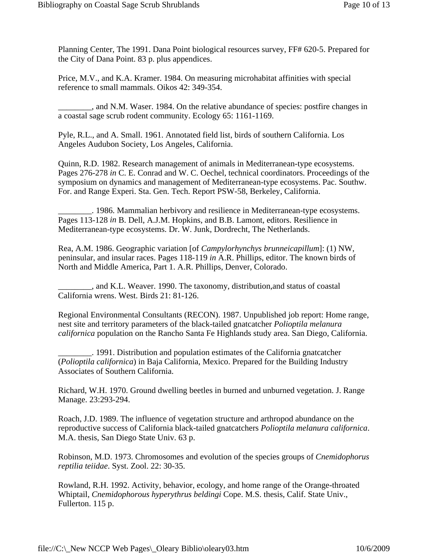Planning Center, The 1991. Dana Point biological resources survey, FF# 620-5. Prepared for the City of Dana Point. 83 p. plus appendices.

Price, M.V., and K.A. Kramer. 1984. On measuring microhabitat affinities with special reference to small mammals. Oikos 42: 349-354.

\_\_\_\_\_\_\_\_, and N.M. Waser. 1984. On the relative abundance of species: postfire changes in a coastal sage scrub rodent community. Ecology 65: 1161-1169.

Pyle, R.L., and A. Small. 1961. Annotated field list, birds of southern California. Los Angeles Audubon Society, Los Angeles, California.

Quinn, R.D. 1982. Research management of animals in Mediterranean-type ecosystems. Pages 276-278 *in* C. E. Conrad and W. C. Oechel, technical coordinators. Proceedings of the symposium on dynamics and management of Mediterranean-type ecosystems. Pac. Southw. For. and Range Experi. Sta. Gen. Tech. Report PSW-58, Berkeley, California.

\_\_\_\_\_\_\_\_. 1986. Mammalian herbivory and resilience in Mediterranean-type ecosystems. Pages 113-128 *in* B. Dell, A.J.M. Hopkins, and B.B. Lamont, editors. Resilience in Mediterranean-type ecosystems. Dr. W. Junk, Dordrecht, The Netherlands.

Rea, A.M. 1986. Geographic variation [of *Campylorhynchys brunneicapillum*]: (1) NW, peninsular, and insular races. Pages 118-119 *in* A.R. Phillips, editor. The known birds of North and Middle America, Part 1. A.R. Phillips, Denver, Colorado.

all 2011, and K.L. Weaver. 1990. The taxonomy, distribution, and status of coastal California wrens. West. Birds 21: 81-126.

Regional Environmental Consultants (RECON). 1987. Unpublished job report: Home range, nest site and territory parameters of the black-tailed gnatcatcher *Polioptila melanura californica* population on the Rancho Santa Fe Highlands study area. San Diego, California.

\_\_\_\_\_\_\_\_. 1991. Distribution and population estimates of the California gnatcatcher (*Polioptila californica*) in Baja California, Mexico. Prepared for the Building Industry Associates of Southern California.

Richard, W.H. 1970. Ground dwelling beetles in burned and unburned vegetation. J. Range Manage. 23:293-294.

Roach, J.D. 1989. The influence of vegetation structure and arthropod abundance on the reproductive success of California black-tailed gnatcatchers *Polioptila melanura californica*. M.A. thesis, San Diego State Univ. 63 p.

Robinson, M.D. 1973. Chromosomes and evolution of the species groups of *Cnemidophorus reptilia teiidae*. Syst. Zool. 22: 30-35.

Rowland, R.H. 1992. Activity, behavior, ecology, and home range of the Orange-throated Whiptail, *Cnemidophorous hyperythrus beldingi* Cope. M.S. thesis, Calif. State Univ., Fullerton. 115 p.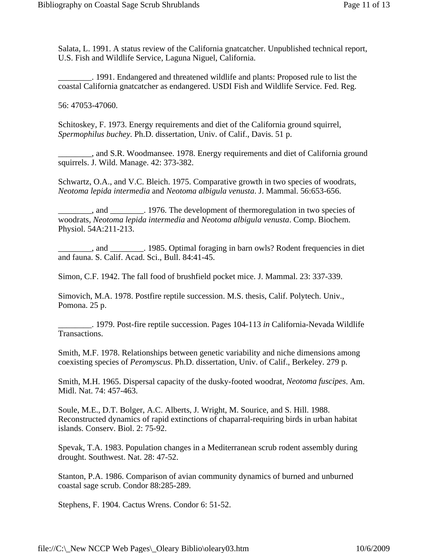Salata, L. 1991. A status review of the California gnatcatcher. Unpublished technical report, U.S. Fish and Wildlife Service, Laguna Niguel, California.

\_\_\_\_\_\_\_\_. 1991. Endangered and threatened wildlife and plants: Proposed rule to list the coastal California gnatcatcher as endangered. USDI Fish and Wildlife Service. Fed. Reg.

56: 47053-47060.

Schitoskey, F. 1973. Energy requirements and diet of the California ground squirrel, *Spermophilus buchey*. Ph.D. dissertation, Univ. of Calif., Davis. 51 p.

..., and S.R. Woodmansee. 1978. Energy requirements and diet of California ground squirrels. J. Wild. Manage. 42: 373-382.

Schwartz, O.A., and V.C. Bleich. 1975. Comparative growth in two species of woodrats, *Neotoma lepida intermedia* and *Neotoma albigula venusta*. J. Mammal. 56:653-656.

\_\_\_\_\_\_\_\_, and \_\_\_\_\_\_\_\_. 1976. The development of thermoregulation in two species of woodrats, *Neotoma lepida intermedia* and *Neotoma albigula venusta*. Comp. Biochem. Physiol. 54A:211-213.

\_\_\_\_\_\_\_\_, and \_\_\_\_\_\_\_\_. 1985. Optimal foraging in barn owls? Rodent frequencies in diet and fauna. S. Calif. Acad. Sci., Bull. 84:41-45.

Simon, C.F. 1942. The fall food of brushfield pocket mice. J. Mammal. 23: 337-339.

Simovich, M.A. 1978. Postfire reptile succession. M.S. thesis, Calif. Polytech. Univ., Pomona. 25 p.

\_\_\_\_\_\_\_\_. 1979. Post-fire reptile succession. Pages 104-113 *in* California-Nevada Wildlife Transactions.

Smith, M.F. 1978. Relationships between genetic variability and niche dimensions among coexisting species of *Peromyscus*. Ph.D. dissertation, Univ. of Calif., Berkeley. 279 p.

Smith, M.H. 1965. Dispersal capacity of the dusky-footed woodrat, *Neotoma fuscipes*. Am. Midl. Nat. 74: 457-463.

Soule, M.E., D.T. Bolger, A.C. Alberts, J. Wright, M. Sourice, and S. Hill. 1988. Reconstructed dynamics of rapid extinctions of chaparral-requiring birds in urban habitat islands. Conserv. Biol. 2: 75-92.

Spevak, T.A. 1983. Population changes in a Mediterranean scrub rodent assembly during drought. Southwest. Nat. 28: 47-52.

Stanton, P.A. 1986. Comparison of avian community dynamics of burned and unburned coastal sage scrub. Condor 88:285-289.

Stephens, F. 1904. Cactus Wrens. Condor 6: 51-52.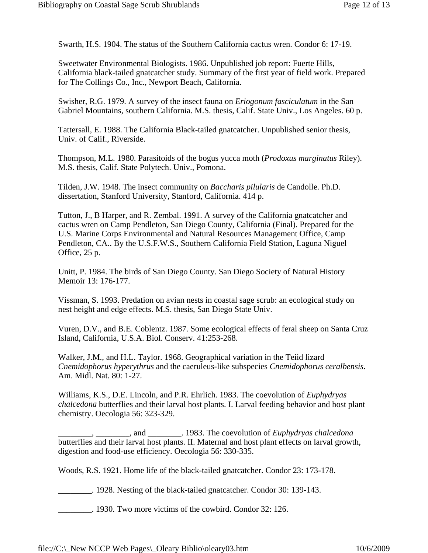Swarth, H.S. 1904. The status of the Southern California cactus wren. Condor 6: 17-19.

Sweetwater Environmental Biologists. 1986. Unpublished job report: Fuerte Hills, California black-tailed gnatcatcher study. Summary of the first year of field work. Prepared for The Collings Co., Inc., Newport Beach, California.

Swisher, R.G. 1979. A survey of the insect fauna on *Eriogonum fasciculatum* in the San Gabriel Mountains, southern California. M.S. thesis, Calif. State Univ., Los Angeles. 60 p.

Tattersall, E. 1988. The California Black-tailed gnatcatcher. Unpublished senior thesis, Univ. of Calif., Riverside.

Thompson, M.L. 1980. Parasitoids of the bogus yucca moth (*Prodoxus marginatus* Riley). M.S. thesis, Calif. State Polytech. Univ., Pomona.

Tilden, J.W. 1948. The insect community on *Baccharis pilularis* de Candolle. Ph.D. dissertation, Stanford University, Stanford, California. 414 p.

Tutton, J., B Harper, and R. Zembal. 1991. A survey of the California gnatcatcher and cactus wren on Camp Pendleton, San Diego County, California (Final). Prepared for the U.S. Marine Corps Environmental and Natural Resources Management Office, Camp Pendleton, CA.. By the U.S.F.W.S., Southern California Field Station, Laguna Niguel Office, 25 p.

Unitt, P. 1984. The birds of San Diego County. San Diego Society of Natural History Memoir 13: 176-177.

Vissman, S. 1993. Predation on avian nests in coastal sage scrub: an ecological study on nest height and edge effects. M.S. thesis, San Diego State Univ.

Vuren, D.V., and B.E. Coblentz. 1987. Some ecological effects of feral sheep on Santa Cruz Island, California, U.S.A. Biol. Conserv. 41:253-268.

Walker, J.M., and H.L. Taylor. 1968. Geographical variation in the Teiid lizard *Cnemidophorus hyperythrus* and the caeruleus-like subspecies *Cnemidophorus ceralbensis*. Am. Midl. Nat. 80: 1-27.

Williams, K.S., D.E. Lincoln, and P.R. Ehrlich. 1983. The coevolution of *Euphydryas chalcedona* butterflies and their larval host plants. I. Larval feeding behavior and host plant chemistry. Oecologia 56: 323-329.

\_\_\_\_\_\_\_\_, \_\_\_\_\_\_\_\_, and \_\_\_\_\_\_\_\_. 1983. The coevolution of *Euphydryas chalcedona* butterflies and their larval host plants. II. Maternal and host plant effects on larval growth, digestion and food-use efficiency. Oecologia 56: 330-335.

Woods, R.S. 1921. Home life of the black-tailed gnatcatcher. Condor 23: 173-178.

\_\_\_\_\_\_\_\_. 1928. Nesting of the black-tailed gnatcatcher. Condor 30: 139-143.

\_\_\_\_\_\_\_\_. 1930. Two more victims of the cowbird. Condor 32: 126.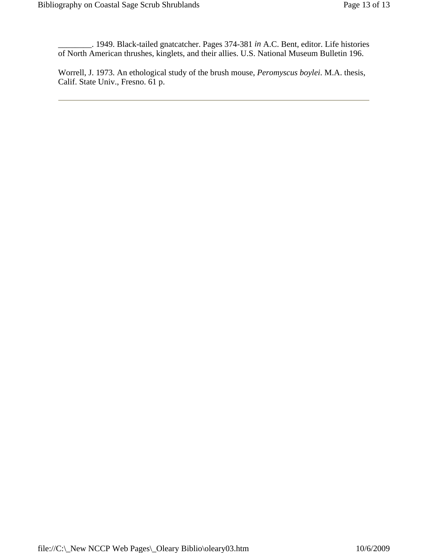\_\_\_\_\_\_\_\_. 1949. Black-tailed gnatcatcher. Pages 374-381 *in* A.C. Bent, editor. Life histories of North American thrushes, kinglets, and their allies. U.S. National Museum Bulletin 196.

Worrell, J. 1973. An ethological study of the brush mouse, *Peromyscus boylei*. M.A. thesis, Calif. State Univ., Fresno. 61 p.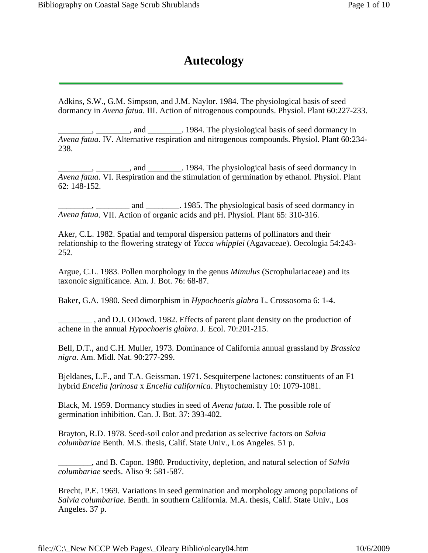## **Autecology**

<span id="page-16-0"></span>Adkins, S.W., G.M. Simpson, and J.M. Naylor. 1984. The physiological basis of seed dormancy in *Avena fatua*. III. Action of nitrogenous compounds. Physiol. Plant 60:227-233.

 $\Box$ , \_\_\_\_\_\_\_, and \_\_\_\_\_\_\_. 1984. The physiological basis of seed dormancy in *Avena fatua*. IV. Alternative respiration and nitrogenous compounds. Physiol. Plant 60:234- 238.

 $\Box$ , and  $\Box$ . 1984. The physiological basis of seed dormancy in *Avena fatua*. VI. Respiration and the stimulation of germination by ethanol. Physiol. Plant 62: 148-152.

<sub>-</sub>, \_\_\_\_\_\_\_\_\_\_, and \_\_\_\_\_\_\_\_\_. 1985. The physiological basis of seed dormancy in *Avena fatua*. VII. Action of organic acids and pH. Physiol. Plant 65: 310-316.

Aker, C.L. 1982. Spatial and temporal dispersion patterns of pollinators and their relationship to the flowering strategy of *Yucca whipplei* (Agavaceae). Oecologia 54:243- 252.

Argue, C.L. 1983. Pollen morphology in the genus *Mimulus* (Scrophulariaceae) and its taxonoic significance. Am. J. Bot. 76: 68-87.

Baker, G.A. 1980. Seed dimorphism in *Hypochoeris glabra* L. Crossosoma 6: 1-4.

\_\_\_\_\_\_\_\_ , and D.J. ODowd. 1982. Effects of parent plant density on the production of achene in the annual *Hypochoeris glabra*. J. Ecol. 70:201-215.

Bell, D.T., and C.H. Muller, 1973. Dominance of California annual grassland by *Brassica nigra*. Am. Midl. Nat. 90:277-299.

Bjeldanes, L.F., and T.A. Geissman. 1971. Sesquiterpene lactones: constituents of an F1 hybrid *Encelia farinosa* x *Encelia californica*. Phytochemistry 10: 1079-1081.

Black, M. 1959. Dormancy studies in seed of *Avena fatua*. I. The possible role of germination inhibition. Can. J. Bot. 37: 393-402.

Brayton, R.D. 1978. Seed-soil color and predation as selective factors on *Salvia columbariae* Benth. M.S. thesis, Calif. State Univ., Los Angeles. 51 p.

\_\_\_\_\_\_\_\_, and B. Capon. 1980. Productivity, depletion, and natural selection of *Salvia columbariae* seeds. Aliso 9: 581-587.

Brecht, P.E. 1969. Variations in seed germination and morphology among populations of *Salvia columbariae*. Benth. in southern California. M.A. thesis, Calif. State Univ., Los Angeles. 37 p.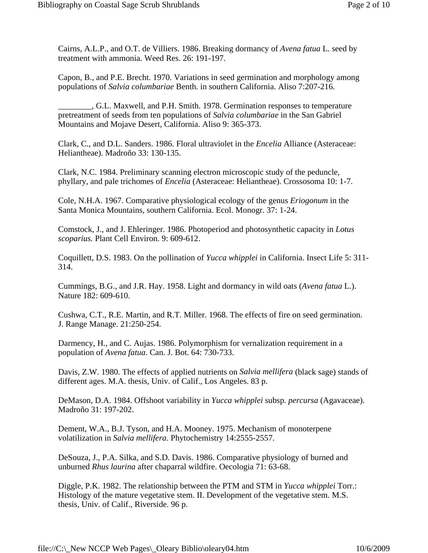Cairns, A.L.P., and O.T. de Villiers. 1986. Breaking dormancy of *Avena fatua* L. seed by treatment with ammonia. Weed Res. 26: 191-197.

Capon, B., and P.E. Brecht. 1970. Variations in seed germination and morphology among populations of *Salvia columbariae* Benth. in southern California. Aliso 7:207-216.

\_\_\_\_\_\_\_\_, G.L. Maxwell, and P.H. Smith. 1978. Germination responses to temperature pretreatment of seeds from ten populations of *Salvia columbariae* in the San Gabriel Mountains and Mojave Desert, California. Aliso 9: 365-373.

Clark, C., and D.L. Sanders. 1986. Floral ultraviolet in the *Encelia* Alliance (Asteraceae: Heliantheae). Madroño 33: 130-135.

Clark, N.C. 1984. Preliminary scanning electron microscopic study of the peduncle, phyllary, and pale trichomes of *Encelia* (Asteraceae: Heliantheae). Crossosoma 10: 1-7.

Cole, N.H.A. 1967. Comparative physiological ecology of the genus *Eriogonum* in the Santa Monica Mountains, southern California. Ecol. Monogr. 37: 1-24.

Comstock, J., and J. Ehleringer. 1986. Photoperiod and photosynthetic capacity in *Lotus scoparius.* Plant Cell Environ. 9: 609-612.

Coquillett, D.S. 1983. On the pollination of *Yucca whipplei* in California. Insect Life 5: 311- 314.

Cummings, B.G., and J.R. Hay. 1958. Light and dormancy in wild oats (*Avena fatua* L.). Nature 182: 609-610.

Cushwa, C.T., R.E. Martin, and R.T. Miller. 1968. The effects of fire on seed germination. J. Range Manage. 21:250-254.

Darmency, H., and C. Aujas. 1986. Polymorphism for vernalization requirement in a population of *Avena fatua*. Can. J. Bot. 64: 730-733.

Davis, Z.W. 1980. The effects of applied nutrients on *Salvia mellifera* (black sage) stands of different ages. M.A. thesis, Univ. of Calif., Los Angeles. 83 p.

DeMason, D.A. 1984. Offshoot variability in *Yucca whipplei* subsp. *percursa* (Agavaceae). Madroño 31: 197-202.

Dement, W.A., B.J. Tyson, and H.A. Mooney. 1975. Mechanism of monoterpene volatilization in *Salvia mellifera*. Phytochemistry 14:2555-2557.

DeSouza, J., P.A. Silka, and S.D. Davis. 1986. Comparative physiology of burned and unburned *Rhus laurina* after chaparral wildfire. Oecologia 71: 63-68.

Diggle, P.K. 1982. The relationship between the PTM and STM in *Yucca whipplei* Torr.: Histology of the mature vegetative stem. II. Development of the vegetative stem. M.S. thesis, Univ. of Calif., Riverside. 96 p.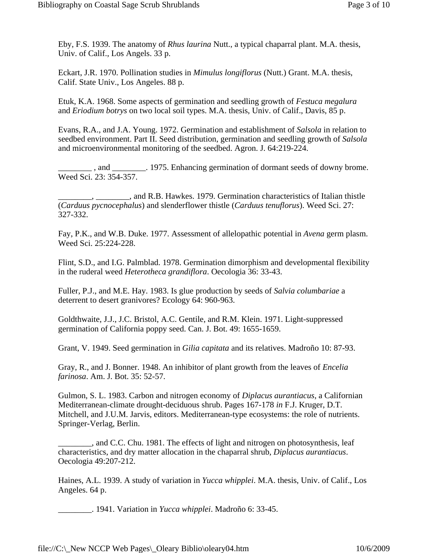Eby, F.S. 1939. The anatomy of *Rhus laurina* Nutt., a typical chaparral plant. M.A. thesis, Univ. of Calif., Los Angels. 33 p.

Eckart, J.R. 1970. Pollination studies in *Mimulus longiflorus* (Nutt.) Grant. M.A. thesis, Calif. State Univ., Los Angeles. 88 p.

Etuk, K.A. 1968. Some aspects of germination and seedling growth of *Festuca megalura* and *Eriodium botrys* on two local soil types. M.A. thesis, Univ. of Calif., Davis, 85 p.

Evans, R.A., and J.A. Young. 1972. Germination and establishment of *Salsola* in relation to seedbed environment. Part II. Seed distribution, germination and seedling growth of *Salsola* and microenvironmental monitoring of the seedbed. Agron. J. 64:219-224.

and 1975. Enhancing germination of dormant seeds of downy brome. Weed Sci. 23: 354-357.

\_\_\_\_\_\_\_\_, \_\_\_\_\_\_\_\_, and R.B. Hawkes. 1979. Germination characteristics of Italian thistle (*Carduus pycnocephalus*) and slenderflower thistle (*Carduus tenuflorus*). Weed Sci. 27: 327-332.

Fay, P.K., and W.B. Duke. 1977. Assessment of allelopathic potential in *Avena* germ plasm. Weed Sci. 25:224-228.

Flint, S.D., and I.G. Palmblad. 1978. Germination dimorphism and developmental flexibility in the ruderal weed *Heterotheca grandiflora*. Oecologia 36: 33-43.

Fuller, P.J., and M.E. Hay. 1983. Is glue production by seeds of *Salvia columbariae* a deterrent to desert granivores? Ecology 64: 960-963.

Goldthwaite, J.J., J.C. Bristol, A.C. Gentile, and R.M. Klein. 1971. Light-suppressed germination of California poppy seed. Can. J. Bot. 49: 1655-1659.

Grant, V. 1949. Seed germination in *Gilia capitata* and its relatives. Madroño 10: 87-93.

Gray, R., and J. Bonner. 1948. An inhibitor of plant growth from the leaves of *Encelia farinosa*. Am. J. Bot. 35: 52-57.

Gulmon, S. L. 1983. Carbon and nitrogen economy of *Diplacus aurantiacus*, a Californian Mediterranean-climate drought-deciduous shrub. Pages 167-178 *in* F.J. Kruger, D.T. Mitchell, and J.U.M. Jarvis, editors. Mediterranean-type ecosystems: the role of nutrients. Springer-Verlag, Berlin.

\_\_\_\_\_\_\_\_, and C.C. Chu. 1981. The effects of light and nitrogen on photosynthesis, leaf characteristics, and dry matter allocation in the chaparral shrub, *Diplacus aurantiacus*. Oecologia 49:207-212.

Haines, A.L. 1939. A study of variation in *Yucca whipplei*. M.A. thesis, Univ. of Calif., Los Angeles. 64 p.

\_\_\_\_\_\_\_\_. 1941. Variation in *Yucca whipplei*. Madroño 6: 33-45.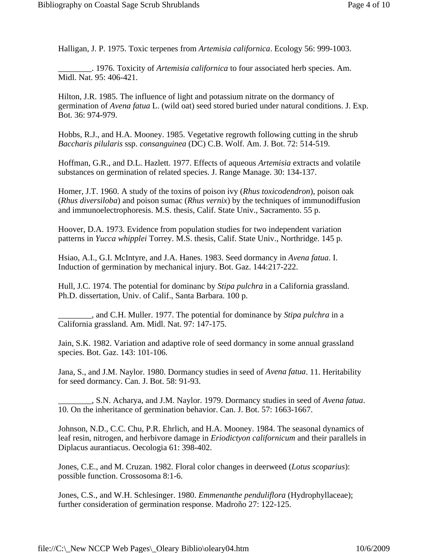Halligan, J. P. 1975. Toxic terpenes from *Artemisia californica*. Ecology 56: 999-1003.

\_\_\_\_\_\_\_\_. 1976. Toxicity of *Artemisia californica* to four associated herb species. Am. Midl. Nat. 95: 406-421.

Hilton, J.R. 1985. The influence of light and potassium nitrate on the dormancy of germination of *Avena fatua* L. (wild oat) seed stored buried under natural conditions. J. Exp. Bot. 36: 974-979.

Hobbs, R.J., and H.A. Mooney. 1985. Vegetative regrowth following cutting in the shrub *Baccharis pilularis* ssp. *consanguinea* (DC) C.B. Wolf. Am. J. Bot. 72: 514-519.

Hoffman, G.R., and D.L. Hazlett. 1977. Effects of aqueous *Artemisia* extracts and volatile substances on germination of related species. J. Range Manage. 30: 134-137.

Homer, J.T. 1960. A study of the toxins of poison ivy (*Rhus toxicodendron*), poison oak (*Rhus diversiloba*) and poison sumac (*Rhus vernix*) by the techniques of immunodiffusion and immunoelectrophoresis. M.S. thesis, Calif. State Univ., Sacramento. 55 p.

Hoover, D.A. 1973. Evidence from population studies for two independent variation patterns in *Yucca whipplei* Torrey. M.S. thesis, Calif. State Univ., Northridge. 145 p.

Hsiao, A.I., G.I. McIntyre, and J.A. Hanes. 1983. Seed dormancy in *Avena fatua*. I. Induction of germination by mechanical injury. Bot. Gaz. 144:217-222.

Hull, J.C. 1974. The potential for dominanc by *Stipa pulchra* in a California grassland. Ph.D. dissertation, Univ. of Calif., Santa Barbara. 100 p.

\_\_\_\_\_\_\_\_, and C.H. Muller. 1977. The potential for dominance by *Stipa pulchra* in a California grassland. Am. Midl. Nat. 97: 147-175.

Jain, S.K. 1982. Variation and adaptive role of seed dormancy in some annual grassland species. Bot. Gaz. 143: 101-106.

Jana, S., and J.M. Naylor. 1980. Dormancy studies in seed of *Avena fatua*. 11. Heritability for seed dormancy. Can. J. Bot. 58: 91-93.

\_\_\_\_\_\_\_\_, S.N. Acharya, and J.M. Naylor. 1979. Dormancy studies in seed of *Avena fatua*. 10. On the inheritance of germination behavior. Can. J. Bot. 57: 1663-1667.

Johnson, N.D., C.C. Chu, P.R. Ehrlich, and H.A. Mooney. 1984. The seasonal dynamics of leaf resin, nitrogen, and herbivore damage in *Eriodictyon californicum* and their parallels in Diplacus aurantiacus. Oecologia 61: 398-402.

Jones, C.E., and M. Cruzan. 1982. Floral color changes in deerweed (*Lotus scoparius*): possible function. Crossosoma 8:1-6.

Jones, C.S., and W.H. Schlesinger. 1980. *Emmenanthe penduliflora* (Hydrophyllaceae); further consideration of germination response. Madroño 27: 122-125.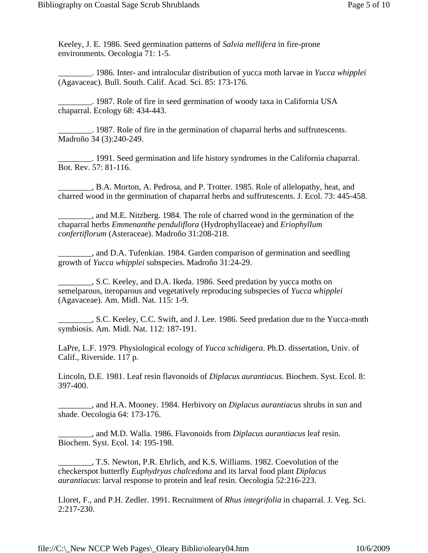Keeley, J. E. 1986. Seed germination patterns of *Salvia mellifera* in fire-prone environments. Oecologia 71: 1-5.

\_\_\_\_\_\_\_\_. 1986. Inter- and intralocular distribution of yucca moth larvae in *Yucca whipplei* (Agavaceac). Bull. South. Calif. Acad. Sci. 85: 173-176.

\_\_\_\_\_\_\_\_. 1987. Role of fire in seed germination of woody taxa in California USA chaparral. Ecology 68: 434-443.

\_\_\_\_\_\_\_\_. 1987. Role of fire in the germination of chaparral herbs and suffrutescents. Madroño 34 (3):240-249.

\_\_\_\_\_\_\_\_. 1991. Seed germination and life history syndromes in the California chaparral. Bot. Rev. 57: 81-116.

**EXECUTE:** B.A. Morton, A. Pedrosa, and P. Trotter. 1985. Role of allelopathy, heat, and charred wood in the germination of chaparral herbs and suffrutescents. J. Ecol. 73: 445-458.

\_\_\_\_\_\_\_\_, and M.E. Nitzberg. 1984. The role of charred wood in the germination of the chaparral herbs *Emmenanthe penduliflora* (Hydrophyllaceae) and *Eriophyllum confertiflorum* (Asteraceae). Madroño 31:208-218.

\_\_\_\_\_\_\_\_, and D.A. Tufenkian. 1984. Garden comparison of germination and seedling growth of *Yucca whipplei* subspecies. Madroño 31:24-29.

\_\_\_\_\_\_\_\_, S.C. Keeley, and D.A. Ikeda. 1986. Seed predation by yucca moths on semelparous, iteroparous and vegetatively reproducing subspecies of *Yucca whipplei* (Agavaceae). Am. Midl. Nat. 115: 1-9.

\_\_\_\_\_\_\_\_, S.C. Keeley, C.C. Swift, and J. Lee. 1986. Seed predation due to the Yucca-moth symbiosis. Am. Midl. Nat. 112: 187-191.

LaPre, L.F. 1979. Physiological ecology of *Yucca schidigera*. Ph.D. dissertation, Univ. of Calif., Riverside. 117 p.

Lincoln, D.E. 1981. Leaf resin flavonoids of *Diplacus aurantiacus*. Biochem. Syst. Ecol. 8: 397-400.

\_\_\_\_\_\_\_\_, and H.A. Mooney. 1984. Herbivory on *Diplacus aurantiacus* shrubs in sun and shade. Oecologia 64: 173-176.

\_\_\_\_\_\_\_\_, and M.D. Walla. 1986. Flavonoids from *Diplacus aurantiacus* leaf resin. Biochem. Syst. Ecol. 14: 195-198.

\_\_\_\_\_\_\_\_, T.S. Newton, P.R. Ehrlich, and K.S. Williams. 1982. Coevolution of the checkerspot butterfly *Euphydryas chalcedona* and its larval food plant *Diplacus aurantiacus*: larval response to protein and leaf resin. Oecologia 52:216-223.

Lloret, F., and P.H. Zedler. 1991. Recruitment of *Rhus integrifolia* in chaparral. J. Veg. Sci. 2:217-230.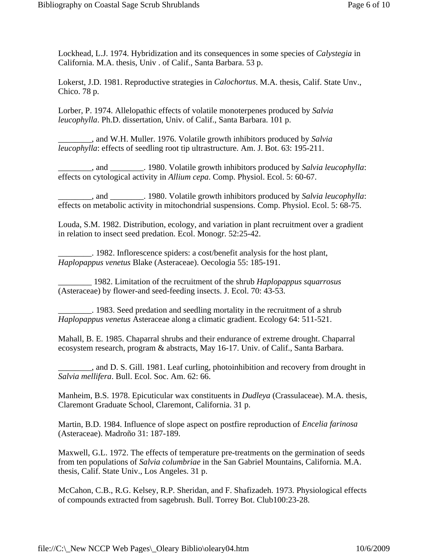Lockhead, L.J. 1974. Hybridization and its consequences in some species of *Calystegia* in California. M.A. thesis, Univ . of Calif., Santa Barbara. 53 p.

Lokerst, J.D. 1981. Reproductive strategies in *Calochortus*. M.A. thesis, Calif. State Unv., Chico. 78 p.

Lorber, P. 1974. Allelopathic effects of volatile monoterpenes produced by *Salvia leucophylla*. Ph.D. dissertation, Univ. of Calif., Santa Barbara. 101 p.

\_\_\_\_\_\_\_\_, and W.H. Muller. 1976. Volatile growth inhibitors produced by *Salvia leucophylla*: effects of seedling root tip ultrastructure. Am. J. Bot. 63: 195-211.

\_\_\_\_\_\_\_\_, and \_\_\_\_\_\_\_\_. 1980. Volatile growth inhibitors produced by *Salvia leucophylla*: effects on cytological activity in *Allium cepa*. Comp. Physiol. Ecol. 5: 60-67.

\_\_\_\_\_\_\_\_, and \_\_\_\_\_\_\_\_. 1980. Volatile growth inhibitors produced by *Salvia leucophylla*: effects on metabolic activity in mitochondrial suspensions. Comp. Physiol. Ecol. 5: 68-75.

Louda, S.M. 1982. Distribution, ecology, and variation in plant recruitment over a gradient in relation to insect seed predation. Ecol. Monogr. 52:25-42.

\_\_\_\_\_\_\_\_. 1982. Inflorescence spiders: a cost/benefit analysis for the host plant, *Haplopappus venetus* Blake (Asteraceae). Oecologia 55: 185-191.

\_\_\_\_\_\_\_\_ 1982. Limitation of the recruitment of the shrub *Haplopappus squarrosus* (Asteraceae) by flower-and seed-feeding insects. J. Ecol. 70: 43-53.

\_\_\_\_\_\_\_\_. 1983. Seed predation and seedling mortality in the recruitment of a shrub *Haplopappus venetus* Asteraceae along a climatic gradient. Ecology 64: 511-521.

Mahall, B. E. 1985. Chaparral shrubs and their endurance of extreme drought. Chaparral ecosystem research, program & abstracts, May 16-17. Univ. of Calif., Santa Barbara.

\_\_\_\_\_\_\_\_, and D. S. Gill. 1981. Leaf curling, photoinhibition and recovery from drought in *Salvia mellifera*. Bull. Ecol. Soc. Am. 62: 66.

Manheim, B.S. 1978. Epicuticular wax constituents in *Dudleya* (Crassulaceae). M.A. thesis, Claremont Graduate School, Claremont, California. 31 p.

Martin, B.D. 1984. Influence of slope aspect on postfire reproduction of *Encelia farinosa* (Asteraceae). Madroño 31: 187-189.

Maxwell, G.L. 1972. The effects of temperature pre-treatments on the germination of seeds from ten populations of *Salvia columbriae* in the San Gabriel Mountains, California. M.A. thesis, Calif. State Univ., Los Angeles. 31 p.

McCahon, C.B., R.G. Kelsey, R.P. Sheridan, and F. Shafizadeh. 1973. Physiological effects of compounds extracted from sagebrush. Bull. Torrey Bot. Club100:23-28.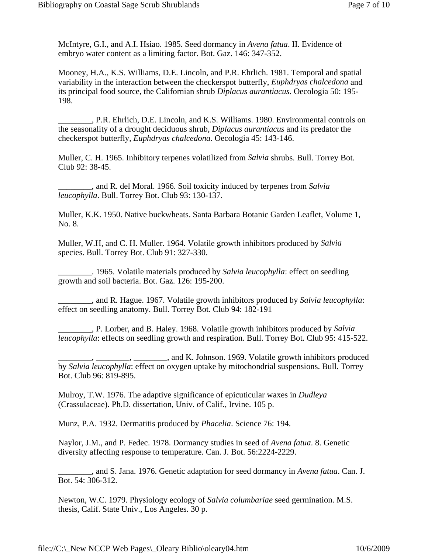McIntyre, G.I., and A.I. Hsiao. 1985. Seed dormancy in *Avena fatua*. II. Evidence of embryo water content as a limiting factor. Bot. Gaz. 146: 347-352.

Mooney, H.A., K.S. Williams, D.E. Lincoln, and P.R. Ehrlich. 1981. Temporal and spatial variability in the interaction between the checkerspot butterfly, *Euphdryas chalcedona* and its principal food source, the Californian shrub *Diplacus aurantiacus*. Oecologia 50: 195- 198.

\_\_\_\_\_\_\_\_, P.R. Ehrlich, D.E. Lincoln, and K.S. Williams. 1980. Environmental controls on the seasonality of a drought deciduous shrub, *Diplacus aurantiacus* and its predator the checkerspot butterfly, *Euphdryas chalcedona*. Oecologia 45: 143-146.

Muller, C. H. 1965. Inhibitory terpenes volatilized from *Salvia* shrubs. Bull. Torrey Bot. Club 92: 38-45.

\_\_\_\_\_\_\_\_, and R. del Moral. 1966. Soil toxicity induced by terpenes from *Salvia leucophylla*. Bull. Torrey Bot. Club 93: 130-137.

Muller, K.K. 1950. Native buckwheats. Santa Barbara Botanic Garden Leaflet, Volume 1, No. 8.

Muller, W.H, and C. H. Muller. 1964. Volatile growth inhibitors produced by *Salvia* species. Bull. Torrey Bot. Club 91: 327-330.

\_\_\_\_\_\_\_\_. 1965. Volatile materials produced by *Salvia leucophylla*: effect on seedling growth and soil bacteria. Bot. Gaz. 126: 195-200.

\_\_\_\_\_\_\_\_, and R. Hague. 1967. Volatile growth inhibitors produced by *Salvia leucophylla*: effect on seedling anatomy. Bull. Torrey Bot. Club 94: 182-191

\_\_\_\_\_\_\_\_, P. Lorber, and B. Haley. 1968. Volatile growth inhibitors produced by *Salvia leucophylla*: effects on seedling growth and respiration. Bull. Torrey Bot. Club 95: 415-522.

 $\Box$ , \_\_\_\_\_\_\_, and K. Johnson. 1969. Volatile growth inhibitors produced by *Salvia leucophylla*: effect on oxygen uptake by mitochondrial suspensions. Bull. Torrey Bot. Club 96: 819-895.

Mulroy, T.W. 1976. The adaptive significance of epicuticular waxes in *Dudleya* (Crassulaceae). Ph.D. dissertation, Univ. of Calif., Irvine. 105 p.

Munz, P.A. 1932. Dermatitis produced by *Phacelia*. Science 76: 194.

Naylor, J.M., and P. Fedec. 1978. Dormancy studies in seed of *Avena fatua*. 8. Genetic diversity affecting response to temperature. Can. J. Bot. 56:2224-2229.

\_\_\_\_\_\_\_\_, and S. Jana. 1976. Genetic adaptation for seed dormancy in *Avena fatua*. Can. J. Bot. 54: 306-312.

Newton, W.C. 1979. Physiology ecology of *Salvia columbariae* seed germination. M.S. thesis, Calif. State Univ., Los Angeles. 30 p.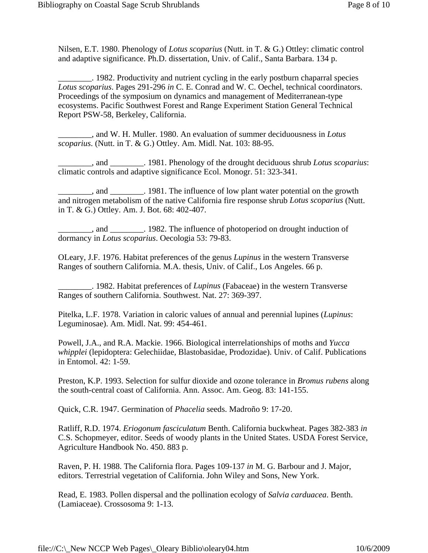Nilsen, E.T. 1980. Phenology of *Lotus scoparius* (Nutt. in T. & G.) Ottley: climatic control and adaptive significance. Ph.D. dissertation, Univ. of Calif., Santa Barbara. 134 p.

\_\_\_\_\_\_\_\_. 1982. Productivity and nutrient cycling in the early postburn chaparral species *Lotus scoparius*. Pages 291-296 *in* C. E. Conrad and W. C. Oechel, technical coordinators. Proceedings of the symposium on dynamics and management of Mediterranean-type ecosystems. Pacific Southwest Forest and Range Experiment Station General Technical Report PSW-58, Berkeley, California.

\_\_\_\_\_\_\_\_, and W. H. Muller. 1980. An evaluation of summer deciduousness in *Lotus scoparius*. (Nutt. in T. & G.) Ottley. Am. Midl. Nat. 103: 88-95.

\_\_\_\_\_\_\_\_, and \_\_\_\_\_\_\_\_. 1981. Phenology of the drought deciduous shrub *Lotus scoparius*: climatic controls and adaptive significance Ecol. Monogr. 51: 323-341.

\_\_\_\_\_\_\_\_, and \_\_\_\_\_\_\_\_. 1981. The influence of low plant water potential on the growth and nitrogen metabolism of the native California fire response shrub *Lotus scoparius* (Nutt. in T. & G.) Ottley. Am. J. Bot. 68: 402-407.

\_\_\_\_\_\_\_\_, and \_\_\_\_\_\_\_\_. 1982. The influence of photoperiod on drought induction of dormancy in *Lotus scoparius*. Oecologia 53: 79-83.

OLeary, J.F. 1976. Habitat preferences of the genus *Lupinus* in the western Transverse Ranges of southern California. M.A. thesis, Univ. of Calif., Los Angeles. 66 p.

\_\_\_\_\_\_\_\_. 1982. Habitat preferences of *Lupinus* (Fabaceae) in the western Transverse Ranges of southern California. Southwest. Nat. 27: 369-397.

Pitelka, L.F. 1978. Variation in caloric values of annual and perennial lupines (*Lupinus*: Leguminosae). Am. Midl. Nat. 99: 454-461.

Powell, J.A., and R.A. Mackie. 1966. Biological interrelationships of moths and *Yucca whipplei* (lepidoptera: Gelechiidae, Blastobasidae, Prodozidae). Univ. of Calif. Publications in Entomol. 42: 1-59.

Preston, K.P. 1993. Selection for sulfur dioxide and ozone tolerance in *Bromus rubens* along the south-central coast of California. Ann. Assoc. Am. Geog. 83: 141-155.

Quick, C.R. 1947. Germination of *Phacelia* seeds. Madroño 9: 17-20.

Ratliff, R.D. 1974. *Eriogonum fasciculatum* Benth. California buckwheat. Pages 382-383 *in* C.S. Schopmeyer, editor. Seeds of woody plants in the United States. USDA Forest Service, Agriculture Handbook No. 450. 883 p.

Raven, P. H. 1988. The California flora. Pages 109-137 *in* M. G. Barbour and J. Major, editors. Terrestrial vegetation of California. John Wiley and Sons, New York.

Read, E. 1983. Pollen dispersal and the pollination ecology of *Salvia carduacea*. Benth. (Lamiaceae). Crossosoma 9: 1-13.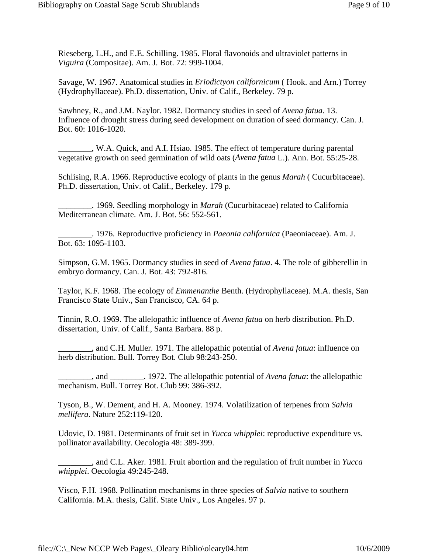Rieseberg, L.H., and E.E. Schilling. 1985. Floral flavonoids and ultraviolet patterns in *Viguira* (Compositae). Am. J. Bot. 72: 999-1004.

Savage, W. 1967. Anatomical studies in *Eriodictyon californicum* ( Hook. and Arn.) Torrey (Hydrophyllaceae). Ph.D. dissertation, Univ. of Calif., Berkeley. 79 p.

Sawhney, R., and J.M. Naylor. 1982. Dormancy studies in seed of *Avena fatua*. 13. Influence of drought stress during seed development on duration of seed dormancy. Can. J. Bot. 60: 1016-1020.

\_\_\_\_\_\_\_\_, W.A. Quick, and A.I. Hsiao. 1985. The effect of temperature during parental vegetative growth on seed germination of wild oats (*Avena fatua* L.). Ann. Bot. 55:25-28.

Schlising, R.A. 1966. Reproductive ecology of plants in the genus *Marah* ( Cucurbitaceae). Ph.D. dissertation, Univ. of Calif., Berkeley. 179 p.

\_\_\_\_\_\_\_\_. 1969. Seedling morphology in *Marah* (Cucurbitaceae) related to California Mediterranean climate. Am. J. Bot. 56: 552-561.

\_\_\_\_\_\_\_\_. 1976. Reproductive proficiency in *Paeonia californica* (Paeoniaceae). Am. J. Bot. 63: 1095-1103.

Simpson, G.M. 1965. Dormancy studies in seed of *Avena fatua*. 4. The role of gibberellin in embryo dormancy. Can. J. Bot. 43: 792-816.

Taylor, K.F. 1968. The ecology of *Emmenanthe* Benth. (Hydrophyllaceae). M.A. thesis, San Francisco State Univ., San Francisco, CA. 64 p.

Tinnin, R.O. 1969. The allelopathic influence of *Avena fatua* on herb distribution. Ph.D. dissertation, Univ. of Calif., Santa Barbara. 88 p.

\_\_\_\_\_\_\_\_, and C.H. Muller. 1971. The allelopathic potential of *Avena fatua*: influence on herb distribution. Bull. Torrey Bot. Club 98:243-250.

\_\_\_\_\_\_\_\_, and \_\_\_\_\_\_\_\_. 1972. The allelopathic potential of *Avena fatua*: the allelopathic mechanism. Bull. Torrey Bot. Club 99: 386-392.

Tyson, B., W. Dement, and H. A. Mooney. 1974. Volatilization of terpenes from *Salvia mellifera*. Nature 252:119-120.

Udovic, D. 1981. Determinants of fruit set in *Yucca whipplei*: reproductive expenditure vs. pollinator availability. Oecologia 48: 389-399.

\_\_\_\_\_\_\_\_, and C.L. Aker. 1981. Fruit abortion and the regulation of fruit number in *Yucca whipplei*. Oecologia 49:245-248.

Visco, F.H. 1968. Pollination mechanisms in three species of *Salvia* native to southern California. M.A. thesis, Calif. State Univ., Los Angeles. 97 p.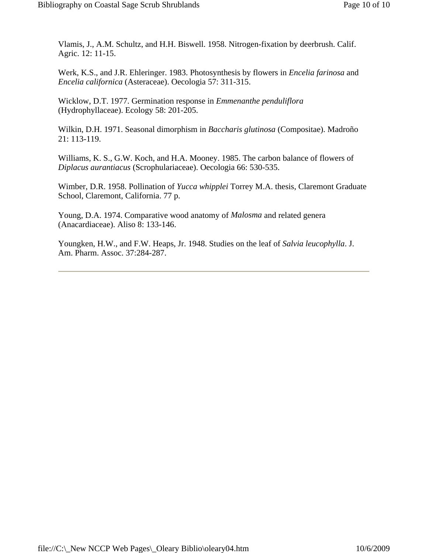Vlamis, J., A.M. Schultz, and H.H. Biswell. 1958. Nitrogen-fixation by deerbrush. Calif. Agric. 12: 11-15.

Werk, K.S., and J.R. Ehleringer. 1983. Photosynthesis by flowers in *Encelia farinosa* and *Encelia californica* (Asteraceae). Oecologia 57: 311-315.

Wicklow, D.T. 1977. Germination response in *Emmenanthe penduliflora* (Hydrophyllaceae). Ecology 58: 201-205.

Wilkin, D.H. 1971. Seasonal dimorphism in *Baccharis glutinosa* (Compositae). Madroño 21: 113-119.

Williams, K. S., G.W. Koch, and H.A. Mooney. 1985. The carbon balance of flowers of *Diplacus aurantiacus* (Scrophulariaceae). Oecologia 66: 530-535.

Wimber, D.R. 1958. Pollination of *Yucca whipplei* Torrey M.A. thesis, Claremont Graduate School, Claremont, California. 77 p.

Young, D.A. 1974. Comparative wood anatomy of *Malosma* and related genera (Anacardiaceae). Aliso 8: 133-146.

Youngken, H.W., and F.W. Heaps, Jr. 1948. Studies on the leaf of *Salvia leucophylla*. J. Am. Pharm. Assoc. 37:284-287.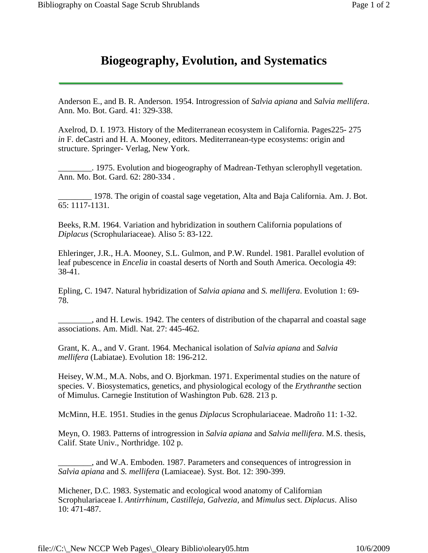## **Biogeography, Evolution, and Systematics**

<span id="page-26-0"></span>Anderson E., and B. R. Anderson. 1954. Introgression of *Salvia apiana* and *Salvia mellifera*. Ann. Mo. Bot. Gard. 41: 329-338.

Axelrod, D. I. 1973. History of the Mediterranean ecosystem in California. Pages225- 275 *in* F. deCastri and H. A. Mooney, editors. Mediterranean-type ecosystems: origin and structure. Springer- Verlag, New York.

\_\_\_\_\_\_\_\_. 1975. Evolution and biogeography of Madrean-Tethyan sclerophyll vegetation. Ann. Mo. Bot. Gard. 62: 280-334 .

\_\_\_\_\_\_\_\_ 1978. The origin of coastal sage vegetation, Alta and Baja California. Am. J. Bot. 65: 1117-1131.

Beeks, R.M. 1964. Variation and hybridization in southern California populations of *Diplacus* (Scrophulariaceae). Aliso 5: 83-122.

Ehleringer, J.R., H.A. Mooney, S.L. Gulmon, and P.W. Rundel. 1981. Parallel evolution of leaf pubescence in *Encelia* in coastal deserts of North and South America. Oecologia 49: 38-41.

Epling, C. 1947. Natural hybridization of *Salvia apiana* and *S. mellifera*. Evolution 1: 69- 78.

\_\_\_\_\_\_\_\_, and H. Lewis. 1942. The centers of distribution of the chaparral and coastal sage associations. Am. Midl. Nat. 27: 445-462.

Grant, K. A., and V. Grant. 1964. Mechanical isolation of *Salvia apiana* and *Salvia mellifera* (Labiatae). Evolution 18: 196-212.

Heisey, W.M., M.A. Nobs, and O. Bjorkman. 1971. Experimental studies on the nature of species. V. Biosystematics, genetics, and physiological ecology of the *Erythranthe* section of Mimulus. Carnegie Institution of Washington Pub. 628. 213 p.

McMinn, H.E. 1951. Studies in the genus *Diplacus* Scrophulariaceae. Madroño 11: 1-32.

Meyn, O. 1983. Patterns of introgression in *Salvia apiana* and *Salvia mellifera*. M.S. thesis, Calif. State Univ., Northridge. 102 p.

\_\_\_\_\_\_\_\_, and W.A. Emboden. 1987. Parameters and consequences of introgression in *Salvia apiana* and *S. mellifera* (Lamiaceae). Syst. Bot. 12: 390-399.

Michener, D.C. 1983. Systematic and ecological wood anatomy of Californian Scrophulariaceae I. *Antirrhinum, Castilleja, Galvezia,* and *Mimulus* sect. *Diplacus*. Aliso 10: 471-487.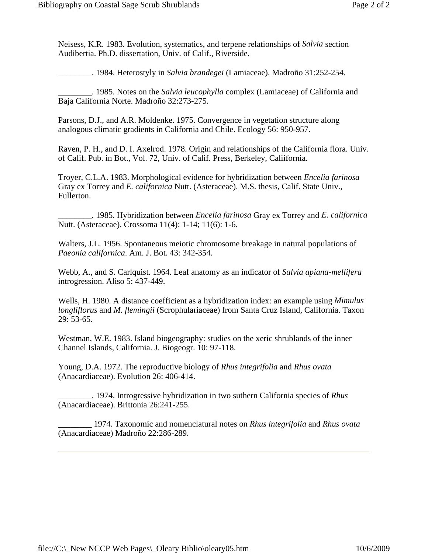Neisess, K.R. 1983. Evolution, systematics, and terpene relationships of *Salvia* section Audibertia. Ph.D. dissertation, Univ. of Calif., Riverside.

\_\_\_\_\_\_\_\_. 1984. Heterostyly in *Salvia brandegei* (Lamiaceae). Madroño 31:252-254.

\_\_\_\_\_\_\_\_. 1985. Notes on the *Salvia leucophylla* complex (Lamiaceae) of California and Baja California Norte. Madroño 32:273-275.

Parsons, D.J., and A.R. Moldenke. 1975. Convergence in vegetation structure along analogous climatic gradients in California and Chile. Ecology 56: 950-957.

Raven, P. H., and D. I. Axelrod. 1978. Origin and relationships of the California flora. Univ. of Calif. Pub. in Bot., Vol. 72, Univ. of Calif. Press, Berkeley, Caliifornia.

Troyer, C.L.A. 1983. Morphological evidence for hybridization between *Encelia farinosa* Gray ex Torrey and *E. californica* Nutt. (Asteraceae). M.S. thesis, Calif. State Univ., Fullerton.

\_\_\_\_\_\_\_\_. 1985. Hybridization between *Encelia farinosa* Gray ex Torrey and *E. californica* Nutt. (Asteraceae). Crossoma 11(4): 1-14; 11(6): 1-6.

Walters, J.L. 1956. Spontaneous meiotic chromosome breakage in natural populations of *Paeonia californica*. Am. J. Bot. 43: 342-354.

Webb, A., and S. Carlquist. 1964. Leaf anatomy as an indicator of *Salvia apiana-mellifera* introgression. Aliso 5: 437-449.

Wells, H. 1980. A distance coefficient as a hybridization index: an example using *Mimulus longliflorus* and *M. flemingii* (Scrophulariaceae) from Santa Cruz Island, California. Taxon 29: 53-65.

Westman, W.E. 1983. Island biogeography: studies on the xeric shrublands of the inner Channel Islands, California. J. Biogeogr. 10: 97-118.

Young, D.A. 1972. The reproductive biology of *Rhus integrifolia* and *Rhus ovata* (Anacardiaceae). Evolution 26: 406-414.

\_\_\_\_\_\_\_\_. 1974. Introgressive hybridization in two suthern California species of *Rhus* (Anacardiaceae). Brittonia 26:241-255.

\_\_\_\_\_\_\_\_ 1974. Taxonomic and nomenclatural notes on *Rhus integrifolia* and *Rhus ovata* (Anacardiaceae) Madroño 22:286-289.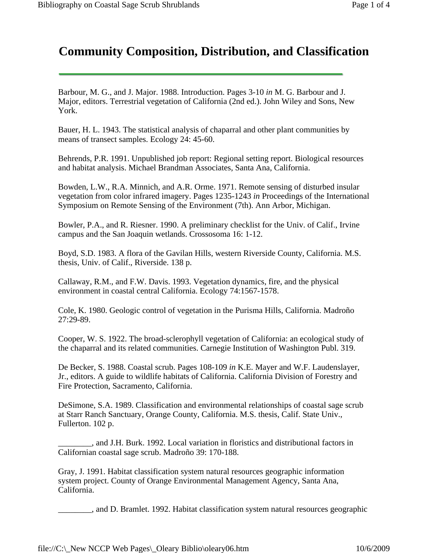# <span id="page-28-0"></span>**Community Composition, Distribution, and Classification**

Barbour, M. G., and J. Major. 1988. Introduction. Pages 3-10 *in* M. G. Barbour and J. Major, editors. Terrestrial vegetation of California (2nd ed.). John Wiley and Sons, New York.

Bauer, H. L. 1943. The statistical analysis of chaparral and other plant communities by means of transect samples. Ecology 24: 45-60.

Behrends, P.R. 1991. Unpublished job report: Regional setting report. Biological resources and habitat analysis. Michael Brandman Associates, Santa Ana, California.

Bowden, L.W., R.A. Minnich, and A.R. Orme. 1971. Remote sensing of disturbed insular vegetation from color infrared imagery. Pages 1235-1243 *in* Proceedings of the International Symposium on Remote Sensing of the Environment (7th). Ann Arbor, Michigan.

Bowler, P.A., and R. Riesner. 1990. A preliminary checklist for the Univ. of Calif., Irvine campus and the San Joaquin wetlands. Crossosoma 16: 1-12.

Boyd, S.D. 1983. A flora of the Gavilan Hills, western Riverside County, California. M.S. thesis, Univ. of Calif., Riverside. 138 p.

Callaway, R.M., and F.W. Davis. 1993. Vegetation dynamics, fire, and the physical environment in coastal central California. Ecology 74:1567-1578.

Cole, K. 1980. Geologic control of vegetation in the Purisma Hills, California. Madroño 27:29-89.

Cooper, W. S. 1922. The broad-sclerophyll vegetation of California: an ecological study of the chaparral and its related communities. Carnegie Institution of Washington Publ. 319.

De Becker, S. 1988. Coastal scrub. Pages 108-109 *in* K.E. Mayer and W.F. Laudenslayer, Jr., editors. A guide to wildlife habitats of California. California Division of Forestry and Fire Protection, Sacramento, California.

DeSimone, S.A. 1989. Classification and environmental relationships of coastal sage scrub at Starr Ranch Sanctuary, Orange County, California. M.S. thesis, Calif. State Univ., Fullerton. 102 p.

\_\_\_\_\_\_\_\_, and J.H. Burk. 1992. Local variation in floristics and distributional factors in Californian coastal sage scrub. Madroño 39: 170-188.

Gray, J. 1991. Habitat classification system natural resources geographic information system project. County of Orange Environmental Management Agency, Santa Ana, California.

\_\_\_\_\_\_\_\_, and D. Bramlet. 1992. Habitat classification system natural resources geographic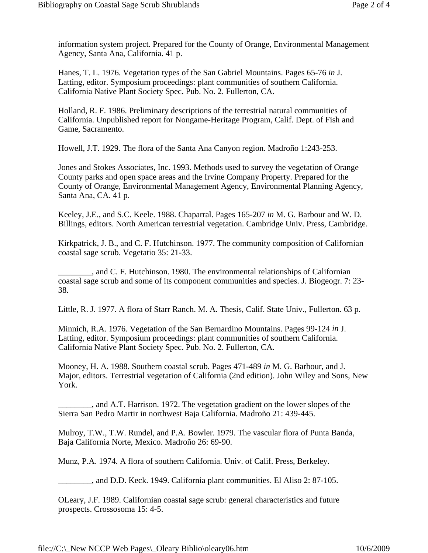information system project. Prepared for the County of Orange, Environmental Management Agency, Santa Ana, California. 41 p.

Hanes, T. L. 1976. Vegetation types of the San Gabriel Mountains. Pages 65-76 *in* J. Latting, editor. Symposium proceedings: plant communities of southern California. California Native Plant Society Spec. Pub. No. 2. Fullerton, CA.

Holland, R. F. 1986. Preliminary descriptions of the terrestrial natural communities of California. Unpublished report for Nongame-Heritage Program, Calif. Dept. of Fish and Game, Sacramento.

Howell, J.T. 1929. The flora of the Santa Ana Canyon region. Madroño 1:243-253.

Jones and Stokes Associates, Inc. 1993. Methods used to survey the vegetation of Orange County parks and open space areas and the Irvine Company Property. Prepared for the County of Orange, Environmental Management Agency, Environmental Planning Agency, Santa Ana, CA. 41 p.

Keeley, J.E., and S.C. Keele. 1988. Chaparral. Pages 165-207 *in* M. G. Barbour and W. D. Billings, editors. North American terrestrial vegetation. Cambridge Univ. Press, Cambridge.

Kirkpatrick, J. B., and C. F. Hutchinson. 1977. The community composition of Californian coastal sage scrub. Vegetatio 35: 21-33.

\_\_\_\_\_\_\_\_, and C. F. Hutchinson. 1980. The environmental relationships of Californian coastal sage scrub and some of its component communities and species. J. Biogeogr. 7: 23- 38.

Little, R. J. 1977. A flora of Starr Ranch. M. A. Thesis, Calif. State Univ., Fullerton. 63 p.

Minnich, R.A. 1976. Vegetation of the San Bernardino Mountains. Pages 99-124 *in* J. Latting, editor. Symposium proceedings: plant communities of southern California. California Native Plant Society Spec. Pub. No. 2. Fullerton, CA.

Mooney, H. A. 1988. Southern coastal scrub. Pages 471-489 *in* M. G. Barbour, and J. Major, editors. Terrestrial vegetation of California (2nd edition). John Wiley and Sons, New York.

\_\_\_\_\_\_\_\_, and A.T. Harrison. 1972. The vegetation gradient on the lower slopes of the Sierra San Pedro Martir in northwest Baja California. Madroño 21: 439-445.

Mulroy, T.W., T.W. Rundel, and P.A. Bowler. 1979. The vascular flora of Punta Banda, Baja California Norte, Mexico. Madroño 26: 69-90.

Munz, P.A. 1974. A flora of southern California. Univ. of Calif. Press, Berkeley.

\_\_\_\_\_\_\_\_, and D.D. Keck. 1949. California plant communities. El Aliso 2: 87-105.

OLeary, J.F. 1989. Californian coastal sage scrub: general characteristics and future prospects. Crossosoma 15: 4-5.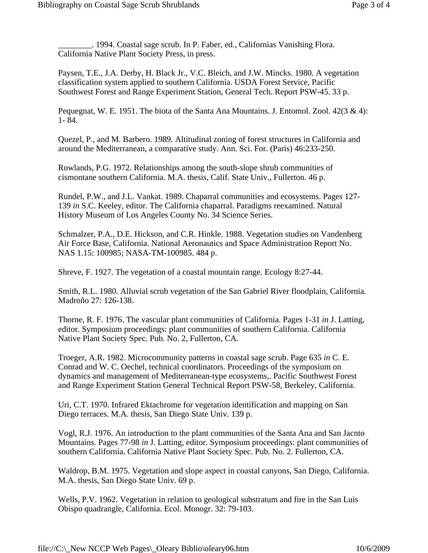\_\_\_\_\_\_\_\_. 1994. Coastal sage scrub. In P. Faber, ed., Californias Vanishing Flora. California Native Plant Society Press, in press.

Paysen, T.E., J.A. Derby, H. Black Jr., V.C. Bleich, and J.W. Mincks. 1980. A vegetation classification system applied to southern California. USDA Forest Service, Pacific Southwest Forest and Range Experiment Station, General Tech. Report PSW-45. 33 p.

Pequegnat, W. E. 1951. The biota of the Santa Ana Mountains. J. Entomol. Zool.  $42(3 \& 4)$ : 1- 84.

Quezel, P., and M. Barbero. 1989. Altitudinal zoning of forest structures in California and around the Mediterranean, a comparative study. Ann. Sci. For. (Paris) 46:233-250.

Rowlands, P.G. 1972. Relationships among the south-slope shrub communities of cismontane southern California. M.A. thesis, Calif. State Univ., Fullerton. 46 p.

Rundel, P.W., and J.L. Vankat. 1989. Chaparral communities and ecosystems. Pages 127- 139 *in* S.C. Keeley, editor. The California chaparral. Paradigms reexamined. Natural History Museum of Los Angeles County No. 34 Science Series.

Schmalzer, P.A., D.E. Hickson, and C.R. Hinkle. 1988. Vegetation studies on Vandenberg Air Force Base, California. National Aeronautics and Space Administration Report No. NAS 1.15: 100985; NASA-TM-100985. 484 p.

Shreve, F. 1927. The vegetation of a coastal mountain range. Ecology 8:27-44.

Smith, R.L. 1980. Alluvial scrub vegetation of the San Gabriel River floodplain, California. Madroño 27: 126-138.

Thorne, R. F. 1976. The vascular plant communities of California. Pages 1-31 *in* J. Latting, editor. Symposium proceedings: plant communities of southern California. California Native Plant Society Spec. Pub. No. 2, Fullerton, CA.

Troeger, A.R. 1982. Microcommunity patterns in coastal sage scrub. Page 635 *in* C. E. Conrad and W. C. Oechel, technical coordinators. Proceedings of the symposium on dynamics and management of Mediterranean-type ecosystems,. Pacific Southwest Forest and Range Experiment Station General Technical Report PSW-58, Berkeley, California.

Uri, C.T. 1970. Infrared Ektachrome for vegetation identification and mapping on San Diego terraces. M.A. thesis, San Diego State Univ. 139 p.

Vogl, R.J. 1976. An introduction to the plant communities of the Santa Ana and San Jacnto Mountains. Pages 77-98 *in* J. Latting, editor. Symposium proceedings: plant communities of southern California. California Native Plant Society Spec. Pub. No. 2. Fullerton, CA.

Waldrop, B.M. 1975. Vegetation and slope aspect in coastal canyons, San Diego, California. M.A. thesis, San Diego State Univ. 69 p.

Wells, P.V. 1962. Vegetation in relation to geological substratum and fire in the San Luis Obispo quadrangle, California. Ecol. Monogr. 32: 79-103.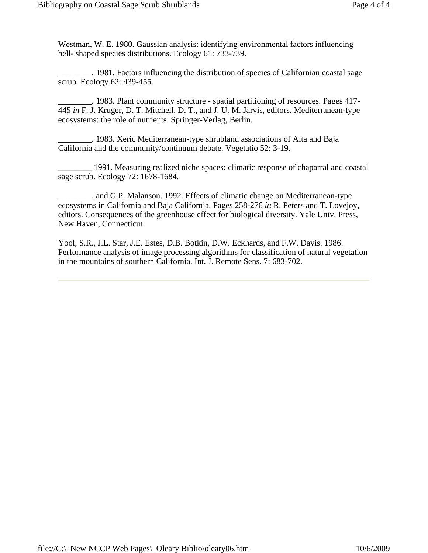Westman, W. E. 1980. Gaussian analysis: identifying environmental factors influencing bell- shaped species distributions. Ecology 61: 733-739.

\_\_\_\_\_\_\_\_. 1981. Factors influencing the distribution of species of Californian coastal sage scrub. Ecology 62: 439-455.

\_\_\_\_\_\_\_\_. 1983. Plant community structure - spatial partitioning of resources. Pages 417- 445 *in* F. J. Kruger, D. T. Mitchell, D. T., and J. U. M. Jarvis, editors. Mediterranean-type ecosystems: the role of nutrients. Springer-Verlag, Berlin.

\_\_\_\_\_\_\_\_. 1983. Xeric Mediterranean-type shrubland associations of Alta and Baja California and the community/continuum debate. Vegetatio 52: 3-19.

\_\_\_\_\_\_\_\_ 1991. Measuring realized niche spaces: climatic response of chaparral and coastal sage scrub. Ecology 72: 1678-1684.

\_\_\_\_\_\_\_\_, and G.P. Malanson. 1992. Effects of climatic change on Mediterranean-type ecosystems in California and Baja California. Pages 258-276 *in* R. Peters and T. Lovejoy, editors. Consequences of the greenhouse effect for biological diversity. Yale Univ. Press, New Haven, Connecticut.

Yool, S.R., J.L. Star, J.E. Estes, D.B. Botkin, D.W. Eckhards, and F.W. Davis. 1986. Performance analysis of image processing algorithms for classification of natural vegetation in the mountains of southern California. Int. J. Remote Sens. 7: 683-702.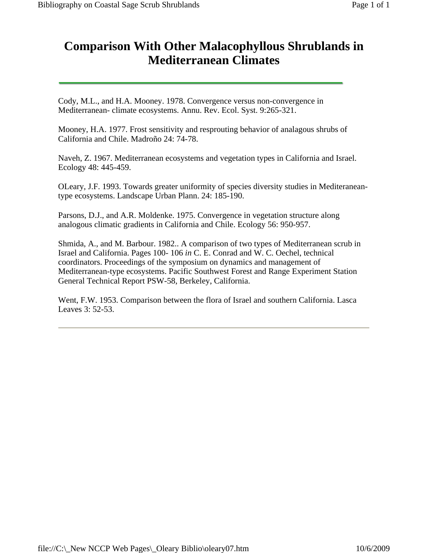# <span id="page-32-0"></span>**Comparison With Other Malacophyllous Shrublands in Mediterranean Climates**

Cody, M.L., and H.A. Mooney. 1978. Convergence versus non-convergence in Mediterranean- climate ecosystems. Annu. Rev. Ecol. Syst. 9:265-321.

Mooney, H.A. 1977. Frost sensitivity and resprouting behavior of analagous shrubs of California and Chile. Madroño 24: 74-78.

Naveh, Z. 1967. Mediterranean ecosystems and vegetation types in California and Israel. Ecology 48: 445-459.

OLeary, J.F. 1993. Towards greater uniformity of species diversity studies in Mediteraneantype ecosystems. Landscape Urban Plann. 24: 185-190.

Parsons, D.J., and A.R. Moldenke. 1975. Convergence in vegetation structure along analogous climatic gradients in California and Chile. Ecology 56: 950-957.

Shmida, A., and M. Barbour. 1982.. A comparison of two types of Mediterranean scrub in Israel and California. Pages 100- 106 *in* C. E. Conrad and W. C. Oechel, technical coordinators. Proceedings of the symposium on dynamics and management of Mediterranean-type ecosystems. Pacific Southwest Forest and Range Experiment Station General Technical Report PSW-58, Berkeley, California.

Went, F.W. 1953. Comparison between the flora of Israel and southern California. Lasca Leaves 3: 52-53.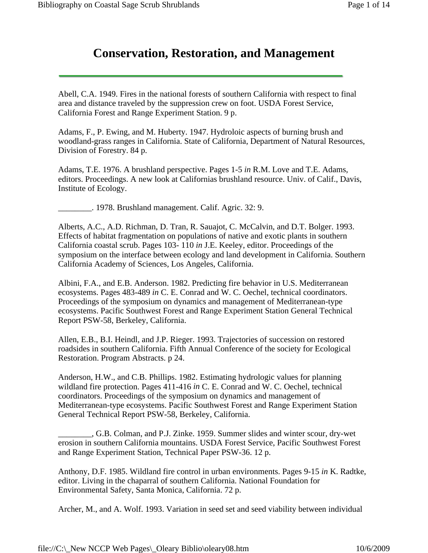# **Conservation, Restoration, and Management**

<span id="page-33-0"></span>Abell, C.A. 1949. Fires in the national forests of southern California with respect to final area and distance traveled by the suppression crew on foot. USDA Forest Service, California Forest and Range Experiment Station. 9 p.

Adams, F., P. Ewing, and M. Huberty. 1947. Hydroloic aspects of burning brush and woodland-grass ranges in California. State of California, Department of Natural Resources, Division of Forestry. 84 p.

Adams, T.E. 1976. A brushland perspective. Pages 1-5 *in* R.M. Love and T.E. Adams, editors. Proceedings. A new look at Californias brushland resource. Univ. of Calif., Davis, Institute of Ecology.

\_\_\_\_\_\_\_\_. 1978. Brushland management. Calif. Agric. 32: 9.

Alberts, A.C., A.D. Richman, D. Tran, R. Sauajot, C. McCalvin, and D.T. Bolger. 1993. Effects of habitat fragmentation on populations of native and exotic plants in southern California coastal scrub. Pages 103- 110 *in* J.E. Keeley, editor. Proceedings of the symposium on the interface between ecology and land development in California. Southern California Academy of Sciences, Los Angeles, California.

Albini, F.A., and E.B. Anderson. 1982. Predicting fire behavior in U.S. Mediterranean ecosystems. Pages 483-489 *in* C. E. Conrad and W. C. Oechel, technical coordinators. Proceedings of the symposium on dynamics and management of Mediterranean-type ecosystems. Pacific Southwest Forest and Range Experiment Station General Technical Report PSW-58, Berkeley, California.

Allen, E.B., B.I. Heindl, and J.P. Rieger. 1993. Trajectories of succession on restored roadsides in southern California. Fifth Annual Conference of the society for Ecological Restoration. Program Abstracts. p 24.

Anderson, H.W., and C.B. Phillips. 1982. Estimating hydrologic values for planning wildland fire protection. Pages 411-416 *in* C. E. Conrad and W. C. Oechel, technical coordinators. Proceedings of the symposium on dynamics and management of Mediterranean-type ecosystems. Pacific Southwest Forest and Range Experiment Station General Technical Report PSW-58, Berkeley, California.

\_\_\_\_\_\_\_\_, G.B. Colman, and P.J. Zinke. 1959. Summer slides and winter scour, dry-wet erosion in southern California mountains. USDA Forest Service, Pacific Southwest Forest and Range Experiment Station, Technical Paper PSW-36. 12 p.

Anthony, D.F. 1985. Wildland fire control in urban environments. Pages 9-15 *in* K. Radtke, editor. Living in the chaparral of southern California. National Foundation for Environmental Safety, Santa Monica, California. 72 p.

Archer, M., and A. Wolf. 1993. Variation in seed set and seed viability between individual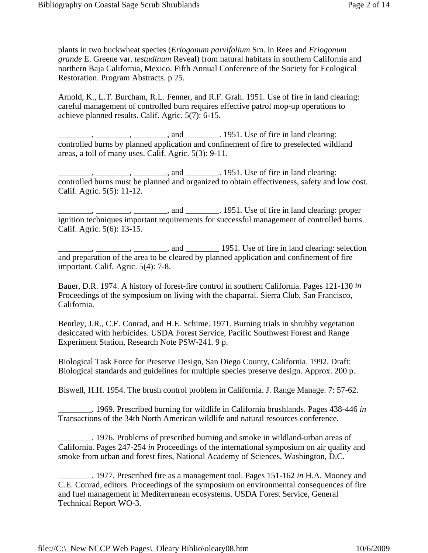plants in two buckwheat species (*Eriogonum parvifolium* Sm. in Rees and *Eriogonum grande* E. Greene var. *testudinum* Reveal) from natural habitats in southern California and northern Baja California, Mexico. Fifth Annual Conference of the Society for Ecological Restoration. Program Abstracts. p 25.

Arnold, K., L.T. Burcham, R.L. Fenner, and R.F. Grah. 1951. Use of fire in land clearing: careful management of controlled burn requires effective patrol mop-up operations to achieve planned results. Calif. Agric. 5(7): 6-15.

 $\frac{1}{100}$ ,  $\frac{1}{100}$ , and  $\frac{1}{100}$ . 1951. Use of fire in land clearing: controlled burns by planned application and confinement of fire to preselected wildland areas, a toll of many uses. Calif. Agric. 5(3): 9-11.

 $\ldots$ ,  $\ldots$ ,  $\ldots$ , and  $\ldots$ , 1951. Use of fire in land clearing: controlled burns must be planned and organized to obtain effectiveness, safety and low cost. Calif. Agric. 5(5): 11-12.

 $\Box$ ,  $\Box$ ,  $\Box$ , and  $\Box$  $\Box$ . 1951. Use of fire in land clearing: proper ignition techniques important requirements for successful management of controlled burns. Calif. Agric. 5(6): 13-15.

 $\frac{1}{2}$ ,  $\frac{1}{2}$ , and  $\frac{1}{2}$  1951. Use of fire in land clearing: selection and preparation of the area to be cleared by planned application and confinement of fire important. Calif. Agric. 5(4): 7-8.

Bauer, D.R. 1974. A history of forest-fire control in southern California. Pages 121-130 *in* Proceedings of the symposium on living with the chaparral. Sierra Club, San Francisco, California.

Bentley, J.R., C.E. Conrad, and H.E. Schime. 1971. Burning trials in shrubby vegetation desiccated with herbicides. USDA Forest Service, Pacific Southwest Forest and Range Experiment Station, Research Note PSW-241. 9 p.

Biological Task Force for Preserve Design, San Diego County, California. 1992. Draft: Biological standards and guidelines for multiple species preserve design. Approx. 200 p.

Biswell, H.H. 1954. The brush control problem in California. J. Range Manage. 7: 57-62.

\_\_\_\_\_\_\_\_. 1969. Prescribed burning for wildlife in California brushlands. Pages 438-446 *in*  Transactions of the 34th North American wildlife and natural resources conference.

1976. Problems of prescribed burning and smoke in wildland-urban areas of California. Pages 247-254 *in* Proceedings of the international symposium on air quality and smoke from urban and forest fires, National Academy of Sciences, Washington, D.C.

\_\_\_\_\_\_\_\_. 1977. Prescribed fire as a management tool. Pages 151-162 *in* H.A. Mooney and C.E. Conrad, editors. Proceedings of the symposium on environmental consequences of fire and fuel management in Mediterranean ecosystems. USDA Forest Service, General Technical Report WO-3.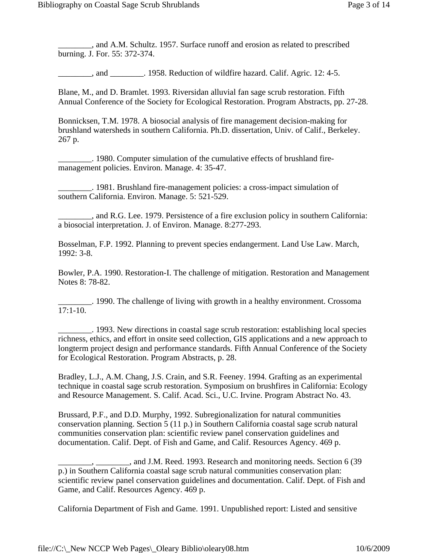\_\_\_\_\_\_\_\_, and A.M. Schultz. 1957. Surface runoff and erosion as related to prescribed burning. J. For. 55: 372-374.

and 1958. Reduction of wildfire hazard. Calif. Agric. 12: 4-5.

Blane, M., and D. Bramlet. 1993. Riversidan alluvial fan sage scrub restoration. Fifth Annual Conference of the Society for Ecological Restoration. Program Abstracts, pp. 27-28.

Bonnicksen, T.M. 1978. A biosocial analysis of fire management decision-making for brushland watersheds in southern California. Ph.D. dissertation, Univ. of Calif., Berkeley. 267 p.

\_\_\_\_\_\_\_\_. 1980. Computer simulation of the cumulative effects of brushland firemanagement policies. Environ. Manage. 4: 35-47.

\_\_\_\_\_\_\_\_. 1981. Brushland fire-management policies: a cross-impact simulation of southern California. Environ. Manage. 5: 521-529.

\_\_\_\_\_\_\_\_, and R.G. Lee. 1979. Persistence of a fire exclusion policy in southern California: a biosocial interpretation. J. of Environ. Manage. 8:277-293.

Bosselman, F.P. 1992. Planning to prevent species endangerment. Land Use Law. March, 1992: 3-8.

Bowler, P.A. 1990. Restoration-I. The challenge of mitigation. Restoration and Management Notes 8: 78-82.

\_\_\_\_\_\_\_\_. 1990. The challenge of living with growth in a healthy environment. Crossoma 17:1-10.

\_\_\_\_\_\_\_\_. 1993. New directions in coastal sage scrub restoration: establishing local species richness, ethics, and effort in onsite seed collection, GIS applications and a new approach to longterm project design and performance standards. Fifth Annual Conference of the Society for Ecological Restoration. Program Abstracts, p. 28.

Bradley, L.J., A.M. Chang, J.S. Crain, and S.R. Feeney. 1994. Grafting as an experimental technique in coastal sage scrub restoration. Symposium on brushfires in California: Ecology and Resource Management. S. Calif. Acad. Sci., U.C. Irvine. Program Abstract No. 43.

Brussard, P.F., and D.D. Murphy, 1992. Subregionalization for natural communities conservation planning. Section 5 (11 p.) in Southern California coastal sage scrub natural communities conservation plan: scientific review panel conservation guidelines and documentation. Calif. Dept. of Fish and Game, and Calif. Resources Agency. 469 p.

California Department of Fish and Game. 1991. Unpublished report: Listed and sensitive

 $\_\_$ ,  $\_\_\_\_\_\_\$  and J.M. Reed. 1993. Research and monitoring needs. Section 6 (39) p.) in Southern California coastal sage scrub natural communities conservation plan: scientific review panel conservation guidelines and documentation. Calif. Dept. of Fish and Game, and Calif. Resources Agency. 469 p.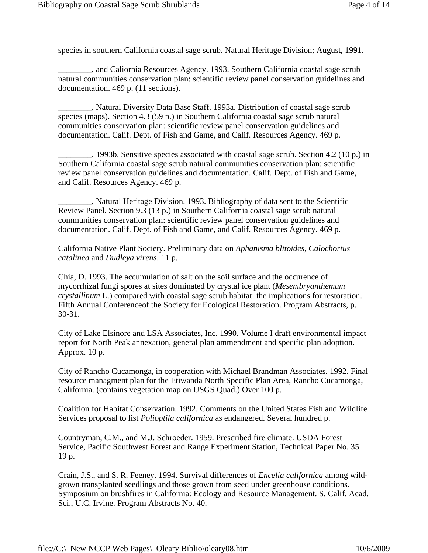species in southern California coastal sage scrub. Natural Heritage Division; August, 1991.

\_\_\_\_\_\_\_\_, and Caliornia Resources Agency. 1993. Southern California coastal sage scrub natural communities conservation plan: scientific review panel conservation guidelines and documentation. 469 p. (11 sections).

\_\_\_\_\_\_\_\_, Natural Diversity Data Base Staff. 1993a. Distribution of coastal sage scrub species (maps). Section 4.3 (59 p.) in Southern California coastal sage scrub natural communities conservation plan: scientific review panel conservation guidelines and documentation. Calif. Dept. of Fish and Game, and Calif. Resources Agency. 469 p.

\_\_\_\_\_\_\_\_. 1993b. Sensitive species associated with coastal sage scrub. Section 4.2 (10 p.) in Southern California coastal sage scrub natural communities conservation plan: scientific review panel conservation guidelines and documentation. Calif. Dept. of Fish and Game, and Calif. Resources Agency. 469 p.

\_\_\_\_\_\_\_\_, Natural Heritage Division. 1993. Bibliography of data sent to the Scientific Review Panel. Section 9.3 (13 p.) in Southern California coastal sage scrub natural communities conservation plan: scientific review panel conservation guidelines and documentation. Calif. Dept. of Fish and Game, and Calif. Resources Agency. 469 p.

California Native Plant Society. Preliminary data on *Aphanisma blitoides*, *Calochortus catalinea* and *Dudleya virens*. 11 p.

Chia, D. 1993. The accumulation of salt on the soil surface and the occurence of mycorrhizal fungi spores at sites dominated by crystal ice plant (*Mesembryanthemum crystallinum* L.) compared with coastal sage scrub habitat: the implications for restoration. Fifth Annual Conferenceof the Society for Ecological Restoration. Program Abstracts, p. 30-31.

City of Lake Elsinore and LSA Associates, Inc. 1990. Volume I draft environmental impact report for North Peak annexation, general plan ammendment and specific plan adoption. Approx. 10 p.

City of Rancho Cucamonga, in cooperation with Michael Brandman Associates. 1992. Final resource managment plan for the Etiwanda North Specific Plan Area, Rancho Cucamonga, California. (contains vegetation map on USGS Quad.) Over 100 p.

Coalition for Habitat Conservation. 1992. Comments on the United States Fish and Wildlife Services proposal to list *Polioptila californica* as endangered. Several hundred p.

Countryman, C.M., and M.J. Schroeder. 1959. Prescribed fire climate. USDA Forest Service, Pacific Southwest Forest and Range Experiment Station, Technical Paper No. 35. 19 p.

Crain, J.S., and S. R. Feeney. 1994. Survival differences of *Encelia californica* among wildgrown transplanted seedlings and those grown from seed under greenhouse conditions. Symposium on brushfires in California: Ecology and Resource Management. S. Calif. Acad. Sci., U.C. Irvine. Program Abstracts No. 40.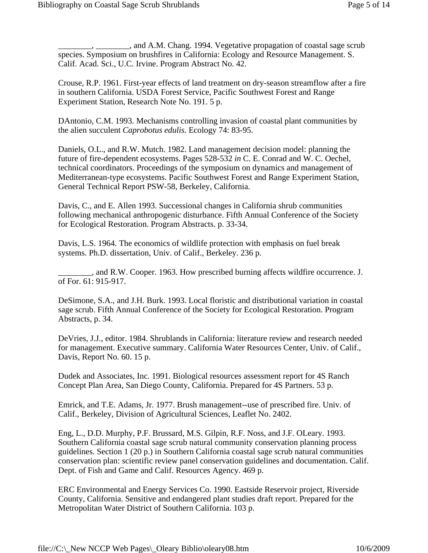$\_\_$ , and A.M. Chang. 1994. Vegetative propagation of coastal sage scrub species. Symposium on brushfires in California: Ecology and Resource Management. S. Calif. Acad. Sci., U.C. Irvine. Program Abstract No. 42.

Crouse, R.P. 1961. First-year effects of land treatment on dry-season streamflow after a fire in southern California. USDA Forest Service, Pacific Southwest Forest and Range Experiment Station, Research Note No. 191. 5 p.

DAntonio, C.M. 1993. Mechanisms controlling invasion of coastal plant communities by the alien succulent *Caprobotus edulis*. Ecology 74: 83-95.

Daniels, O.L., and R.W. Mutch. 1982. Land management decision model: planning the future of fire-dependent ecosystems. Pages 528-532 *in* C. E. Conrad and W. C. Oechel, technical coordinators. Proceedings of the symposium on dynamics and management of Mediterranean-type ecosystems. Pacific Southwest Forest and Range Experiment Station, General Technical Report PSW-58, Berkeley, California.

Davis, C., and E. Allen 1993. Successional changes in California shrub communities following mechanical anthropogenic disturbance. Fifth Annual Conference of the Society for Ecological Restoration. Program Abstracts. p. 33-34.

Davis, L.S. 1964. The economics of wildlife protection with emphasis on fuel break systems. Ph.D. dissertation, Univ. of Calif., Berkeley. 236 p.

\_\_\_\_\_\_\_\_, and R.W. Cooper. 1963. How prescribed burning affects wildfire occurrence. J. of For. 61: 915-917.

DeSimone, S.A., and J.H. Burk. 1993. Local floristic and distributional variation in coastal sage scrub. Fifth Annual Conference of the Society for Ecological Restoration. Program Abstracts, p. 34.

DeVries, J.J., editor. 1984. Shrublands in California: literature review and research needed for management. Executive summary. California Water Resources Center, Univ. of Calif., Davis, Report No. 60. 15 p.

Dudek and Associates, Inc. 1991. Biological resources assessment report for 4S Ranch Concept Plan Area, San Diego County, California. Prepared for 4S Partners. 53 p.

Emrick, and T.E. Adams, Jr. 1977. Brush management--use of prescribed fire. Univ. of Calif., Berkeley, Division of Agricultural Sciences, Leaflet No. 2402.

Eng, L., D.D. Murphy, P.F. Brussard, M.S. Gilpin, R.F. Noss, and J.F. OLeary. 1993. Southern California coastal sage scrub natural community conservation planning process guidelines. Section 1 (20 p.) in Southern California coastal sage scrub natural communities conservation plan: scientific review panel conservation guidelines and documentation. Calif. Dept. of Fish and Game and Calif. Resources Agency. 469 p.

ERC Environmental and Energy Services Co. 1990. Eastside Reservoir project, Riverside County, California. Sensitive and endangered plant studies draft report. Prepared for the Metropolitan Water District of Southern California. 103 p.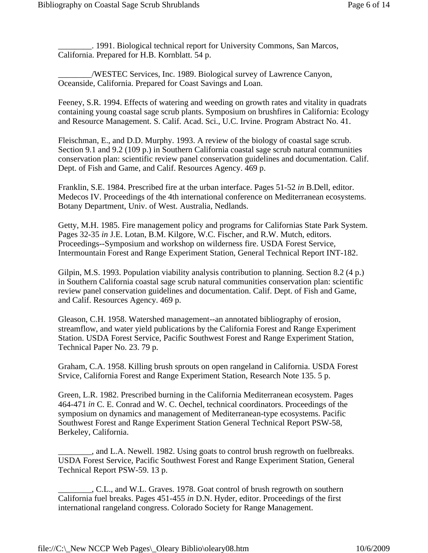\_\_\_\_\_\_\_\_. 1991. Biological technical report for University Commons, San Marcos, California. Prepared for H.B. Kornblatt. 54 p.

\_\_\_\_\_\_\_\_/WESTEC Services, Inc. 1989. Biological survey of Lawrence Canyon, Oceanside, California. Prepared for Coast Savings and Loan.

Feeney, S.R. 1994. Effects of watering and weeding on growth rates and vitality in quadrats containing young coastal sage scrub plants. Symposium on brushfires in California: Ecology and Resource Management. S. Calif. Acad. Sci., U.C. Irvine. Program Abstract No. 41.

Fleischman, E., and D.D. Murphy. 1993. A review of the biology of coastal sage scrub. Section 9.1 and 9.2 (109 p.) in Southern California coastal sage scrub natural communities conservation plan: scientific review panel conservation guidelines and documentation. Calif. Dept. of Fish and Game, and Calif. Resources Agency. 469 p.

Franklin, S.E. 1984. Prescribed fire at the urban interface. Pages 51-52 *in* B.Dell, editor. Medecos IV. Proceedings of the 4th international conference on Mediterranean ecosystems. Botany Department, Univ. of West. Australia, Nedlands.

Getty, M.H. 1985. Fire management policy and programs for Californias State Park System. Pages 32-35 *in* J.E. Lotan, B.M. Kilgore, W.C. Fischer, and R.W. Mutch, editors. Proceedings--Symposium and workshop on wilderness fire. USDA Forest Service, Intermountain Forest and Range Experiment Station, General Technical Report INT-182.

Gilpin, M.S. 1993. Population viability analysis contribution to planning. Section 8.2 (4 p.) in Southern California coastal sage scrub natural communities conservation plan: scientific review panel conservation guidelines and documentation. Calif. Dept. of Fish and Game, and Calif. Resources Agency. 469 p.

Gleason, C.H. 1958. Watershed management--an annotated bibliography of erosion, streamflow, and water yield publications by the California Forest and Range Experiment Station. USDA Forest Service, Pacific Southwest Forest and Range Experiment Station, Technical Paper No. 23. 79 p.

Graham, C.A. 1958. Killing brush sprouts on open rangeland in California. USDA Forest Srvice, California Forest and Range Experiment Station, Research Note 135. 5 p.

Green, L.R. 1982. Prescribed burning in the California Mediterranean ecosystem. Pages 464-471 *in* C. E. Conrad and W. C. Oechel, technical coordinators. Proceedings of the symposium on dynamics and management of Mediterranean-type ecosystems. Pacific Southwest Forest and Range Experiment Station General Technical Report PSW-58, Berkeley, California.

\_\_\_\_\_\_\_\_, and L.A. Newell. 1982. Using goats to control brush regrowth on fuelbreaks. USDA Forest Service, Pacific Southwest Forest and Range Experiment Station, General Technical Report PSW-59. 13 p.

\_\_\_\_\_\_\_\_, C.L., and W.L. Graves. 1978. Goat control of brush regrowth on southern California fuel breaks. Pages 451-455 *in* D.N. Hyder, editor. Proceedings of the first international rangeland congress. Colorado Society for Range Management.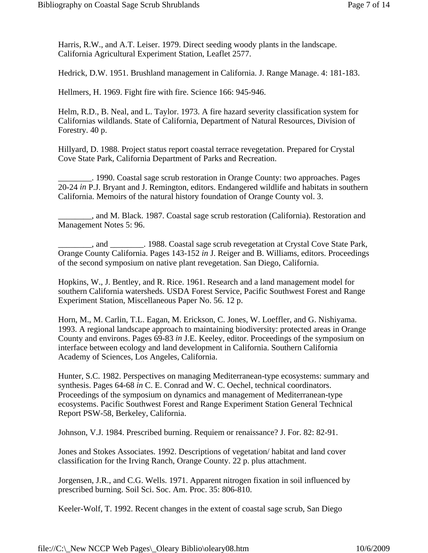Harris, R.W., and A.T. Leiser. 1979. Direct seeding woody plants in the landscape. California Agricultural Experiment Station, Leaflet 2577.

Hedrick, D.W. 1951. Brushland management in California. J. Range Manage. 4: 181-183.

Hellmers, H. 1969. Fight fire with fire. Science 166: 945-946.

Helm, R.D., B. Neal, and L. Taylor. 1973. A fire hazard severity classification system for Californias wildlands. State of California, Department of Natural Resources, Division of Forestry. 40 p.

Hillyard, D. 1988. Project status report coastal terrace revegetation. Prepared for Crystal Cove State Park, California Department of Parks and Recreation.

\_\_\_\_\_\_\_\_. 1990. Coastal sage scrub restoration in Orange County: two approaches. Pages 20-24 *in* P.J. Bryant and J. Remington, editors. Endangered wildlife and habitats in southern California. Memoirs of the natural history foundation of Orange County vol. 3.

\_\_\_\_\_\_\_\_, and M. Black. 1987. Coastal sage scrub restoration (California). Restoration and Management Notes 5: 96.

\_\_\_\_\_\_\_\_, and \_\_\_\_\_\_\_\_. 1988. Coastal sage scrub revegetation at Crystal Cove State Park, Orange County California. Pages 143-152 *in* J. Reiger and B. Williams, editors. Proceedings of the second symposium on native plant revegetation. San Diego, California.

Hopkins, W., J. Bentley, and R. Rice. 1961. Research and a land management model for southern California watersheds. USDA Forest Service, Pacific Southwest Forest and Range Experiment Station, Miscellaneous Paper No. 56. 12 p.

Horn, M., M. Carlin, T.L. Eagan, M. Erickson, C. Jones, W. Loeffler, and G. Nishiyama. 1993. A regional landscape approach to maintaining biodiversity: protected areas in Orange County and environs. Pages 69-83 *in* J.E. Keeley, editor. Proceedings of the symposium on interface between ecology and land development in California. Southern California Academy of Sciences, Los Angeles, California.

Hunter, S.C. 1982. Perspectives on managing Mediterranean-type ecosystems: summary and synthesis. Pages 64-68 *in* C. E. Conrad and W. C. Oechel, technical coordinators. Proceedings of the symposium on dynamics and management of Mediterranean-type ecosystems. Pacific Southwest Forest and Range Experiment Station General Technical Report PSW-58, Berkeley, California.

Johnson, V.J. 1984. Prescribed burning. Requiem or renaissance? J. For. 82: 82-91.

Jones and Stokes Associates. 1992. Descriptions of vegetation/ habitat and land cover classification for the Irving Ranch, Orange County. 22 p. plus attachment.

Jorgensen, J.R., and C.G. Wells. 1971. Apparent nitrogen fixation in soil influenced by prescribed burning. Soil Sci. Soc. Am. Proc. 35: 806-810.

Keeler-Wolf, T. 1992. Recent changes in the extent of coastal sage scrub, San Diego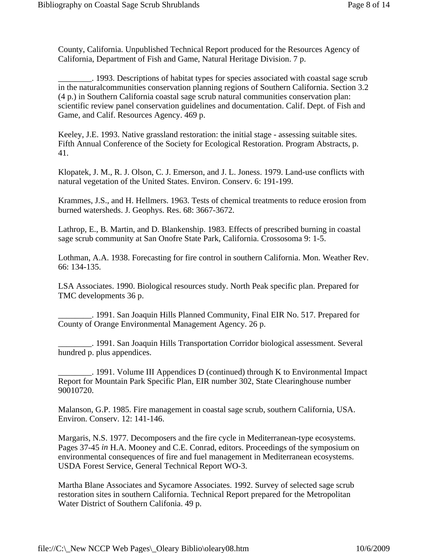County, California. Unpublished Technical Report produced for the Resources Agency of California, Department of Fish and Game, Natural Heritage Division. 7 p.

\_\_\_\_\_\_\_\_. 1993. Descriptions of habitat types for species associated with coastal sage scrub in the naturalcommunities conservation planning regions of Southern California. Section 3.2 (4 p.) in Southern California coastal sage scrub natural communities conservation plan: scientific review panel conservation guidelines and documentation. Calif. Dept. of Fish and Game, and Calif. Resources Agency. 469 p.

Keeley, J.E. 1993. Native grassland restoration: the initial stage - assessing suitable sites. Fifth Annual Conference of the Society for Ecological Restoration. Program Abstracts, p. 41.

Klopatek, J. M., R. J. Olson, C. J. Emerson, and J. L. Joness. 1979. Land-use conflicts with natural vegetation of the United States. Environ. Conserv. 6: 191-199.

Krammes, J.S., and H. Hellmers. 1963. Tests of chemical treatments to reduce erosion from burned watersheds. J. Geophys. Res. 68: 3667-3672.

Lathrop, E., B. Martin, and D. Blankenship. 1983. Effects of prescribed burning in coastal sage scrub community at San Onofre State Park, California. Crossosoma 9: 1-5.

Lothman, A.A. 1938. Forecasting for fire control in southern California. Mon. Weather Rev. 66: 134-135.

LSA Associates. 1990. Biological resources study. North Peak specific plan. Prepared for TMC developments 36 p.

\_\_\_\_\_\_\_\_. 1991. San Joaquin Hills Planned Community, Final EIR No. 517. Prepared for County of Orange Environmental Management Agency. 26 p.

\_\_\_\_\_\_\_\_. 1991. San Joaquin Hills Transportation Corridor biological assessment. Several hundred p. plus appendices.

\_\_\_\_\_\_\_\_. 1991. Volume III Appendices D (continued) through K to Environmental Impact Report for Mountain Park Specific Plan, EIR number 302, State Clearinghouse number 90010720.

Malanson, G.P. 1985. Fire management in coastal sage scrub, southern California, USA. Environ. Conserv. 12: 141-146.

Margaris, N.S. 1977. Decomposers and the fire cycle in Mediterranean-type ecosystems. Pages 37-45 *in* H.A. Mooney and C.E. Conrad, editors. Proceedings of the symposium on environmental consequences of fire and fuel management in Mediterranean ecosystems. USDA Forest Service, General Technical Report WO-3.

Martha Blane Associates and Sycamore Associates. 1992. Survey of selected sage scrub restoration sites in southern California. Technical Report prepared for the Metropolitan Water District of Southern Califonia. 49 p.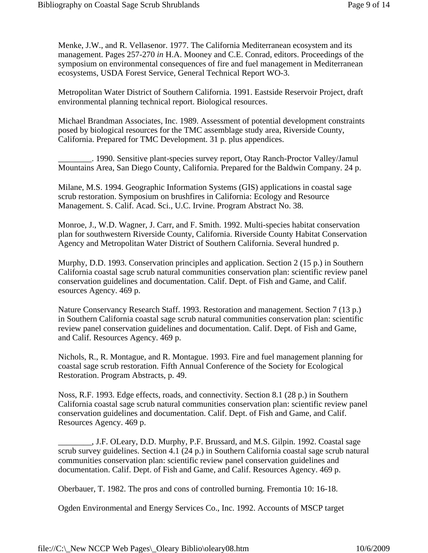Menke, J.W., and R. Vellasenor. 1977. The California Mediterranean ecosystem and its management. Pages 257-270 *in* H.A. Mooney and C.E. Conrad, editors. Proceedings of the symposium on environmental consequences of fire and fuel management in Mediterranean ecosystems, USDA Forest Service, General Technical Report WO-3.

Metropolitan Water District of Southern California. 1991. Eastside Reservoir Project, draft environmental planning technical report. Biological resources.

Michael Brandman Associates, Inc. 1989. Assessment of potential development constraints posed by biological resources for the TMC assemblage study area, Riverside County, California. Prepared for TMC Development. 31 p. plus appendices.

\_\_\_\_\_\_\_\_. 1990. Sensitive plant-species survey report, Otay Ranch-Proctor Valley/Jamul Mountains Area, San Diego County, California. Prepared for the Baldwin Company. 24 p.

Milane, M.S. 1994. Geographic Information Systems (GIS) applications in coastal sage scrub restoration. Symposium on brushfires in California: Ecology and Resource Management. S. Calif. Acad. Sci., U.C. Irvine. Program Abstract No. 38.

Monroe, J., W.D. Wagner, J. Carr, and F. Smith. 1992. Multi-species habitat conservation plan for southwestern Riverside County, California. Riverside County Habitat Conservation Agency and Metropolitan Water District of Southern California. Several hundred p.

Murphy, D.D. 1993. Conservation principles and application. Section 2 (15 p.) in Southern California coastal sage scrub natural communities conservation plan: scientific review panel conservation guidelines and documentation. Calif. Dept. of Fish and Game, and Calif. esources Agency. 469 p.

Nature Conservancy Research Staff. 1993. Restoration and management. Section 7 (13 p.) in Southern California coastal sage scrub natural communities conservation plan: scientific review panel conservation guidelines and documentation. Calif. Dept. of Fish and Game, and Calif. Resources Agency. 469 p.

Nichols, R., R. Montague, and R. Montague. 1993. Fire and fuel management planning for coastal sage scrub restoration. Fifth Annual Conference of the Society for Ecological Restoration. Program Abstracts, p. 49.

Noss, R.F. 1993. Edge effects, roads, and connectivity. Section 8.1 (28 p.) in Southern California coastal sage scrub natural communities conservation plan: scientific review panel conservation guidelines and documentation. Calif. Dept. of Fish and Game, and Calif. Resources Agency. 469 p.

\_\_\_\_\_\_\_\_, J.F. OLeary, D.D. Murphy, P.F. Brussard, and M.S. Gilpin. 1992. Coastal sage scrub survey guidelines. Section 4.1 (24 p.) in Southern California coastal sage scrub natural communities conservation plan: scientific review panel conservation guidelines and documentation. Calif. Dept. of Fish and Game, and Calif. Resources Agency. 469 p.

Oberbauer, T. 1982. The pros and cons of controlled burning. Fremontia 10: 16-18.

Ogden Environmental and Energy Services Co., Inc. 1992. Accounts of MSCP target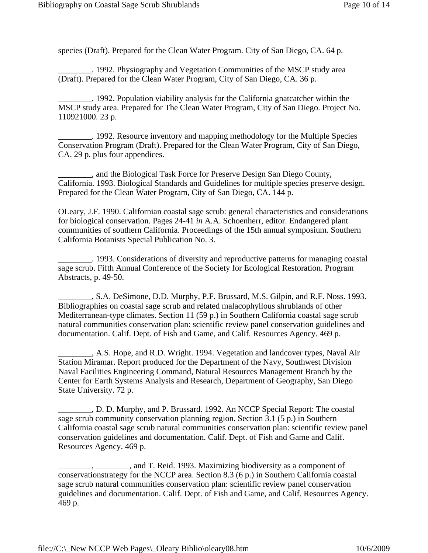species (Draft). Prepared for the Clean Water Program. City of San Diego, CA. 64 p.

\_\_\_\_\_\_\_\_. 1992. Physiography and Vegetation Communities of the MSCP study area (Draft). Prepared for the Clean Water Program, City of San Diego, CA. 36 p.

\_\_\_\_\_\_\_\_. 1992. Population viability analysis for the California gnatcatcher within the MSCP study area. Prepared for The Clean Water Program, City of San Diego. Project No. 110921000. 23 p.

\_\_\_\_\_\_\_\_. 1992. Resource inventory and mapping methodology for the Multiple Species Conservation Program (Draft). Prepared for the Clean Water Program, City of San Diego, CA. 29 p. plus four appendices.

\_\_\_\_\_\_\_\_, and the Biological Task Force for Preserve Design San Diego County, California. 1993. Biological Standards and Guidelines for multiple species preserve design. Prepared for the Clean Water Program, City of San Diego, CA. 144 p.

OLeary, J.F. 1990. Californian coastal sage scrub: general characteristics and considerations for biological conservation. Pages 24-41 *in* A.A. Schoenherr, editor. Endangered plant communities of southern California. Proceedings of the 15th annual symposium. Southern California Botanists Special Publication No. 3.

\_\_\_\_\_\_\_\_. 1993. Considerations of diversity and reproductive patterns for managing coastal sage scrub. Fifth Annual Conference of the Society for Ecological Restoration. Program Abstracts, p. 49-50.

\_\_\_\_\_\_\_\_, S.A. DeSimone, D.D. Murphy, P.F. Brussard, M.S. Gilpin, and R.F. Noss. 1993. Bibliographies on coastal sage scrub and related malacophyllous shrublands of other Mediterranean-type climates. Section 11 (59 p.) in Southern California coastal sage scrub natural communities conservation plan: scientific review panel conservation guidelines and documentation. Calif. Dept. of Fish and Game, and Calif. Resources Agency. 469 p.

\_\_\_\_\_\_\_\_, A.S. Hope, and R.D. Wright. 1994. Vegetation and landcover types, Naval Air Station Miramar. Report produced for the Department of the Navy, Southwest Division Naval Facilities Engineering Command, Natural Resources Management Branch by the Center for Earth Systems Analysis and Research, Department of Geography, San Diego State University. 72 p.

\_\_\_\_\_\_\_\_, D. D. Murphy, and P. Brussard. 1992. An NCCP Special Report: The coastal sage scrub community conservation planning region. Section 3.1 (5 p.) in Southern California coastal sage scrub natural communities conservation plan: scientific review panel conservation guidelines and documentation. Calif. Dept. of Fish and Game and Calif. Resources Agency. 469 p.

\_\_\_\_\_\_\_\_, \_\_\_\_\_\_\_\_, and T. Reid. 1993. Maximizing biodiversity as a component of conservationstrategy for the NCCP area. Section 8.3 (6 p.) in Southern California coastal sage scrub natural communities conservation plan: scientific review panel conservation guidelines and documentation. Calif. Dept. of Fish and Game, and Calif. Resources Agency. 469 p.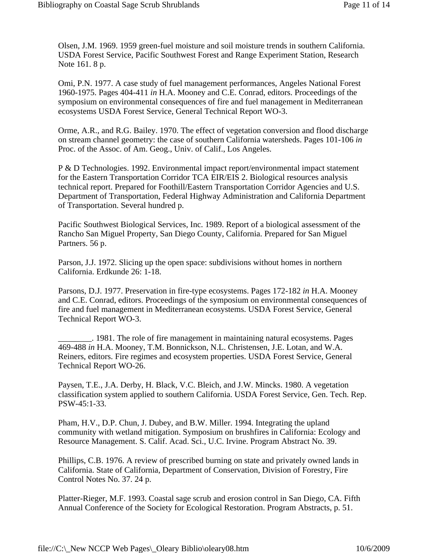Olsen, J.M. 1969. 1959 green-fuel moisture and soil moisture trends in southern California. USDA Forest Service, Pacific Southwest Forest and Range Experiment Station, Research Note 161. 8 p.

Omi, P.N. 1977. A case study of fuel management performances, Angeles National Forest 1960-1975. Pages 404-411 *in* H.A. Mooney and C.E. Conrad, editors. Proceedings of the symposium on environmental consequences of fire and fuel management in Mediterranean ecosystems USDA Forest Service, General Technical Report WO-3.

Orme, A.R., and R.G. Bailey. 1970. The effect of vegetation conversion and flood discharge on stream channel geometry: the case of southern California watersheds. Pages 101-106 *in* Proc. of the Assoc. of Am. Geog., Univ. of Calif., Los Angeles.

P & D Technologies. 1992. Environmental impact report/environmental impact statement for the Eastern Transportation Corridor TCA EIR/EIS 2. Biological resources analysis technical report. Prepared for Foothill/Eastern Transportation Corridor Agencies and U.S. Department of Transportation, Federal Highway Administration and California Department of Transportation. Several hundred p.

Pacific Southwest Biological Services, Inc. 1989. Report of a biological assessment of the Rancho San Miguel Property, San Diego County, California. Prepared for San Miguel Partners. 56 p.

Parson, J.J. 1972. Slicing up the open space: subdivisions without homes in northern California. Erdkunde 26: 1-18.

Parsons, D.J. 1977. Preservation in fire-type ecosystems. Pages 172-182 *in* H.A. Mooney and C.E. Conrad, editors. Proceedings of the symposium on environmental consequences of fire and fuel management in Mediterranean ecosystems. USDA Forest Service, General Technical Report WO-3.

\_\_\_\_\_\_\_\_. 1981. The role of fire management in maintaining natural ecosystems. Pages 469-488 *in* H.A. Mooney, T.M. Bonnickson, N.L. Christensen, J.E. Lotan, and W.A. Reiners, editors. Fire regimes and ecosystem properties. USDA Forest Service, General Technical Report WO-26.

Paysen, T.E., J.A. Derby, H. Black, V.C. Bleich, and J.W. Mincks. 1980. A vegetation classification system applied to southern California. USDA Forest Service, Gen. Tech. Rep. PSW-45:1-33.

Pham, H.V., D.P. Chun, J. Dubey, and B.W. Miller. 1994. Integrating the upland community with wetland mitigation. Symposium on brushfires in California: Ecology and Resource Management. S. Calif. Acad. Sci., U.C. Irvine. Program Abstract No. 39.

Phillips, C.B. 1976. A review of prescribed burning on state and privately owned lands in California. State of California, Department of Conservation, Division of Forestry, Fire Control Notes No. 37. 24 p.

Platter-Rieger, M.F. 1993. Coastal sage scrub and erosion control in San Diego, CA. Fifth Annual Conference of the Society for Ecological Restoration. Program Abstracts, p. 51.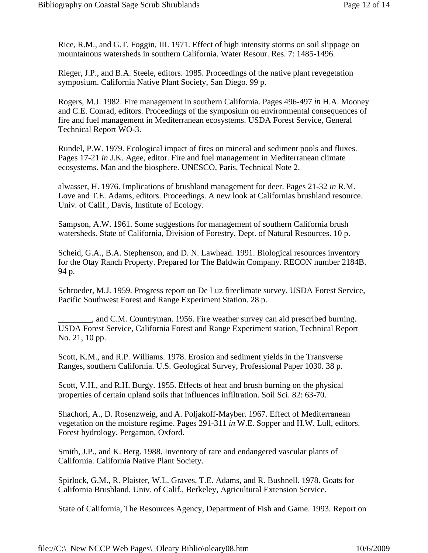Rice, R.M., and G.T. Foggin, III. 1971. Effect of high intensity storms on soil slippage on mountainous watersheds in southern California. Water Resour. Res. 7: 1485-1496.

Rieger, J.P., and B.A. Steele, editors. 1985. Proceedings of the native plant revegetation symposium. California Native Plant Society, San Diego. 99 p.

Rogers, M.J. 1982. Fire management in southern California. Pages 496-497 *in* H.A. Mooney and C.E. Conrad, editors. Proceedings of the symposium on environmental consequences of fire and fuel management in Mediterranean ecosystems. USDA Forest Service, General Technical Report WO-3.

Rundel, P.W. 1979. Ecological impact of fires on mineral and sediment pools and fluxes. Pages 17-21 *in* J.K. Agee, editor. Fire and fuel management in Mediterranean climate ecosystems. Man and the biosphere. UNESCO, Paris, Technical Note 2.

alwasser, H. 1976. Implications of brushland management for deer. Pages 21-32 *in* R.M. Love and T.E. Adams, editors. Proceedings. A new look at Californias brushland resource. Univ. of Calif., Davis, Institute of Ecology.

Sampson, A.W. 1961. Some suggestions for management of southern California brush watersheds. State of California, Division of Forestry, Dept. of Natural Resources. 10 p.

Scheid, G.A., B.A. Stephenson, and D. N. Lawhead. 1991. Biological resources inventory for the Otay Ranch Property. Prepared for The Baldwin Company. RECON number 2184B. 94 p.

Schroeder, M.J. 1959. Progress report on De Luz fireclimate survey. USDA Forest Service, Pacific Southwest Forest and Range Experiment Station. 28 p.

\_\_\_\_\_\_\_\_, and C.M. Countryman. 1956. Fire weather survey can aid prescribed burning. USDA Forest Service, California Forest and Range Experiment station, Technical Report No. 21, 10 pp.

Scott, K.M., and R.P. Williams. 1978. Erosion and sediment yields in the Transverse Ranges, southern California. U.S. Geological Survey, Professional Paper 1030. 38 p.

Scott, V.H., and R.H. Burgy. 1955. Effects of heat and brush burning on the physical properties of certain upland soils that influences infiltration. Soil Sci. 82: 63-70.

Shachori, A., D. Rosenzweig, and A. Poljakoff-Mayber. 1967. Effect of Mediterranean vegetation on the moisture regime. Pages 291-311 *in* W.E. Sopper and H.W. Lull, editors. Forest hydrology. Pergamon, Oxford.

Smith, J.P., and K. Berg. 1988. Inventory of rare and endangered vascular plants of California. California Native Plant Society.

Spirlock, G.M., R. Plaister, W.L. Graves, T.E. Adams, and R. Bushnell. 1978. Goats for California Brushland. Univ. of Calif., Berkeley, Agricultural Extension Service.

State of California, The Resources Agency, Department of Fish and Game. 1993. Report on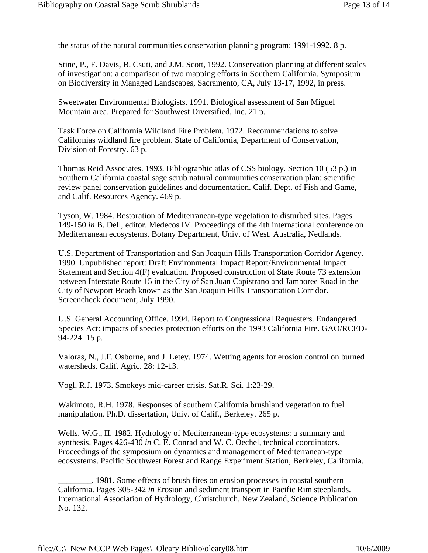the status of the natural communities conservation planning program: 1991-1992. 8 p.

Stine, P., F. Davis, B. Csuti, and J.M. Scott, 1992. Conservation planning at different scales of investigation: a comparison of two mapping efforts in Southern California. Symposium on Biodiversity in Managed Landscapes, Sacramento, CA, July 13-17, 1992, in press.

Sweetwater Environmental Biologists. 1991. Biological assessment of San Miguel Mountain area. Prepared for Southwest Diversified, Inc. 21 p.

Task Force on California Wildland Fire Problem. 1972. Recommendations to solve Californias wildland fire problem. State of California, Department of Conservation, Division of Forestry. 63 p.

Thomas Reid Associates. 1993. Bibliographic atlas of CSS biology. Section 10 (53 p.) in Southern California coastal sage scrub natural communities conservation plan: scientific review panel conservation guidelines and documentation. Calif. Dept. of Fish and Game, and Calif. Resources Agency. 469 p.

Tyson, W. 1984. Restoration of Mediterranean-type vegetation to disturbed sites. Pages 149-150 *in* B. Dell, editor. Medecos IV. Proceedings of the 4th international conference on Mediterranean ecosystems. Botany Department, Univ. of West. Australia, Nedlands.

U.S. Department of Transportation and San Joaquin Hills Transportation Corridor Agency. 1990. Unpublished report: Draft Environmental Impact Report/Environmental Impact Statement and Section 4(F) evaluation. Proposed construction of State Route 73 extension between Interstate Route 15 in the City of San Juan Capistrano and Jamboree Road in the City of Newport Beach known as the San Joaquin Hills Transportation Corridor. Screencheck document; July 1990.

U.S. General Accounting Office. 1994. Report to Congressional Requesters. Endangered Species Act: impacts of species protection efforts on the 1993 California Fire. GAO/RCED-94-224. 15 p.

Valoras, N., J.F. Osborne, and J. Letey. 1974. Wetting agents for erosion control on burned watersheds. Calif. Agric. 28: 12-13.

Vogl, R.J. 1973. Smokeys mid-career crisis. Sat.R. Sci. 1:23-29.

Wakimoto, R.H. 1978. Responses of southern California brushland vegetation to fuel manipulation. Ph.D. dissertation, Univ. of Calif., Berkeley. 265 p.

Wells, W.G., II. 1982. Hydrology of Mediterranean-type ecosystems: a summary and synthesis. Pages 426-430 *in* C. E. Conrad and W. C. Oechel, technical coordinators. Proceedings of the symposium on dynamics and management of Mediterranean-type ecosystems. Pacific Southwest Forest and Range Experiment Station, Berkeley, California.

\_\_\_\_\_\_\_\_. 1981. Some effects of brush fires on erosion processes in coastal southern California. Pages 305-342 *in* Erosion and sediment transport in Pacific Rim steeplands. International Association of Hydrology, Christchurch, New Zealand, Science Publication No. 132.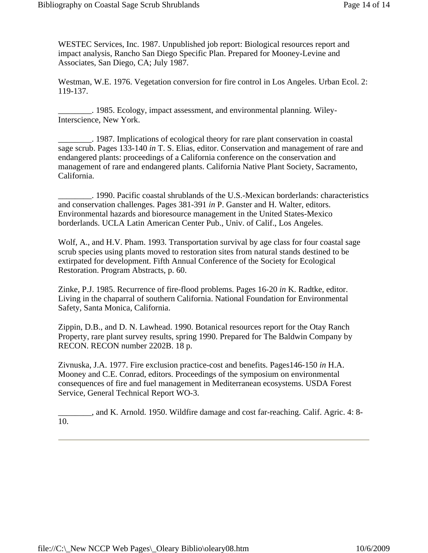WESTEC Services, Inc. 1987. Unpublished job report: Biological resources report and impact analysis, Rancho San Diego Specific Plan. Prepared for Mooney-Levine and Associates, San Diego, CA; July 1987.

Westman, W.E. 1976. Vegetation conversion for fire control in Los Angeles. Urban Ecol. 2: 119-137.

\_\_\_\_\_\_\_\_. 1985. Ecology, impact assessment, and environmental planning. Wiley-Interscience, New York.

\_\_\_\_\_\_\_\_. 1987. Implications of ecological theory for rare plant conservation in coastal sage scrub. Pages 133-140 *in* T. S. Elias, editor. Conservation and management of rare and endangered plants: proceedings of a California conference on the conservation and management of rare and endangered plants. California Native Plant Society, Sacramento, California.

\_\_\_\_\_\_\_\_. 1990. Pacific coastal shrublands of the U.S.-Mexican borderlands: characteristics and conservation challenges. Pages 381-391 *in* P. Ganster and H. Walter, editors. Environmental hazards and bioresource management in the United States-Mexico borderlands. UCLA Latin American Center Pub., Univ. of Calif., Los Angeles.

Wolf, A., and H.V. Pham. 1993. Transportation survival by age class for four coastal sage scrub species using plants moved to restoration sites from natural stands destined to be extirpated for development. Fifth Annual Conference of the Society for Ecological Restoration. Program Abstracts, p. 60.

Zinke, P.J. 1985. Recurrence of fire-flood problems. Pages 16-20 *in* K. Radtke, editor. Living in the chaparral of southern California. National Foundation for Environmental Safety, Santa Monica, California.

Zippin, D.B., and D. N. Lawhead. 1990. Botanical resources report for the Otay Ranch Property, rare plant survey results, spring 1990. Prepared for The Baldwin Company by RECON. RECON number 2202B. 18 p.

Zivnuska, J.A. 1977. Fire exclusion practice-cost and benefits. Pages146-150 *in* H.A. Mooney and C.E. Conrad, editors. Proceedings of the symposium on environmental consequences of fire and fuel management in Mediterranean ecosystems. USDA Forest Service, General Technical Report WO-3.

\_\_\_\_\_\_\_\_, and K. Arnold. 1950. Wildfire damage and cost far-reaching. Calif. Agric. 4: 8- 10.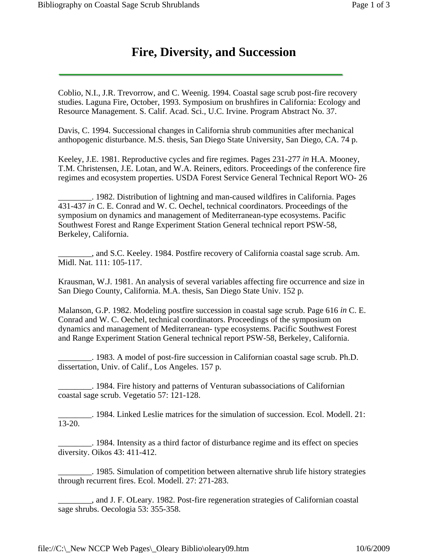Coblio, N.I., J.R. Trevorrow, and C. Weenig. 1994. Coastal sage scrub post-fire recovery studies. Laguna Fire, October, 1993. Symposium on brushfires in California: Ecology and Resource Management. S. Calif. Acad. Sci., U.C. Irvine. Program Abstract No. 37.

Davis, C. 1994. Successional changes in California shrub communities after mechanical anthopogenic disturbance. M.S. thesis, San Diego State University, San Diego, CA. 74 p.

Keeley, J.E. 1981. Reproductive cycles and fire regimes. Pages 231-277 *in* H.A. Mooney, T.M. Christensen, J.E. Lotan, and W.A. Reiners, editors. Proceedings of the conference fire regimes and ecosystem properties. USDA Forest Service General Technical Report WO- 26

\_\_\_\_\_\_\_\_. 1982. Distribution of lightning and man-caused wildfires in California. Pages 431-437 *in* C. E. Conrad and W. C. Oechel, technical coordinators. Proceedings of the symposium on dynamics and management of Mediterranean-type ecosystems. Pacific Southwest Forest and Range Experiment Station General technical report PSW-58, Berkeley, California.

\_\_\_\_\_\_\_\_, and S.C. Keeley. 1984. Postfire recovery of California coastal sage scrub. Am. Midl. Nat. 111: 105-117.

Krausman, W.J. 1981. An analysis of several variables affecting fire occurrence and size in San Diego County, California. M.A. thesis, San Diego State Univ. 152 p.

Malanson, G.P. 1982. Modeling postfire succession in coastal sage scrub. Page 616 *in* C. E. Conrad and W. C. Oechel, technical coordinators. Proceedings of the symposium on dynamics and management of Mediterranean- type ecosystems. Pacific Southwest Forest and Range Experiment Station General technical report PSW-58, Berkeley, California.

\_\_\_\_\_\_\_\_. 1983. A model of post-fire succession in Californian coastal sage scrub. Ph.D. dissertation, Univ. of Calif., Los Angeles. 157 p.

\_\_\_\_\_\_\_\_. 1984. Fire history and patterns of Venturan subassociations of Californian coastal sage scrub. Vegetatio 57: 121-128.

\_\_\_\_\_\_\_\_. 1984. Linked Leslie matrices for the simulation of succession. Ecol. Modell. 21: 13-20.

\_\_\_\_\_\_\_\_. 1984. Intensity as a third factor of disturbance regime and its effect on species diversity. Oikos 43: 411-412.

\_\_\_\_\_\_\_\_. 1985. Simulation of competition between alternative shrub life history strategies through recurrent fires. Ecol. Modell. 27: 271-283.

\_\_\_\_\_\_\_\_, and J. F. OLeary. 1982. Post-fire regeneration strategies of Californian coastal sage shrubs. Oecologia 53: 355-358.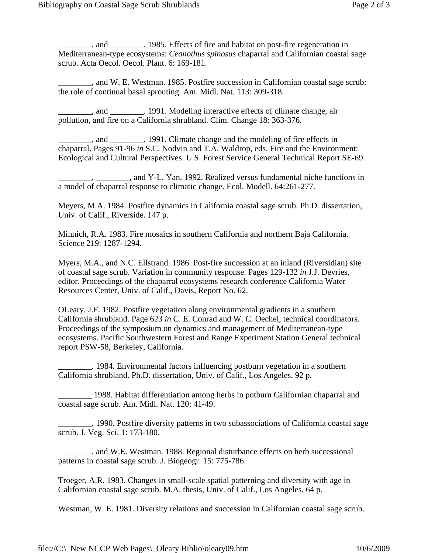\_\_\_\_\_\_\_\_, and \_\_\_\_\_\_\_\_. 1985. Effects of fire and habitat on post-fire regeneration in Mediterranean-type ecosystems: *Ceanothus spinosus* chaparral and Californian coastal sage scrub. Acta Oecol. Oecol. Plant. 6: 169-181.

\_\_\_\_\_\_\_\_, and W. E. Westman. 1985. Postfire succession in Californian coastal sage scrub: the role of continual basal sprouting. Am. Midl. Nat. 113: 309-318.

and 1991. Modeling interactive effects of climate change, air pollution, and fire on a California shrubland. Clim. Change 18: 363-376.

\_\_\_\_\_\_\_\_, and \_\_\_\_\_\_\_\_. 1991. Climate change and the modeling of fire effects in chaparral. Pages 91-96 *in* S.C. Nodvin and T.A. Waldrop, eds. Fire and the Environment: Ecological and Cultural Perspectives. U.S. Forest Service General Technical Report SE-69.

\_\_\_\_\_\_\_\_, \_\_\_\_\_\_\_\_, and Y-L. Yan. 1992. Realized versus fundamental niche functions in a model of chaparral response to climatic change. Ecol. Modell. 64:261-277.

Meyers, M.A. 1984. Postfire dynamics in California coastal sage scrub. Ph.D. dissertation, Univ. of Calif., Riverside. 147 p.

Minnich, R.A. 1983. Fire mosaics in southern California and northern Baja California. Science 219: 1287-1294.

Myers, M.A., and N.C. Ellstrand. 1986. Post-fire succession at an inland (Riversidian) site of coastal sage scrub. Variation in community response. Pages 129-132 *in* J.J. Devries, editor. Proceedings of the chaparral ecosystems research conference California Water Resources Center, Univ. of Calif., Davis, Report No. 62.

OLeary, J.F. 1982. Postfire vegetation along environmental gradients in a southern California shrubland. Page 623 *in* C. E. Conrad and W. C. Oechel, technical coordinators. Proceedings of the symposium on dynamics and management of Mediterranean-type ecosystems. Pacific Southwestern Forest and Range Experiment Station General technical report PSW-58, Berkeley, California.

\_\_\_\_\_\_\_\_. 1984. Environmental factors influencing postburn vegetation in a southern California shrubland. Ph.D. dissertation, Univ. of Calif., Los Angeles. 92 p.

\_\_\_\_\_\_\_\_ 1988. Habitat differentiation among herbs in potburn Californian chaparral and coastal sage scrub. Am. Midl. Nat. 120: 41-49.

\_\_\_\_\_\_\_\_. 1990. Postfire diversity patterns in two subassociations of California coastal sage scrub. J. Veg. Sci. 1: 173-180.

\_\_\_\_\_\_\_\_, and W.E. Westman. 1988. Regional disturbance effects on herb successional patterns in coastal sage scrub. J. Biogeogr. 15: 775-786.

Troeger, A.R. 1983. Changes in small-scale spatial patterning and diversity with age in Californian coastal sage scrub. M.A. thesis, Univ. of Calif., Los Angeles. 64 p.

Westman, W. E. 1981. Diversity relations and succession in Californian coastal sage scrub.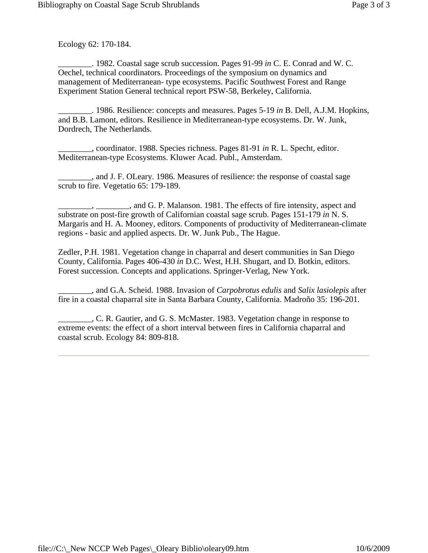Ecology 62: 170-184.

\_\_\_\_\_\_\_\_. 1982. Coastal sage scrub succession. Pages 91-99 *in* C. E. Conrad and W. C. Oechel, technical coordinators. Proceedings of the symposium on dynamics and management of Mediterranean- type ecosystems. Pacific Southwest Forest and Range Experiment Station General technical report PSW-58, Berkeley, California.

\_\_\_\_\_\_\_\_. 1986. Resilience: concepts and measures. Pages 5-19 *in* B. Dell, A.J.M. Hopkins, and B.B. Lamont, editors. Resilience in Mediterranean-type ecosystems. Dr. W. Junk, Dordrech, The Netherlands.

\_\_\_\_\_\_\_\_, coordinator. 1988. Species richness. Pages 81-91 *in* R. L. Specht, editor. Mediterranean-type Ecosystems. Kluwer Acad. Publ., Amsterdam.

\_\_\_\_\_\_\_\_, and J. F. OLeary. 1986. Measures of resilience: the response of coastal sage scrub to fire. Vegetatio 65: 179-189.

\_\_\_\_\_\_\_\_, \_\_\_\_\_\_\_\_, and G. P. Malanson. 1981. The effects of fire intensity, aspect and substrate on post-fire growth of Californian coastal sage scrub. Pages 151-179 *in* N. S. Margaris and H. A. Mooney, editors. Components of productivity of Mediterranean-climate regions - basic and applied aspects. Dr. W. Junk Pub., The Hague.

Zedler, P.H. 1981. Vegetation change in chaparral and desert communities in San Diego County, California. Pages 406-430 *in* D.C. West, H.H. Shugart, and D. Botkin, editors. Forest succession. Concepts and applications. Springer-Verlag, New York.

\_\_\_\_\_\_\_\_, and G.A. Scheid. 1988. Invasion of *Carpobrotus edulis* and *Salix lasiolepis* after fire in a coastal chaparral site in Santa Barbara County, California. Madroño 35: 196-201.

\_\_\_\_\_\_\_\_, C. R. Gautier, and G. S. McMaster. 1983. Vegetation change in response to extreme events: the effect of a short interval between fires in California chaparral and coastal scrub. Ecology 84: 809-818.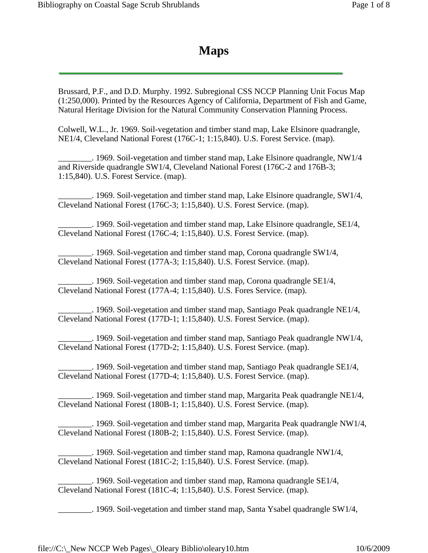## **Maps**

Brussard, P.F., and D.D. Murphy. 1992. Subregional CSS NCCP Planning Unit Focus Map (1:250,000). Printed by the Resources Agency of California, Department of Fish and Game, Natural Heritage Division for the Natural Community Conservation Planning Process.

Colwell, W.L., Jr. 1969. Soil-vegetation and timber stand map, Lake Elsinore quadrangle, NE1/4, Cleveland National Forest (176C-1; 1:15,840). U.S. Forest Service. (map).

 $\sim$  1969. Soil-vegetation and timber stand map, Lake Elsinore quadrangle, NW1/4 and Riverside quadrangle SW1/4, Cleveland National Forest (176C-2 and 176B-3; 1:15,840). U.S. Forest Service. (map).

\_\_\_\_\_\_\_\_. 1969. Soil-vegetation and timber stand map, Lake Elsinore quadrangle, SW1/4, Cleveland National Forest (176C-3; 1:15,840). U.S. Forest Service. (map).

\_\_\_\_\_\_\_\_. 1969. Soil-vegetation and timber stand map, Lake Elsinore quadrangle, SE1/4, Cleveland National Forest (176C-4; 1:15,840). U.S. Forest Service. (map).

\_\_\_\_\_\_\_\_. 1969. Soil-vegetation and timber stand map, Corona quadrangle SW1/4, Cleveland National Forest (177A-3; 1:15,840). U.S. Forest Service. (map).

\_\_\_\_\_\_\_\_. 1969. Soil-vegetation and timber stand map, Corona quadrangle SE1/4, Cleveland National Forest (177A-4; 1:15,840). U.S. Fores Service. (map).

 $\pm$  1969. Soil-vegetation and timber stand map, Santiago Peak quadrangle NE1/4, Cleveland National Forest (177D-1; 1:15,840). U.S. Forest Service. (map).

<sup>1969</sup>. Soil-vegetation and timber stand map, Santiago Peak quadrangle NW1/4, Cleveland National Forest (177D-2; 1:15,840). U.S. Forest Service. (map).

 $\pm$  1969. Soil-vegetation and timber stand map, Santiago Peak quadrangle SE1/4, Cleveland National Forest (177D-4; 1:15,840). U.S. Forest Service. (map).

 $\pm$  1969. Soil-vegetation and timber stand map, Margarita Peak quadrangle NE1/4, Cleveland National Forest (180B-1; 1:15,840). U.S. Forest Service. (map).

 $\sim$  1969. Soil-vegetation and timber stand map, Margarita Peak quadrangle NW1/4, Cleveland National Forest (180B-2; 1:15,840). U.S. Forest Service. (map).

\_\_\_\_\_\_\_\_. 1969. Soil-vegetation and timber stand map, Ramona quadrangle NW1/4, Cleveland National Forest (181C-2; 1:15,840). U.S. Forest Service. (map).

\_\_\_\_\_\_\_\_. 1969. Soil-vegetation and timber stand map, Ramona quadrangle SE1/4, Cleveland National Forest (181C-4; 1:15,840). U.S. Forest Service. (map).

\_\_\_\_\_\_\_\_. 1969. Soil-vegetation and timber stand map, Santa Ysabel quadrangle SW1/4,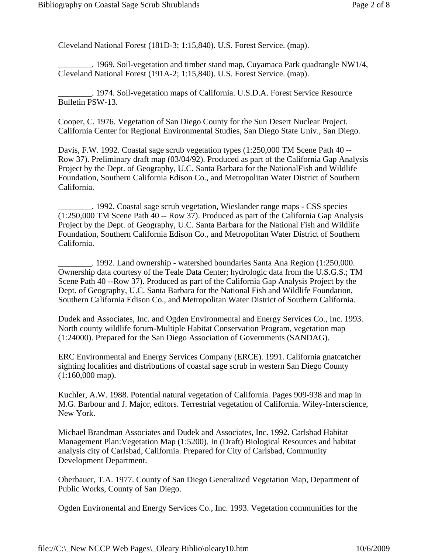Cleveland National Forest (181D-3; 1:15,840). U.S. Forest Service. (map).

. 1969. Soil-vegetation and timber stand map, Cuyamaca Park quadrangle NW1/4, Cleveland National Forest (191A-2; 1:15,840). U.S. Forest Service. (map).

\_\_\_\_\_\_\_\_. 1974. Soil-vegetation maps of California. U.S.D.A. Forest Service Resource Bulletin PSW-13.

Cooper, C. 1976. Vegetation of San Diego County for the Sun Desert Nuclear Project. California Center for Regional Environmental Studies, San Diego State Univ., San Diego.

Davis, F.W. 1992. Coastal sage scrub vegetation types (1:250,000 TM Scene Path 40 -- Row 37). Preliminary draft map (03/04/92). Produced as part of the California Gap Analysis Project by the Dept. of Geography, U.C. Santa Barbara for the NationalFish and Wildlife Foundation, Southern California Edison Co., and Metropolitan Water District of Southern California.

\_\_\_\_\_\_\_\_. 1992. Coastal sage scrub vegetation, Wieslander range maps - CSS species (1:250,000 TM Scene Path 40 -- Row 37). Produced as part of the California Gap Analysis Project by the Dept. of Geography, U.C. Santa Barbara for the National Fish and Wildlife Foundation, Southern California Edison Co., and Metropolitan Water District of Southern California.

\_\_\_\_\_\_\_\_. 1992. Land ownership - watershed boundaries Santa Ana Region (1:250,000. Ownership data courtesy of the Teale Data Center; hydrologic data from the U.S.G.S.; TM Scene Path 40 --Row 37). Produced as part of the California Gap Analysis Project by the Dept. of Geography, U.C. Santa Barbara for the National Fish and Wildlife Foundation, Southern California Edison Co., and Metropolitan Water District of Southern California.

Dudek and Associates, Inc. and Ogden Environmental and Energy Services Co., Inc. 1993. North county wildlife forum-Multiple Habitat Conservation Program, vegetation map (1:24000). Prepared for the San Diego Association of Governments (SANDAG).

ERC Environmental and Energy Services Company (ERCE). 1991. California gnatcatcher sighting localities and distributions of coastal sage scrub in western San Diego County (1:160,000 map).

Kuchler, A.W. 1988. Potential natural vegetation of California. Pages 909-938 and map in M.G. Barbour and J. Major, editors. Terrestrial vegetation of California. Wiley-Interscience, New York.

Michael Brandman Associates and Dudek and Associates, Inc. 1992. Carlsbad Habitat Management Plan:Vegetation Map (1:5200). In (Draft) Biological Resources and habitat analysis city of Carlsbad, California. Prepared for City of Carlsbad, Community Development Department.

Oberbauer, T.A. 1977. County of San Diego Generalized Vegetation Map, Department of Public Works, County of San Diego.

Ogden Environental and Energy Services Co., Inc. 1993. Vegetation communities for the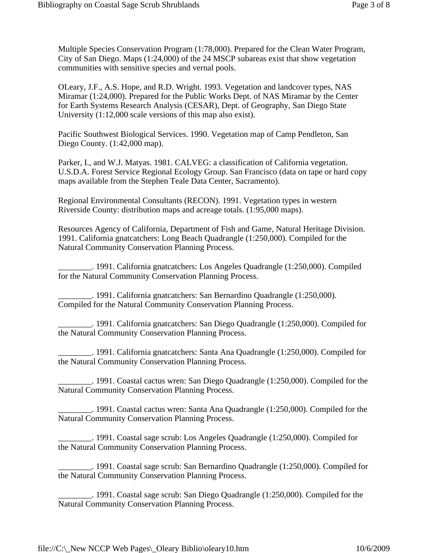Multiple Species Conservation Program (1:78,000). Prepared for the Clean Water Program, City of San Diego. Maps (1:24,000) of the 24 MSCP subareas exist that show vegetation communities with sensitive species and vernal pools.

OLeary, J.F., A.S. Hope, and R.D. Wright. 1993. Vegetation and landcover types, NAS Miramar (1:24,000). Prepared for the Public Works Dept. of NAS Miramar by the Center for Earth Systems Research Analysis (CESAR), Dept. of Geography, San Diego State University (1:12,000 scale versions of this map also exist).

Pacific Southwest Biological Services. 1990. Vegetation map of Camp Pendleton, San Diego County. (1:42,000 map).

Parker, I., and W.J. Matyas. 1981. CALVEG: a classification of California vegetation. U.S.D.A. Forest Service Regional Ecology Group. San Francisco (data on tape or hard copy maps available from the Stephen Teale Data Center, Sacramento).

Regional Environmental Consultants (RECON). 1991. Vegetation types in western Riverside County: distribution maps and acreage totals. (1:95,000 maps).

Resources Agency of California, Department of Fish and Game, Natural Heritage Division. 1991. California gnatcatchers: Long Beach Quadrangle (1:250,000). Compiled for the Natural Community Conservation Planning Process.

\_\_\_\_\_\_\_\_. 1991. California gnatcatchers: Los Angeles Quadrangle (1:250,000). Compiled for the Natural Community Conservation Planning Process.

\_\_\_\_\_\_\_\_. 1991. California gnatcatchers: San Bernardino Quadrangle (1:250,000). Compiled for the Natural Community Conservation Planning Process.

\_\_\_\_\_\_\_\_. 1991. California gnatcatchers: San Diego Quadrangle (1:250,000). Compiled for the Natural Community Conservation Planning Process.

\_\_\_\_\_\_\_\_. 1991. California gnatcatchers: Santa Ana Quadrangle (1:250,000). Compiled for the Natural Community Conservation Planning Process.

\_\_\_\_\_\_\_\_. 1991. Coastal cactus wren: San Diego Quadrangle (1:250,000). Compiled for the Natural Community Conservation Planning Process.

\_\_\_\_\_\_\_\_. 1991. Coastal cactus wren: Santa Ana Quadrangle (1:250,000). Compiled for the Natural Community Conservation Planning Process.

\_\_\_\_\_\_\_\_. 1991. Coastal sage scrub: Los Angeles Quadrangle (1:250,000). Compiled for the Natural Community Conservation Planning Process.

\_\_\_\_\_\_\_\_. 1991. Coastal sage scrub: San Bernardino Quadrangle (1:250,000). Compiled for the Natural Community Conservation Planning Process.

\_\_\_\_\_\_\_\_. 1991. Coastal sage scrub: San Diego Quadrangle (1:250,000). Compiled for the Natural Community Conservation Planning Process.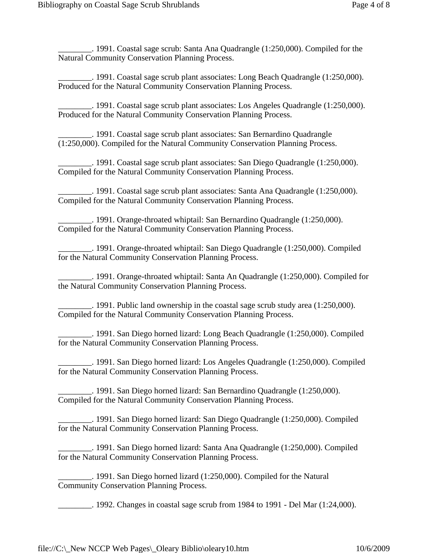\_\_\_\_\_\_\_\_. 1991. Coastal sage scrub: Santa Ana Quadrangle (1:250,000). Compiled for the Natural Community Conservation Planning Process.

\_\_\_\_\_\_\_\_. 1991. Coastal sage scrub plant associates: Long Beach Quadrangle (1:250,000). Produced for the Natural Community Conservation Planning Process.

\_\_\_\_\_\_\_\_. 1991. Coastal sage scrub plant associates: Los Angeles Quadrangle (1:250,000). Produced for the Natural Community Conservation Planning Process.

\_\_\_\_\_\_\_\_. 1991. Coastal sage scrub plant associates: San Bernardino Quadrangle (1:250,000). Compiled for the Natural Community Conservation Planning Process.

\_\_\_\_\_\_\_\_. 1991. Coastal sage scrub plant associates: San Diego Quadrangle (1:250,000). Compiled for the Natural Community Conservation Planning Process.

\_\_\_\_\_\_\_\_. 1991. Coastal sage scrub plant associates: Santa Ana Quadrangle (1:250,000). Compiled for the Natural Community Conservation Planning Process.

\_\_\_\_\_\_\_\_. 1991. Orange-throated whiptail: San Bernardino Quadrangle (1:250,000). Compiled for the Natural Community Conservation Planning Process.

\_\_\_\_\_\_\_\_. 1991. Orange-throated whiptail: San Diego Quadrangle (1:250,000). Compiled for the Natural Community Conservation Planning Process.

\_\_\_\_\_\_\_\_. 1991. Orange-throated whiptail: Santa An Quadrangle (1:250,000). Compiled for the Natural Community Conservation Planning Process.

\_\_\_\_\_\_\_\_. 1991. Public land ownership in the coastal sage scrub study area (1:250,000). Compiled for the Natural Community Conservation Planning Process.

\_\_\_\_\_\_\_\_. 1991. San Diego horned lizard: Long Beach Quadrangle (1:250,000). Compiled for the Natural Community Conservation Planning Process.

\_\_\_\_\_\_\_\_. 1991. San Diego horned lizard: Los Angeles Quadrangle (1:250,000). Compiled for the Natural Community Conservation Planning Process.

\_\_\_\_\_\_\_\_. 1991. San Diego horned lizard: San Bernardino Quadrangle (1:250,000). Compiled for the Natural Community Conservation Planning Process.

\_\_\_\_\_\_\_\_. 1991. San Diego horned lizard: San Diego Quadrangle (1:250,000). Compiled for the Natural Community Conservation Planning Process.

\_\_\_\_\_\_\_\_. 1991. San Diego horned lizard: Santa Ana Quadrangle (1:250,000). Compiled for the Natural Community Conservation Planning Process.

\_\_\_\_\_\_\_\_. 1991. San Diego horned lizard (1:250,000). Compiled for the Natural Community Conservation Planning Process.

\_\_\_\_\_\_\_\_. 1992. Changes in coastal sage scrub from 1984 to 1991 - Del Mar (1:24,000).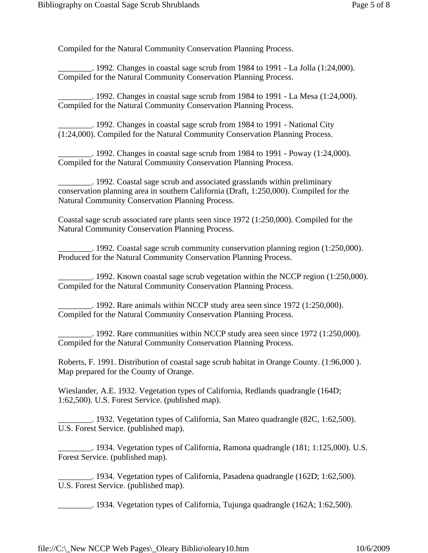Compiled for the Natural Community Conservation Planning Process.

 $\therefore$  1992. Changes in coastal sage scrub from 1984 to 1991 - La Jolla (1:24,000). Compiled for the Natural Community Conservation Planning Process.

 $\ldots$  1992. Changes in coastal sage scrub from 1984 to 1991 - La Mesa (1:24,000). Compiled for the Natural Community Conservation Planning Process.

\_\_\_\_\_\_\_\_. 1992. Changes in coastal sage scrub from 1984 to 1991 - National City (1:24,000). Compiled for the Natural Community Conservation Planning Process.

\_\_\_\_\_\_\_\_. 1992. Changes in coastal sage scrub from 1984 to 1991 - Poway (1:24,000). Compiled for the Natural Community Conservation Planning Process.

\_\_\_\_\_\_\_\_. 1992. Coastal sage scrub and associated grasslands within preliminary conservation planning area in southern California (Draft, 1:250,000). Compiled for the Natural Community Conservation Planning Process.

Coastal sage scrub associated rare plants seen since 1972 (1:250,000). Compiled for the Natural Community Conservation Planning Process.

\_\_\_\_\_\_\_\_. 1992. Coastal sage scrub community conservation planning region (1:250,000). Produced for the Natural Community Conservation Planning Process.

 $\pm$ . 1992. Known coastal sage scrub vegetation within the NCCP region (1:250,000). Compiled for the Natural Community Conservation Planning Process.

 $\ldots$  1992. Rare animals within NCCP study area seen since 1972 (1:250,000). Compiled for the Natural Community Conservation Planning Process.

\_\_\_\_\_\_\_\_. 1992. Rare communities within NCCP study area seen since 1972 (1:250,000). Compiled for the Natural Community Conservation Planning Process.

Roberts, F. 1991. Distribution of coastal sage scrub habitat in Orange County. (1:96,000 ). Map prepared for the County of Orange.

Wieslander, A.E. 1932. Vegetation types of California, Redlands quadrangle (164D; 1:62,500). U.S. Forest Service. (published map).

\_\_\_\_\_\_\_\_. 1932. Vegetation types of California, San Mateo quadrangle (82C, 1:62,500). U.S. Forest Service. (published map).

\_\_\_\_\_\_\_\_. 1934. Vegetation types of California, Ramona quadrangle (181; 1:125,000). U.S. Forest Service. (published map).

\_\_\_\_\_\_\_\_. 1934. Vegetation types of California, Pasadena quadrangle (162D; 1:62,500). U.S. Forest Service. (published map).

\_\_\_\_\_\_\_\_. 1934. Vegetation types of California, Tujunga quadrangle (162A; 1:62,500).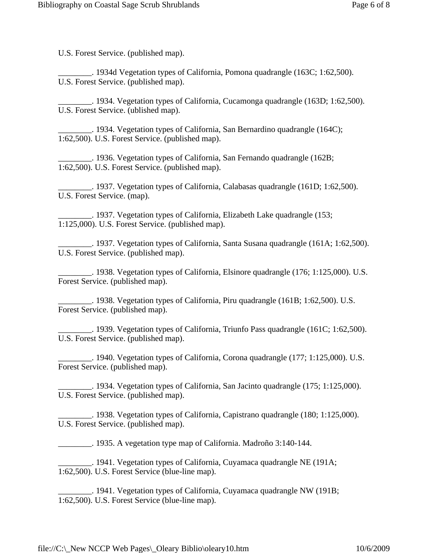U.S. Forest Service. (published map).

\_\_\_\_\_\_\_\_. 1934d Vegetation types of California, Pomona quadrangle (163C; 1:62,500). U.S. Forest Service. (published map).

\_\_\_\_\_\_\_\_. 1934. Vegetation types of California, Cucamonga quadrangle (163D; 1:62,500). U.S. Forest Service. (ublished map).

\_\_\_\_\_\_\_\_. 1934. Vegetation types of California, San Bernardino quadrangle (164C); 1:62,500). U.S. Forest Service. (published map).

\_\_\_\_\_\_\_\_. 1936. Vegetation types of California, San Fernando quadrangle (162B; 1:62,500). U.S. Forest Service. (published map).

\_\_\_\_\_\_\_\_. 1937. Vegetation types of California, Calabasas quadrangle (161D; 1:62,500). U.S. Forest Service. (map).

\_\_\_\_\_\_\_\_. 1937. Vegetation types of California, Elizabeth Lake quadrangle (153; 1:125,000). U.S. Forest Service. (published map).

\_\_\_\_\_\_\_\_. 1937. Vegetation types of California, Santa Susana quadrangle (161A; 1:62,500). U.S. Forest Service. (published map).

\_\_\_\_\_\_\_\_. 1938. Vegetation types of California, Elsinore quadrangle (176; 1:125,000). U.S. Forest Service. (published map).

\_\_\_\_\_\_\_\_. 1938. Vegetation types of California, Piru quadrangle (161B; 1:62,500). U.S. Forest Service. (published map).

\_\_\_\_\_\_\_\_. 1939. Vegetation types of California, Triunfo Pass quadrangle (161C; 1:62,500). U.S. Forest Service. (published map).

. 1940. Vegetation types of California, Corona quadrangle (177; 1:125,000). U.S. Forest Service. (published map).

 $\ldots$  1934. Vegetation types of California, San Jacinto quadrangle (175; 1:125,000). U.S. Forest Service. (published map).

 $\ldots$  1938. Vegetation types of California, Capistrano quadrangle (180; 1:125,000). U.S. Forest Service. (published map).

\_\_\_\_\_\_\_\_. 1935. A vegetation type map of California. Madroño 3:140-144.

\_\_\_\_\_\_\_\_. 1941. Vegetation types of California, Cuyamaca quadrangle NE (191A; 1:62,500). U.S. Forest Service (blue-line map).

\_\_\_\_\_\_\_\_. 1941. Vegetation types of California, Cuyamaca quadrangle NW (191B; 1:62,500). U.S. Forest Service (blue-line map).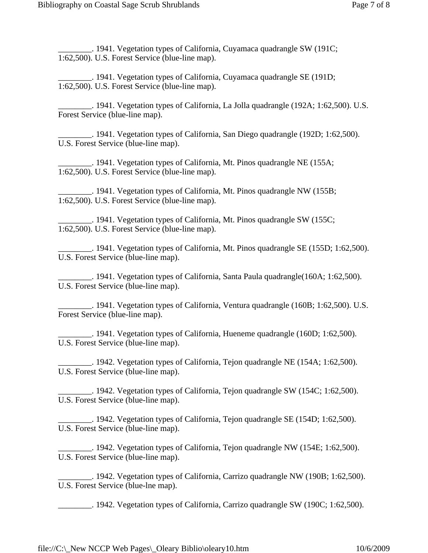\_\_\_\_\_\_\_\_. 1941. Vegetation types of California, Cuyamaca quadrangle SW (191C; 1:62,500). U.S. Forest Service (blue-line map).

\_\_\_\_\_\_\_\_. 1941. Vegetation types of California, Cuyamaca quadrangle SE (191D; 1:62,500). U.S. Forest Service (blue-line map).

\_\_\_\_\_\_\_\_. 1941. Vegetation types of California, La Jolla quadrangle (192A; 1:62,500). U.S. Forest Service (blue-line map).

\_\_\_\_\_\_\_\_. 1941. Vegetation types of California, San Diego quadrangle (192D; 1:62,500). U.S. Forest Service (blue-line map).

\_\_\_\_\_\_\_\_. 1941. Vegetation types of California, Mt. Pinos quadrangle NE (155A; 1:62,500). U.S. Forest Service (blue-line map).

. 1941. Vegetation types of California, Mt. Pinos quadrangle NW (155B; 1:62,500). U.S. Forest Service (blue-line map).

\_\_\_\_\_\_\_\_. 1941. Vegetation types of California, Mt. Pinos quadrangle SW (155C; 1:62,500). U.S. Forest Service (blue-line map).

\_\_\_\_\_\_\_\_. 1941. Vegetation types of California, Mt. Pinos quadrangle SE (155D; 1:62,500). U.S. Forest Service (blue-line map).

 $\therefore$  1941. Vegetation types of California, Santa Paula quadrangle(160A; 1:62,500). U.S. Forest Service (blue-line map).

\_\_\_\_\_\_\_\_. 1941. Vegetation types of California, Ventura quadrangle (160B; 1:62,500). U.S. Forest Service (blue-line map).

\_\_\_\_\_\_\_\_. 1941. Vegetation types of California, Hueneme quadrangle (160D; 1:62,500). U.S. Forest Service (blue-line map).

\_\_\_\_\_\_\_\_. 1942. Vegetation types of California, Tejon quadrangle NE (154A; 1:62,500). U.S. Forest Service (blue-line map).

\_\_\_\_\_\_\_\_. 1942. Vegetation types of California, Tejon quadrangle SW (154C; 1:62,500). U.S. Forest Service (blue-line map).

\_\_\_\_\_\_\_\_. 1942. Vegetation types of California, Tejon quadrangle SE (154D; 1:62,500). U.S. Forest Service (blue-line map).

\_\_\_\_\_\_\_\_. 1942. Vegetation types of California, Tejon quadrangle NW (154E; 1:62,500). U.S. Forest Service (blue-line map).

\_\_\_\_\_\_\_\_. 1942. Vegetation types of California, Carrizo quadrangle NW (190B; 1:62,500). U.S. Forest Service (blue-lne map).

\_\_\_\_\_\_\_\_. 1942. Vegetation types of California, Carrizo quadrangle SW (190C; 1:62,500).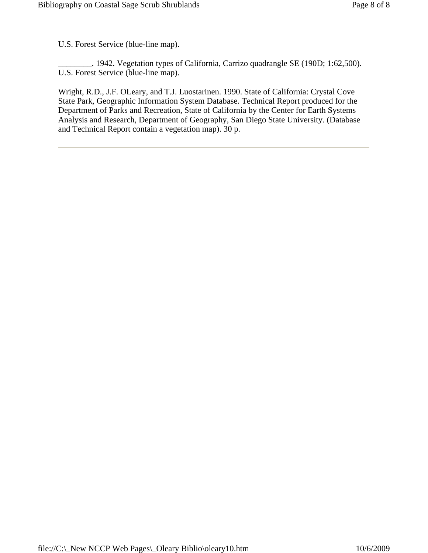U.S. Forest Service (blue-line map).

\_\_\_\_\_\_\_\_. 1942. Vegetation types of California, Carrizo quadrangle SE (190D; 1:62,500). U.S. Forest Service (blue-line map).

Wright, R.D., J.F. OLeary, and T.J. Luostarinen. 1990. State of California: Crystal Cove State Park, Geographic Information System Database. Technical Report produced for the Department of Parks and Recreation, State of California by the Center for Earth Systems Analysis and Research, Department of Geography, San Diego State University. (Database and Technical Report contain a vegetation map). 30 p.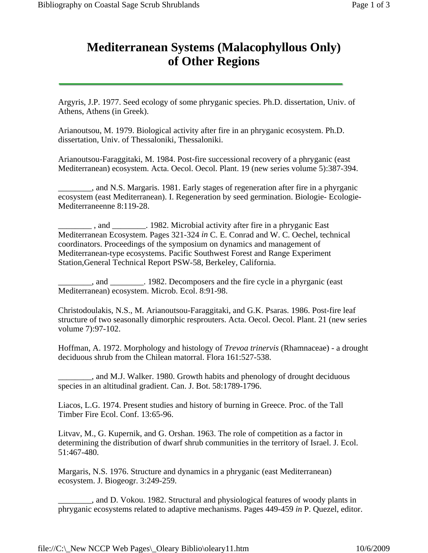## **Mediterranean Systems (Malacophyllous Only) of Other Regions**

Argyris, J.P. 1977. Seed ecology of some phryganic species. Ph.D. dissertation, Univ. of Athens, Athens (in Greek).

Arianoutsou, M. 1979. Biological activity after fire in an phryganic ecosystem. Ph.D. dissertation, Univ. of Thessaloniki, Thessaloniki.

Arianoutsou-Faraggitaki, M. 1984. Post-fire successional recovery of a phryganic (east Mediterranean) ecosystem. Acta. Oecol. Oecol. Plant. 19 (new series volume 5):387-394.

\_\_\_\_\_\_\_\_, and N.S. Margaris. 1981. Early stages of regeneration after fire in a phyrganic ecosystem (east Mediterranean). I. Regeneration by seed germination. Biologie- Ecologie-Mediterraneenne 8:119-28.

and 1982. Microbial activity after fire in a phryganic East Mediterranean Ecosystem. Pages 321-324 *in* C. E. Conrad and W. C. Oechel, technical coordinators. Proceedings of the symposium on dynamics and management of Mediterranean-type ecosystems. Pacific Southwest Forest and Range Experiment Station,General Technical Report PSW-58, Berkeley, California.

\_\_\_\_\_\_\_\_, and \_\_\_\_\_\_\_\_. 1982. Decomposers and the fire cycle in a phyrganic (east Mediterranean) ecosystem. Microb. Ecol. 8:91-98.

Christodoulakis, N.S., M. Arianoutsou-Faraggitaki, and G.K. Psaras. 1986. Post-fire leaf structure of two seasonally dimorphic resprouters. Acta. Oecol. Oecol. Plant. 21 (new series volume 7):97-102.

Hoffman, A. 1972. Morphology and histology of *Trevoa trinervis* (Rhamnaceae) - a drought deciduous shrub from the Chilean matorral. Flora 161:527-538.

\_\_\_\_\_\_\_\_, and M.J. Walker. 1980. Growth habits and phenology of drought deciduous species in an altitudinal gradient. Can. J. Bot. 58:1789-1796.

Liacos, L.G. 1974. Present studies and history of burning in Greece. Proc. of the Tall Timber Fire Ecol. Conf. 13:65-96.

Litvav, M., G. Kupernik, and G. Orshan. 1963. The role of competition as a factor in determining the distribution of dwarf shrub communities in the territory of Israel. J. Ecol. 51:467-480.

Margaris, N.S. 1976. Structure and dynamics in a phryganic (east Mediterranean) ecosystem. J. Biogeogr. 3:249-259.

all 2015, and D. Vokou. 1982. Structural and physiological features of woody plants in phryganic ecosystems related to adaptive mechanisms. Pages 449-459 *in* P. Quezel, editor.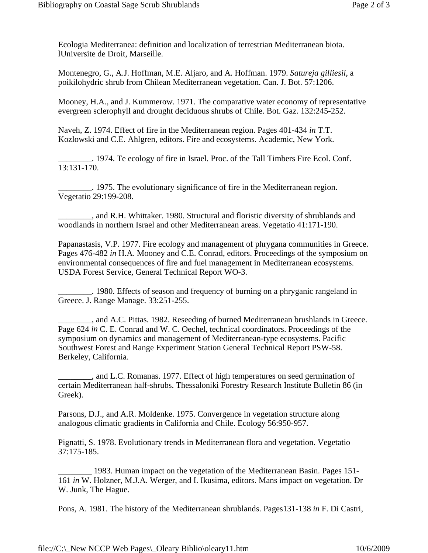Ecologia Mediterranea: definition and localization of terrestrian Mediterranean biota. lUniversite de Droit, Marseille.

Montenegro, G., A.J. Hoffman, M.E. Aljaro, and A. Hoffman. 1979. *Satureja gilliesii*, a poikilohydric shrub from Chilean Mediterranean vegetation. Can. J. Bot. 57:1206.

Mooney, H.A., and J. Kummerow. 1971. The comparative water economy of representative evergreen sclerophyll and drought deciduous shrubs of Chile. Bot. Gaz. 132:245-252.

Naveh, Z. 1974. Effect of fire in the Mediterranean region. Pages 401-434 *in* T.T. Kozlowski and C.E. Ahlgren, editors. Fire and ecosystems. Academic, New York.

\_\_\_\_\_\_\_\_. 1974. Te ecology of fire in Israel. Proc. of the Tall Timbers Fire Ecol. Conf. 13:131-170.

\_\_\_\_\_\_\_\_. 1975. The evolutionary significance of fire in the Mediterranean region. Vegetatio 29:199-208.

\_\_\_\_\_\_\_\_, and R.H. Whittaker. 1980. Structural and floristic diversity of shrublands and woodlands in northern Israel and other Mediterranean areas. Vegetatio 41:171-190.

Papanastasis, V.P. 1977. Fire ecology and management of phrygana communities in Greece. Pages 476-482 *in* H.A. Mooney and C.E. Conrad, editors. Proceedings of the symposium on environmental consequences of fire and fuel management in Mediterranean ecosystems. USDA Forest Service, General Technical Report WO-3.

\_\_\_\_\_\_\_\_. 1980. Effects of season and frequency of burning on a phryganic rangeland in Greece. J. Range Manage. 33:251-255.

\_\_\_\_\_\_\_\_, and A.C. Pittas. 1982. Reseeding of burned Mediterranean brushlands in Greece. Page 624 *in* C. E. Conrad and W. C. Oechel, technical coordinators. Proceedings of the symposium on dynamics and management of Mediterranean-type ecosystems. Pacific Southwest Forest and Range Experiment Station General Technical Report PSW-58. Berkeley, California.

\_\_\_\_\_\_\_\_, and L.C. Romanas. 1977. Effect of high temperatures on seed germination of certain Mediterranean half-shrubs. Thessaloniki Forestry Research Institute Bulletin 86 (in Greek).

Parsons, D.J., and A.R. Moldenke. 1975. Convergence in vegetation structure along analogous climatic gradients in California and Chile. Ecology 56:950-957.

Pignatti, S. 1978. Evolutionary trends in Mediterranean flora and vegetation. Vegetatio 37:175-185.

\_\_\_\_\_\_\_\_ 1983. Human impact on the vegetation of the Mediterranean Basin. Pages 151- 161 *in* W. Holzner, M.J.A. Werger, and I. Ikusima, editors. Mans impact on vegetation. Dr W. Junk, The Hague.

Pons, A. 1981. The history of the Mediterranean shrublands. Pages131-138 *in* F. Di Castri,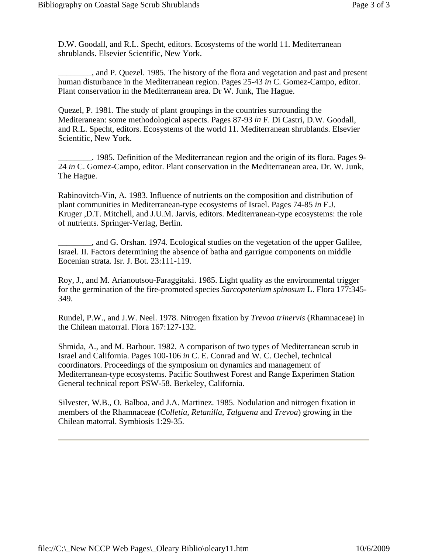D.W. Goodall, and R.L. Specht, editors. Ecosystems of the world 11. Mediterranean shrublands. Elsevier Scientific, New York.

\_\_\_\_\_\_\_\_, and P. Quezel. 1985. The history of the flora and vegetation and past and present human disturbance in the Mediterranean region. Pages 25-43 *in* C. Gomez-Campo, editor. Plant conservation in the Mediterranean area. Dr W. Junk, The Hague.

Quezel, P. 1981. The study of plant groupings in the countries surrounding the Mediteranean: some methodological aspects. Pages 87-93 *in* F. Di Castri, D.W. Goodall, and R.L. Specht, editors. Ecosystems of the world 11. Mediterranean shrublands. Elsevier Scientific, New York.

\_\_\_\_\_\_\_\_. 1985. Definition of the Mediterranean region and the origin of its flora. Pages 9- 24 *in* C. Gomez-Campo, editor. Plant conservation in the Mediterranean area. Dr. W. Junk, The Hague.

Rabinovitch-Vin, A. 1983. Influence of nutrients on the composition and distribution of plant communities in Mediterranean-type ecosystems of Israel. Pages 74-85 *in* F.J. Kruger ,D.T. Mitchell, and J.U.M. Jarvis, editors. Mediterranean-type ecosystems: the role of nutrients. Springer-Verlag, Berlin.

\_\_\_\_\_\_\_\_, and G. Orshan. 1974. Ecological studies on the vegetation of the upper Galilee, Israel. II. Factors determining the absence of batha and garrigue components on middle Eocenian strata. Isr. J. Bot. 23:111-119.

Roy, J., and M. Arianoutsou-Faraggitaki. 1985. Light quality as the environmental trigger for the germination of the fire-promoted species *Sarcopoterium spinosum* L. Flora 177:345- 349.

Rundel, P.W., and J.W. Neel. 1978. Nitrogen fixation by *Trevoa trinervis* (Rhamnaceae) in the Chilean matorral. Flora 167:127-132.

Shmida, A., and M. Barbour. 1982. A comparison of two types of Mediterranean scrub in Israel and California. Pages 100-106 *in* C. E. Conrad and W. C. Oechel, technical coordinators. Proceedings of the symposium on dynamics and management of Mediterranean-type ecosystems. Pacific Southwest Forest and Range Experimen Station General technical report PSW-58. Berkeley, California.

Silvester, W.B., O. Balboa, and J.A. Martinez. 1985. Nodulation and nitrogen fixation in members of the Rhamnaceae (*Colletia, Retanilla, Talguena* and *Trevoa*) growing in the Chilean matorral. Symbiosis 1:29-35.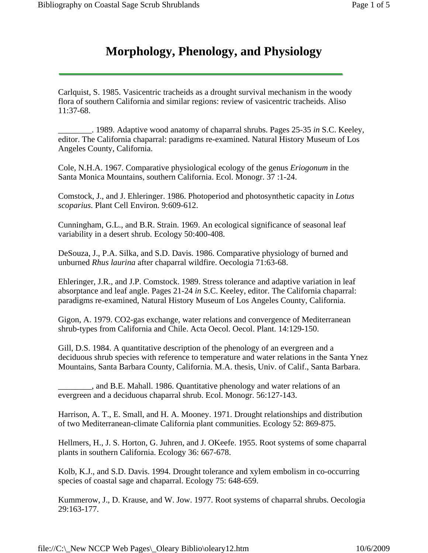## **Morphology, Phenology, and Physiology**

Carlquist, S. 1985. Vasicentric tracheids as a drought survival mechanism in the woody flora of southern California and similar regions: review of vasicentric tracheids. Aliso 11:37-68.

\_\_\_\_\_\_\_\_. 1989. Adaptive wood anatomy of chaparral shrubs. Pages 25-35 *in* S.C. Keeley, editor. The California chaparral: paradigms re-examined. Natural History Museum of Los Angeles County, California.

Cole, N.H.A. 1967. Comparative physiological ecology of the genus *Eriogonum* in the Santa Monica Mountains, southern California. Ecol. Monogr. 37 :1-24.

Comstock, J., and J. Ehleringer. 1986. Photoperiod and photosynthetic capacity in *Lotus scoparius*. Plant Cell Environ. 9:609-612.

Cunningham, G.L., and B.R. Strain. 1969. An ecological significance of seasonal leaf variability in a desert shrub. Ecology 50:400-408.

DeSouza, J., P.A. Silka, and S.D. Davis. 1986. Comparative physiology of burned and unburned *Rhus laurina* after chaparral wildfire. Oecologia 71:63-68.

Ehleringer, J.R., and J.P. Comstock. 1989. Stress tolerance and adaptive variation in leaf absorptance and leaf angle. Pages 21-24 *in* S.C. Keeley, editor. The California chaparral: paradigms re-examined, Natural History Museum of Los Angeles County, California.

Gigon, A. 1979. CO2-gas exchange, water relations and convergence of Mediterranean shrub-types from California and Chile. Acta Oecol. Oecol. Plant. 14:129-150.

Gill, D.S. 1984. A quantitative description of the phenology of an evergreen and a deciduous shrub species with reference to temperature and water relations in the Santa Ynez Mountains, Santa Barbara County, California. M.A. thesis, Univ. of Calif., Santa Barbara.

\_\_\_\_\_\_\_\_, and B.E. Mahall. 1986. Quantitative phenology and water relations of an evergreen and a deciduous chaparral shrub. Ecol. Monogr. 56:127-143.

Harrison, A. T., E. Small, and H. A. Mooney. 1971. Drought relationships and distribution of two Mediterranean-climate California plant communities. Ecology 52: 869-875.

Hellmers, H., J. S. Horton, G. Juhren, and J. OKeefe. 1955. Root systems of some chaparral plants in southern California. Ecology 36: 667-678.

Kolb, K.J., and S.D. Davis. 1994. Drought tolerance and xylem embolism in co-occurring species of coastal sage and chaparral. Ecology 75: 648-659.

Kummerow, J., D. Krause, and W. Jow. 1977. Root systems of chaparral shrubs. Oecologia 29:163-177.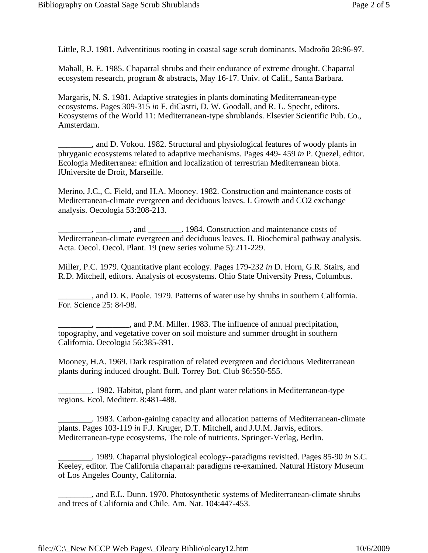Little, R.J. 1981. Adventitious rooting in coastal sage scrub dominants. Madroño 28:96-97.

Mahall, B. E. 1985. Chaparral shrubs and their endurance of extreme drought. Chaparral ecosystem research, program & abstracts, May 16-17. Univ. of Calif., Santa Barbara.

Margaris, N. S. 1981. Adaptive strategies in plants dominating Mediterranean-type ecosystems. Pages 309-315 *in* F. diCastri, D. W. Goodall, and R. L. Specht, editors. Ecosystems of the World 11: Mediterranean-type shrublands. Elsevier Scientific Pub. Co., Amsterdam.

\_\_\_\_\_\_\_\_, and D. Vokou. 1982. Structural and physiological features of woody plants in phryganic ecosystems related to adaptive mechanisms. Pages 449- 459 *in* P. Quezel, editor. Ecologia Mediterranea: efinition and localization of terrestrian Mediterranean biota. lUniversite de Droit, Marseille.

Merino, J.C., C. Field, and H.A. Mooney. 1982. Construction and maintenance costs of Mediterranean-climate evergreen and deciduous leaves. I. Growth and CO2 exchange analysis. Oecologia 53:208-213.

 $\ldots$ ,  $\ldots$ , and  $\ldots$ . 1984. Construction and maintenance costs of Mediterranean-climate evergreen and deciduous leaves. II. Biochemical pathway analysis. Acta. Oecol. Oecol. Plant. 19 (new series volume 5):211-229.

Miller, P.C. 1979. Quantitative plant ecology. Pages 179-232 *in* D. Horn, G.R. Stairs, and R.D. Mitchell, editors. Analysis of ecosystems. Ohio State University Press, Columbus.

\_\_\_\_\_\_\_\_, and D. K. Poole. 1979. Patterns of water use by shrubs in southern California. For. Science 25: 84-98.

 $\frac{1}{1-\frac{1}{\sqrt{1-\frac{1}{\sqrt{1-\frac{1}{\sqrt{1-\frac{1}{\sqrt{1-\frac{1}{\sqrt{1-\frac{1}{\sqrt{1-\frac{1}{\sqrt{1-\frac{1}{\sqrt{1-\frac{1}{\sqrt{1-\frac{1}{\sqrt{1-\frac{1}{\sqrt{1-\frac{1}{\sqrt{1-\frac{1}{\sqrt{1-\frac{1}{\sqrt{1-\frac{1}{\sqrt{1-\frac{1}{\sqrt{1-\frac{1}{\sqrt{1-\frac{1}{\sqrt{1-\frac{1}{\sqrt{1-\frac{1}{\sqrt{1-\frac{1}{\sqrt{1-\frac{1}{\sqrt{1-\frac{1}{\sqrt{1-\frac{1}{\sqrt{$ topography, and vegetative cover on soil moisture and summer drought in southern California. Oecologia 56:385-391.

Mooney, H.A. 1969. Dark respiration of related evergreen and deciduous Mediterranean plants during induced drought. Bull. Torrey Bot. Club 96:550-555.

\_\_\_\_\_\_\_\_. 1982. Habitat, plant form, and plant water relations in Mediterranean-type regions. Ecol. Mediterr. 8:481-488.

\_\_\_\_\_\_\_\_. 1983. Carbon-gaining capacity and allocation patterns of Mediterranean-climate plants. Pages 103-119 *in* F.J. Kruger, D.T. Mitchell, and J.U.M. Jarvis, editors. Mediterranean-type ecosystems, The role of nutrients. Springer-Verlag, Berlin.

\_\_\_\_\_\_\_\_. 1989. Chaparral physiological ecology--paradigms revisited. Pages 85-90 *in* S.C. Keeley, editor. The California chaparral: paradigms re-examined. Natural History Museum of Los Angeles County, California.

\_\_\_\_\_\_\_\_, and E.L. Dunn. 1970. Photosynthetic systems of Mediterranean-climate shrubs and trees of California and Chile. Am. Nat. 104:447-453.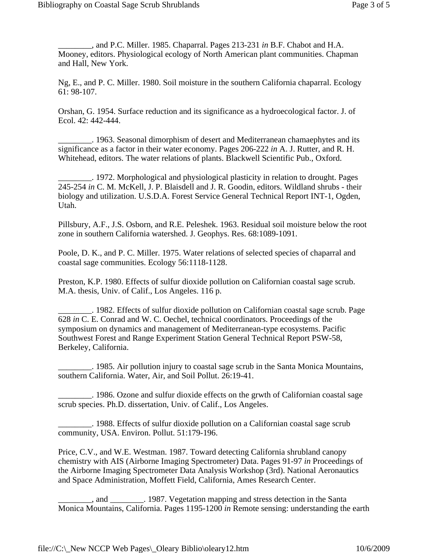\_\_\_\_\_\_\_\_, and P.C. Miller. 1985. Chaparral. Pages 213-231 *in* B.F. Chabot and H.A. Mooney, editors. Physiological ecology of North American plant communities. Chapman and Hall, New York.

Ng, E., and P. C. Miller. 1980. Soil moisture in the southern California chaparral. Ecology 61: 98-107.

Orshan, G. 1954. Surface reduction and its significance as a hydroecological factor. J. of Ecol. 42: 442-444.

\_\_\_\_\_\_\_\_. 1963. Seasonal dimorphism of desert and Mediterranean chamaephytes and its significance as a factor in their water economy. Pages 206-222 *in* A. J. Rutter, and R. H. Whitehead, editors. The water relations of plants. Blackwell Scientific Pub., Oxford.

\_\_\_\_\_\_\_\_. 1972. Morphological and physiological plasticity in relation to drought. Pages 245-254 *in* C. M. McKell, J. P. Blaisdell and J. R. Goodin, editors. Wildland shrubs - their biology and utilization. U.S.D.A. Forest Service General Technical Report INT-1, Ogden, Utah.

Pillsbury, A.F., J.S. Osborn, and R.E. Peleshek. 1963. Residual soil moisture below the root zone in southern California watershed. J. Geophys. Res. 68:1089-1091.

Poole, D. K., and P. C. Miller. 1975. Water relations of selected species of chaparral and coastal sage communities. Ecology 56:1118-1128.

Preston, K.P. 1980. Effects of sulfur dioxide pollution on Californian coastal sage scrub. M.A. thesis, Univ. of Calif., Los Angeles. 116 p.

\_\_\_\_\_\_\_\_. 1982. Effects of sulfur dioxide pollution on Californian coastal sage scrub. Page 628 *in* C. E. Conrad and W. C. Oechel, technical coordinators. Proceedings of the symposium on dynamics and management of Mediterranean-type ecosystems. Pacific Southwest Forest and Range Experiment Station General Technical Report PSW-58, Berkeley, California.

\_\_\_\_\_\_\_\_. 1985. Air pollution injury to coastal sage scrub in the Santa Monica Mountains, southern California. Water, Air, and Soil Pollut. 26:19-41.

\_\_\_\_\_\_\_\_. 1986. Ozone and sulfur dioxide effects on the grwth of Californian coastal sage scrub species. Ph.D. dissertation, Univ. of Calif., Los Angeles.

\_\_\_\_\_\_\_\_. 1988. Effects of sulfur dioxide pollution on a Californian coastal sage scrub community, USA. Environ. Pollut. 51:179-196.

Price, C.V., and W.E. Westman. 1987. Toward detecting California shrubland canopy chemistry with AIS (Airborne Imaging Spectrometer) Data. Pages 91-97 *in* Proceedings of the Airborne Imaging Spectrometer Data Analysis Workshop (3rd). National Aeronautics and Space Administration, Moffett Field, California, Ames Research Center.

\_\_\_\_\_\_\_\_, and \_\_\_\_\_\_\_\_. 1987. Vegetation mapping and stress detection in the Santa Monica Mountains, California. Pages 1195-1200 *in* Remote sensing: understanding the earth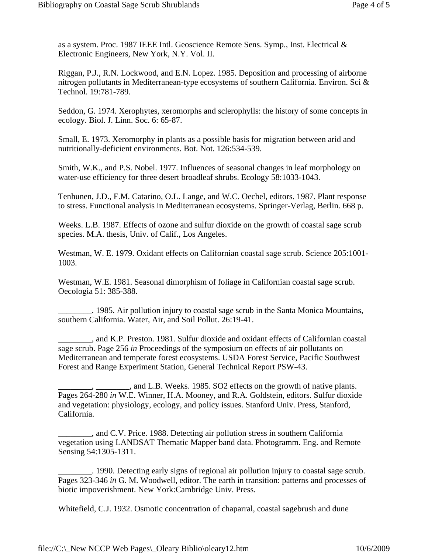as a system. Proc. 1987 IEEE Intl. Geoscience Remote Sens. Symp., Inst. Electrical & Electronic Engineers, New York, N.Y. Vol. II.

Riggan, P.J., R.N. Lockwood, and E.N. Lopez. 1985. Deposition and processing of airborne nitrogen pollutants in Mediterranean-type ecosystems of southern California. Environ. Sci & Technol. 19:781-789.

Seddon, G. 1974. Xerophytes, xeromorphs and sclerophylls: the history of some concepts in ecology. Biol. J. Linn. Soc. 6: 65-87.

Small, E. 1973. Xeromorphy in plants as a possible basis for migration between arid and nutritionally-deficient environments. Bot. Not. 126:534-539.

Smith, W.K., and P.S. Nobel. 1977. Influences of seasonal changes in leaf morphology on water-use efficiency for three desert broadleaf shrubs. Ecology 58:1033-1043.

Tenhunen, J.D., F.M. Catarino, O.L. Lange, and W.C. Oechel, editors. 1987. Plant response to stress. Functional analysis in Mediterranean ecosystems. Springer-Verlag, Berlin. 668 p.

Weeks. L.B. 1987. Effects of ozone and sulfur dioxide on the growth of coastal sage scrub species. M.A. thesis, Univ. of Calif., Los Angeles.

Westman, W. E. 1979. Oxidant effects on Californian coastal sage scrub. Science 205:1001- 1003.

Westman, W.E. 1981. Seasonal dimorphism of foliage in Californian coastal sage scrub. Oecologia 51: 385-388.

\_\_\_\_\_\_\_\_. 1985. Air pollution injury to coastal sage scrub in the Santa Monica Mountains, southern California. Water, Air, and Soil Pollut. 26:19-41.

\_\_\_\_\_\_\_\_, and K.P. Preston. 1981. Sulfur dioxide and oxidant effects of Californian coastal sage scrub. Page 256 *in* Proceedings of the symposium on effects of air pollutants on Mediterranean and temperate forest ecosystems. USDA Forest Service, Pacific Southwest Forest and Range Experiment Station, General Technical Report PSW-43.

\_\_\_\_\_\_\_\_, \_\_\_\_\_\_\_\_, and L.B. Weeks. 1985. SO2 effects on the growth of native plants. Pages 264-280 *in* W.E. Winner, H.A. Mooney, and R.A. Goldstein, editors. Sulfur dioxide and vegetation: physiology, ecology, and policy issues. Stanford Univ. Press, Stanford, California.

\_\_\_\_\_\_\_\_, and C.V. Price. 1988. Detecting air pollution stress in southern California vegetation using LANDSAT Thematic Mapper band data. Photogramm. Eng. and Remote Sensing 54:1305-1311.

\_\_\_\_\_\_\_\_. 1990. Detecting early signs of regional air pollution injury to coastal sage scrub. Pages 323-346 *in* G. M. Woodwell, editor. The earth in transition: patterns and processes of biotic impoverishment. New York:Cambridge Univ. Press.

Whitefield, C.J. 1932. Osmotic concentration of chaparral, coastal sagebrush and dune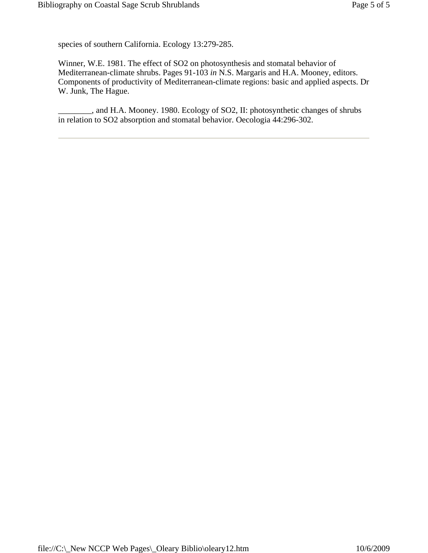species of southern California. Ecology 13:279-285.

Winner, W.E. 1981. The effect of SO2 on photosynthesis and stomatal behavior of Mediterranean-climate shrubs. Pages 91-103 *in* N.S. Margaris and H.A. Mooney, editors. Components of productivity of Mediterranean-climate regions: basic and applied aspects. Dr W. Junk, The Hague.

\_\_\_\_\_\_\_\_, and H.A. Mooney. 1980. Ecology of SO2, II: photosynthetic changes of shrubs in relation to SO2 absorption and stomatal behavior. Oecologia 44:296-302.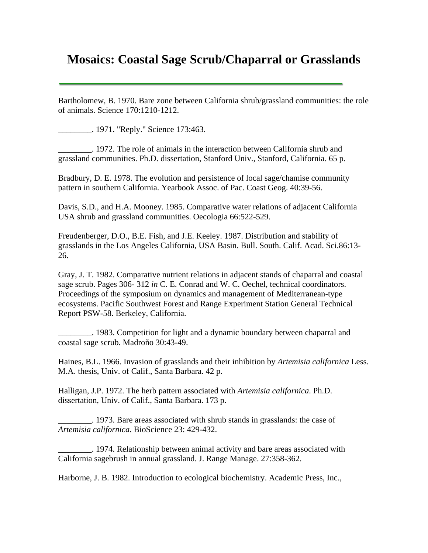## **Mosaics: Coastal Sage Scrub/Chaparral or Grasslands**

Bartholomew, B. 1970. Bare zone between California shrub/grassland communities: the role of animals. Science 170:1210-1212.

\_\_\_\_\_\_\_\_. 1971. "Reply." Science 173:463.

\_\_\_\_\_\_\_\_. 1972. The role of animals in the interaction between California shrub and grassland communities. Ph.D. dissertation, Stanford Univ., Stanford, California. 65 p.

Bradbury, D. E. 1978. The evolution and persistence of local sage/chamise community pattern in southern California. Yearbook Assoc. of Pac. Coast Geog. 40:39-56.

Davis, S.D., and H.A. Mooney. 1985. Comparative water relations of adjacent California USA shrub and grassland communities. Oecologia 66:522-529.

Freudenberger, D.O., B.E. Fish, and J.E. Keeley. 1987. Distribution and stability of grasslands in the Los Angeles California, USA Basin. Bull. South. Calif. Acad. Sci.86:13- 26.

Gray, J. T. 1982. Comparative nutrient relations in adjacent stands of chaparral and coastal sage scrub. Pages 306- 312 *in* C. E. Conrad and W. C. Oechel, technical coordinators. Proceedings of the symposium on dynamics and management of Mediterranean-type ecosystems. Pacific Southwest Forest and Range Experiment Station General Technical Report PSW-58. Berkeley, California.

\_\_\_\_\_\_\_\_. 1983. Competition for light and a dynamic boundary between chaparral and coastal sage scrub. Madroño 30:43-49.

Haines, B.L. 1966. Invasion of grasslands and their inhibition by *Artemisia californica* Less. M.A. thesis, Univ. of Calif., Santa Barbara. 42 p.

Halligan, J.P. 1972. The herb pattern associated with *Artemisia californica*. Ph.D. dissertation, Univ. of Calif., Santa Barbara. 173 p.

\_\_\_\_\_\_\_\_. 1973. Bare areas associated with shrub stands in grasslands: the case of *Artemisia californica*. BioScience 23: 429-432.

\_\_\_\_\_\_\_\_. 1974. Relationship between animal activity and bare areas associated with California sagebrush in annual grassland. J. Range Manage. 27:358-362.

Harborne, J. B. 1982. Introduction to ecological biochemistry. Academic Press, Inc.,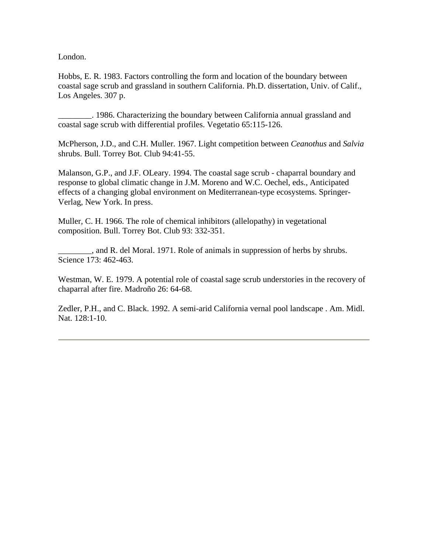London.

Hobbs, E. R. 1983. Factors controlling the form and location of the boundary between coastal sage scrub and grassland in southern California. Ph.D. dissertation, Univ. of Calif., Los Angeles. 307 p.

\_\_\_\_\_\_\_\_. 1986. Characterizing the boundary between California annual grassland and coastal sage scrub with differential profiles. Vegetatio 65:115-126.

McPherson, J.D., and C.H. Muller. 1967. Light competition between *Ceanothus* and *Salvia* shrubs. Bull. Torrey Bot. Club 94:41-55.

Malanson, G.P., and J.F. OLeary. 1994. The coastal sage scrub - chaparral boundary and response to global climatic change in J.M. Moreno and W.C. Oechel, eds., Anticipated effects of a changing global environment on Mediterranean-type ecosystems. Springer-Verlag, New York. In press.

Muller, C. H. 1966. The role of chemical inhibitors (allelopathy) in vegetational composition. Bull. Torrey Bot. Club 93: 332-351.

\_\_\_\_\_\_\_\_, and R. del Moral. 1971. Role of animals in suppression of herbs by shrubs. Science 173: 462-463.

Westman, W. E. 1979. A potential role of coastal sage scrub understories in the recovery of chaparral after fire. Madroño 26: 64-68.

Zedler, P.H., and C. Black. 1992. A semi-arid California vernal pool landscape . Am. Midl. Nat. 128:1-10.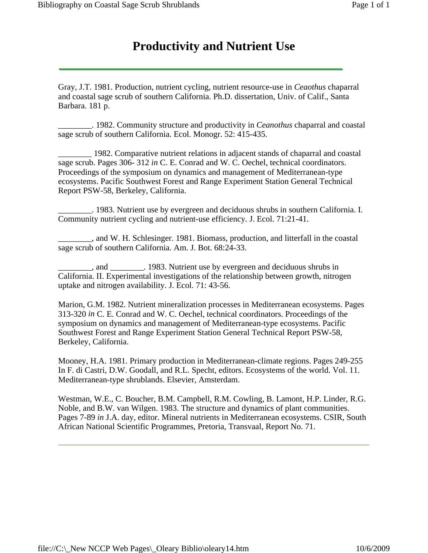Gray, J.T. 1981. Production, nutrient cycling, nutrient resource-use in *Ceaothus* chaparral and coastal sage scrub of southern California. Ph.D. dissertation, Univ. of Calif., Santa Barbara. 181 p.

\_\_\_\_\_\_\_\_. 1982. Community structure and productivity in *Ceanothus* chaparral and coastal sage scrub of southern California. Ecol. Monogr. 52: 415-435.

\_\_\_\_\_\_\_\_ 1982. Comparative nutrient relations in adjacent stands of chaparral and coastal sage scrub. Pages 306- 312 *in* C. E. Conrad and W. C. Oechel, technical coordinators. Proceedings of the symposium on dynamics and management of Mediterranean-type ecosystems. Pacific Southwest Forest and Range Experiment Station General Technical Report PSW-58, Berkeley, California.

\_\_\_\_\_\_\_\_. 1983. Nutrient use by evergreen and deciduous shrubs in southern California. I. Community nutrient cycling and nutrient-use efficiency. J. Ecol. 71:21-41.

\_\_\_\_\_\_\_\_, and W. H. Schlesinger. 1981. Biomass, production, and litterfall in the coastal sage scrub of southern California. Am. J. Bot. 68:24-33.

\_\_\_\_\_\_\_\_, and \_\_\_\_\_\_\_\_. 1983. Nutrient use by evergreen and deciduous shrubs in California. II. Experimental investigations of the relationship between growth, nitrogen uptake and nitrogen availability. J. Ecol. 71: 43-56.

Marion, G.M. 1982. Nutrient mineralization processes in Mediterranean ecosystems. Pages 313-320 *in* C. E. Conrad and W. C. Oechel, technical coordinators. Proceedings of the symposium on dynamics and management of Mediterranean-type ecosystems. Pacific Southwest Forest and Range Experiment Station General Technical Report PSW-58, Berkeley, California.

Mooney, H.A. 1981. Primary production in Mediterranean-climate regions. Pages 249-255 In F. di Castri, D.W. Goodall, and R.L. Specht, editors. Ecosystems of the world. Vol. 11. Mediterranean-type shrublands. Elsevier, Amsterdam.

Westman, W.E., C. Boucher, B.M. Campbell, R.M. Cowling, B. Lamont, H.P. Linder, R.G. Noble, and B.W. van Wilgen. 1983. The structure and dynamics of plant communities. Pages 7-89 *in* J.A. day, editor. Mineral nutrients in Mediterranean ecosystems. CSIR, South African National Scientific Programmes, Pretoria, Transvaal, Report No. 71.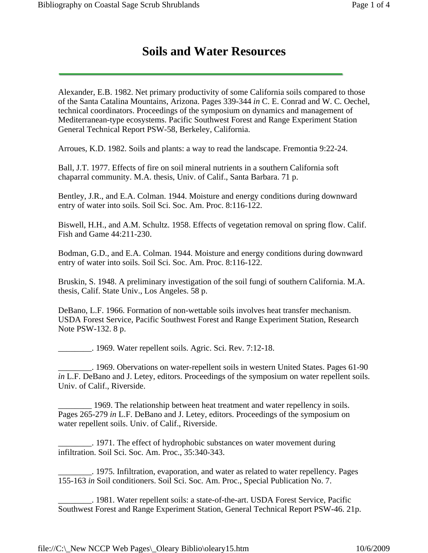Alexander, E.B. 1982. Net primary productivity of some California soils compared to those of the Santa Catalina Mountains, Arizona. Pages 339-344 *in* C. E. Conrad and W. C. Oechel, technical coordinators. Proceedings of the symposium on dynamics and management of Mediterranean-type ecosystems. Pacific Southwest Forest and Range Experiment Station General Technical Report PSW-58, Berkeley, California.

Arroues, K.D. 1982. Soils and plants: a way to read the landscape. Fremontia 9:22-24.

Ball, J.T. 1977. Effects of fire on soil mineral nutrients in a southern California soft chaparral community. M.A. thesis, Univ. of Calif., Santa Barbara. 71 p.

Bentley, J.R., and E.A. Colman. 1944. Moisture and energy conditions during downward entry of water into soils. Soil Sci. Soc. Am. Proc. 8:116-122.

Biswell, H.H., and A.M. Schultz. 1958. Effects of vegetation removal on spring flow. Calif. Fish and Game 44:211-230.

Bodman, G.D., and E.A. Colman. 1944. Moisture and energy conditions during downward entry of water into soils. Soil Sci. Soc. Am. Proc. 8:116-122.

Bruskin, S. 1948. A preliminary investigation of the soil fungi of southern California. M.A. thesis, Calif. State Univ., Los Angeles. 58 p.

DeBano, L.F. 1966. Formation of non-wettable soils involves heat transfer mechanism. USDA Forest Service, Pacific Southwest Forest and Range Experiment Station, Research Note PSW-132. 8 p.

\_\_\_\_\_\_\_\_. 1969. Water repellent soils. Agric. Sci. Rev. 7:12-18.

\_\_\_\_\_\_\_\_. 1969. Obervations on water-repellent soils in western United States. Pages 61-90 *in* L.F. DeBano and J. Letey, editors. Proceedings of the symposium on water repellent soils. Univ. of Calif., Riverside.

\_\_\_\_\_\_\_\_ 1969. The relationship between heat treatment and water repellency in soils. Pages 265-279 *in* L.F. DeBano and J. Letey, editors. Proceedings of the symposium on water repellent soils. Univ. of Calif., Riverside.

\_\_\_\_\_\_\_\_. 1971. The effect of hydrophobic substances on water movement during infiltration. Soil Sci. Soc. Am. Proc., 35:340-343.

\_\_\_\_\_\_\_\_. 1975. Infiltration, evaporation, and water as related to water repellency. Pages 155-163 *in* Soil conditioners. Soil Sci. Soc. Am. Proc., Special Publication No. 7.

\_\_\_\_\_\_\_\_. 1981. Water repellent soils: a state-of-the-art. USDA Forest Service, Pacific Southwest Forest and Range Experiment Station, General Technical Report PSW-46. 21p.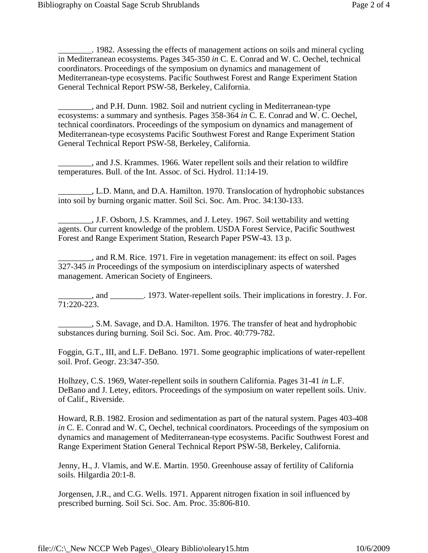\_\_\_\_\_\_\_\_. 1982. Assessing the effects of management actions on soils and mineral cycling in Mediterranean ecosystems. Pages 345-350 *in* C. E. Conrad and W. C. Oechel, technical coordinators. Proceedings of the symposium on dynamics and management of Mediterranean-type ecosystems. Pacific Southwest Forest and Range Experiment Station General Technical Report PSW-58, Berkeley, California.

\_\_\_\_\_\_\_\_, and P.H. Dunn. 1982. Soil and nutrient cycling in Mediterranean-type ecosystems: a summary and synthesis. Pages 358-364 *in* C. E. Conrad and W. C. Oechel, technical coordinators. Proceedings of the symposium on dynamics and management of Mediterranean-type ecosystems Pacific Southwest Forest and Range Experiment Station General Technical Report PSW-58, Berkeley, California.

\_\_\_\_\_\_\_\_, and J.S. Krammes. 1966. Water repellent soils and their relation to wildfire temperatures. Bull. of the Int. Assoc. of Sci. Hydrol. 11:14-19.

\_\_\_\_\_\_\_\_, L.D. Mann, and D.A. Hamilton. 1970. Translocation of hydrophobic substances into soil by burning organic matter. Soil Sci. Soc. Am. Proc. 34:130-133.

\_\_\_\_\_\_\_\_, J.F. Osborn, J.S. Krammes, and J. Letey. 1967. Soil wettability and wetting agents. Our current knowledge of the problem. USDA Forest Service, Pacific Southwest Forest and Range Experiment Station, Research Paper PSW-43. 13 p.

\_\_\_\_\_\_\_\_, and R.M. Rice. 1971. Fire in vegetation management: its effect on soil. Pages 327-345 *in* Proceedings of the symposium on interdisciplinary aspects of watershed management. American Society of Engineers.

\_\_\_\_\_\_\_\_, and \_\_\_\_\_\_\_\_. 1973. Water-repellent soils. Their implications in forestry. J. For. 71:220-223.

\_\_\_\_\_\_\_\_, S.M. Savage, and D.A. Hamilton. 1976. The transfer of heat and hydrophobic substances during burning. Soil Sci. Soc. Am. Proc. 40:779-782.

Foggin, G.T., III, and L.F. DeBano. 1971. Some geographic implications of water-repellent soil. Prof. Geogr. 23:347-350.

Holhzey, C.S. 1969, Water-repellent soils in southern California. Pages 31-41 *in* L.F. DeBano and J. Letey, editors. Proceedings of the symposium on water repellent soils. Univ. of Calif., Riverside.

Howard, R.B. 1982. Erosion and sedimentation as part of the natural system. Pages 403-408 *in* C. E. Conrad and W. C, Oechel, technical coordinators. Proceedings of the symposium on dynamics and management of Mediterranean-type ecosystems. Pacific Southwest Forest and Range Experiment Station General Technical Report PSW-58, Berkeley, California.

Jenny, H., J. Vlamis, and W.E. Martin. 1950. Greenhouse assay of fertility of California soils. Hilgardia 20:1-8.

Jorgensen, J.R., and C.G. Wells. 1971. Apparent nitrogen fixation in soil influenced by prescribed burning. Soil Sci. Soc. Am. Proc. 35:806-810.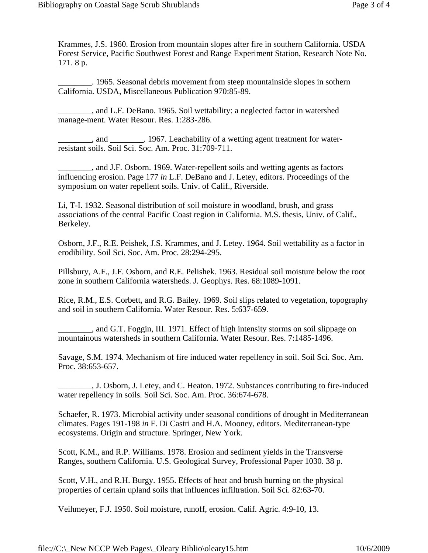Krammes, J.S. 1960. Erosion from mountain slopes after fire in southern California. USDA Forest Service, Pacific Southwest Forest and Range Experiment Station, Research Note No. 171. 8 p.

\_\_\_\_\_\_\_\_. 1965. Seasonal debris movement from steep mountainside slopes in sothern California. USDA, Miscellaneous Publication 970:85-89.

\_\_\_\_\_\_\_\_, and L.F. DeBano. 1965. Soil wettability: a neglected factor in watershed manage-ment. Water Resour. Res. 1:283-286.

\_\_\_\_\_\_\_\_, and \_\_\_\_\_\_\_\_. 1967. Leachability of a wetting agent treatment for waterresistant soils. Soil Sci. Soc. Am. Proc. 31:709-711.

\_\_\_\_\_\_\_\_, and J.F. Osborn. 1969. Water-repellent soils and wetting agents as factors influencing erosion. Page 177 *in* L.F. DeBano and J. Letey, editors. Proceedings of the symposium on water repellent soils. Univ. of Calif., Riverside.

Li, T-I. 1932. Seasonal distribution of soil moisture in woodland, brush, and grass associations of the central Pacific Coast region in California. M.S. thesis, Univ. of Calif., Berkeley.

Osborn, J.F., R.E. Peishek, J.S. Krammes, and J. Letey. 1964. Soil wettability as a factor in erodibility. Soil Sci. Soc. Am. Proc. 28:294-295.

Pillsbury, A.F., J.F. Osborn, and R.E. Pelishek. 1963. Residual soil moisture below the root zone in southern California watersheds. J. Geophys. Res. 68:1089-1091.

Rice, R.M., E.S. Corbett, and R.G. Bailey. 1969. Soil slips related to vegetation, topography and soil in southern California. Water Resour. Res. 5:637-659.

\_\_\_\_\_\_\_\_, and G.T. Foggin, III. 1971. Effect of high intensity storms on soil slippage on mountainous watersheds in southern California. Water Resour. Res. 7:1485-1496.

Savage, S.M. 1974. Mechanism of fire induced water repellency in soil. Soil Sci. Soc. Am. Proc. 38:653-657.

\_\_\_\_\_\_\_\_, J. Osborn, J. Letey, and C. Heaton. 1972. Substances contributing to fire-induced water repellency in soils. Soil Sci. Soc. Am. Proc. 36:674-678.

Schaefer, R. 1973. Microbial activity under seasonal conditions of drought in Mediterranean climates. Pages 191-198 *in* F. Di Castri and H.A. Mooney, editors. Mediterranean-type ecosystems. Origin and structure. Springer, New York.

Scott, K.M., and R.P. Williams. 1978. Erosion and sediment yields in the Transverse Ranges, southern California. U.S. Geological Survey, Professional Paper 1030. 38 p.

Scott, V.H., and R.H. Burgy. 1955. Effects of heat and brush burning on the physical properties of certain upland soils that influences infiltration. Soil Sci. 82:63-70.

Veihmeyer, F.J. 1950. Soil moisture, runoff, erosion. Calif. Agric. 4:9-10, 13.